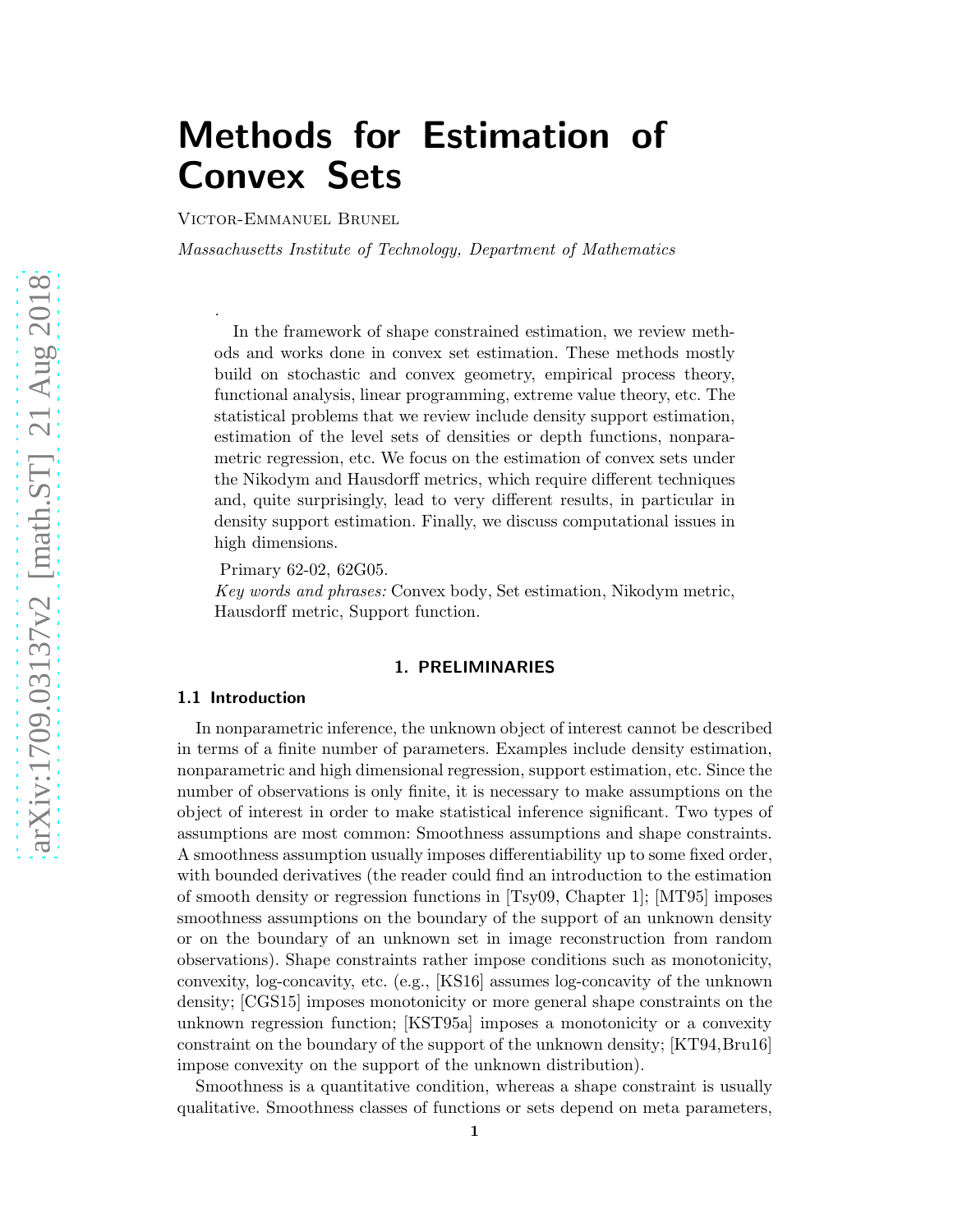# Methods for Estimation of Convex Sets

Victor-Emmanuel Brunel

.

Massachusetts Institute of Technology, Department of Mathematics

In the framework of shape constrained estimation, we review methods and works done in convex set estimation. These methods mostly build on stochastic and convex geometry, empirical process theory, functional analysis, linear programming, extreme value theory, etc. The statistical problems that we review include density support estimation, estimation of the level sets of densities or depth functions, nonparametric regression, etc. We focus on the estimation of convex sets under the Nikodym and Hausdorff metrics, which require different techniques and, quite surprisingly, lead to very different results, in particular in density support estimation. Finally, we discuss computational issues in high dimensions.

Primary 62-02, 62G05.

Key words and phrases: Convex body, Set estimation, Nikodym metric, Hausdorff metric, Support function.

#### 1. PRELIMINARIES

#### 1.1 Introduction

In nonparametric inference, the unknown object of interest cannot be described in terms of a finite number of parameters. Examples include density estimation, nonparametric and high dimensional regression, support estimation, etc. Since the number of observations is only finite, it is necessary to make assumptions on the object of interest in order to make statistical inference significant. Two types of assumptions are most common: Smoothness assumptions and shape constraints. A smoothness assumption usually imposes differentiability up to some fixed order, with bounded derivatives (the reader could find an introduction to the estimation of smooth density or regression functions in [\[Tsy09,](#page-27-0) Chapter 1]; [\[MT95\]](#page-26-0) imposes smoothness assumptions on the boundary of the support of an unknown density or on the boundary of an unknown set in image reconstruction from random observations). Shape constraints rather impose conditions such as monotonicity, convexity, log-concavity, etc. (e.g., [\[KS16\]](#page-26-1) assumes log-concavity of the unknown density; [\[CGS15\]](#page-24-0) imposes monotonicity or more general shape constraints on the unknown regression function; [\[KST95a\]](#page-26-2) imposes a monotonicity or a convexity constraint on the boundary of the support of the unknown density; [\[KT94,](#page-26-3)[Bru16\]](#page-24-1) impose convexity on the support of the unknown distribution).

Smoothness is a quantitative condition, whereas a shape constraint is usually qualitative. Smoothness classes of functions or sets depend on meta parameters,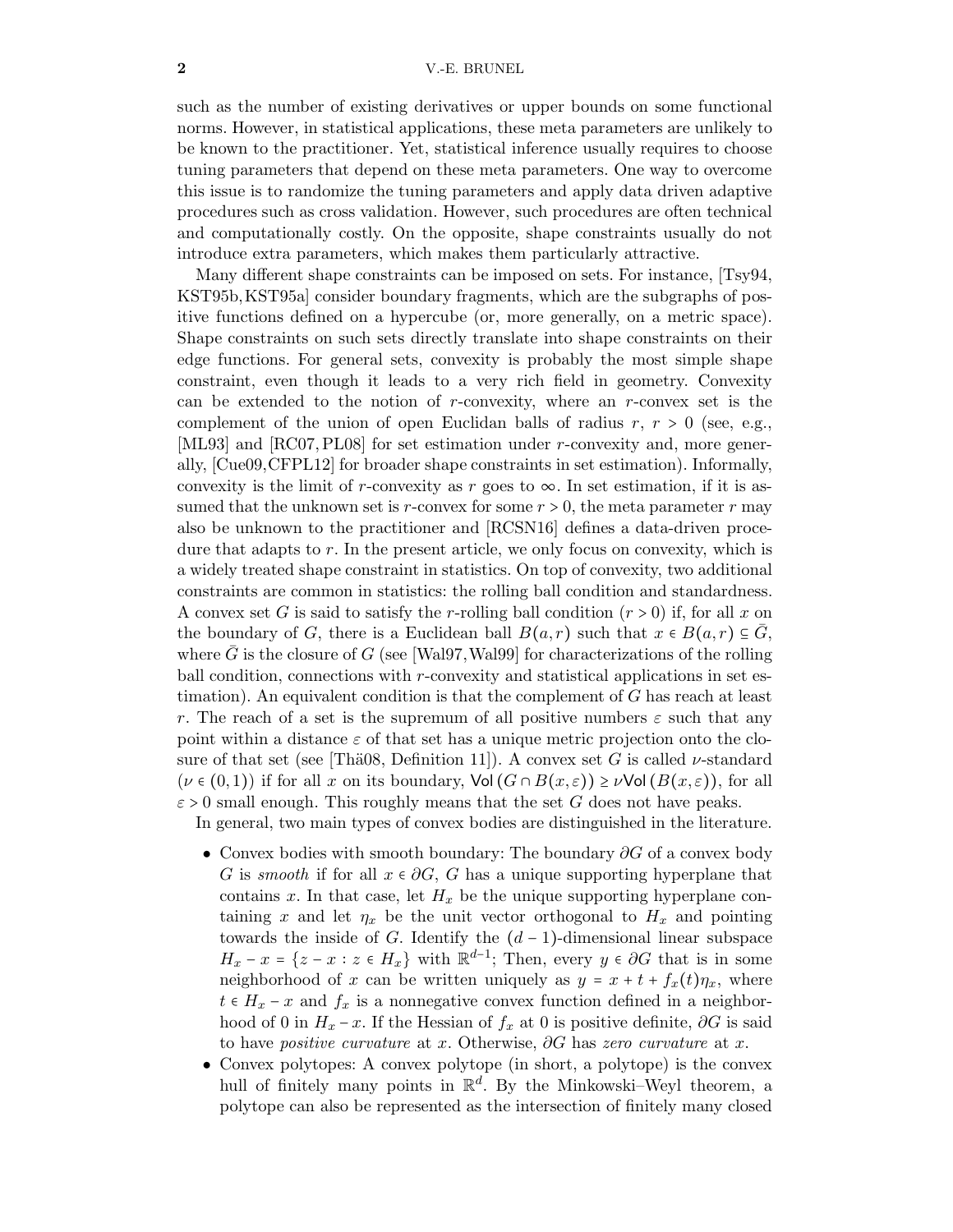#### 2 V.-E. BRUNEL

such as the number of existing derivatives or upper bounds on some functional norms. However, in statistical applications, these meta parameters are unlikely to be known to the practitioner. Yet, statistical inference usually requires to choose tuning parameters that depend on these meta parameters. One way to overcome this issue is to randomize the tuning parameters and apply data driven adaptive procedures such as cross validation. However, such procedures are often technical and computationally costly. On the opposite, shape constraints usually do not introduce extra parameters, which makes them particularly attractive.

Many different shape constraints can be imposed on sets. For instance, [\[Tsy94,](#page-27-1) [KST95b,](#page-26-4)[KST95a\]](#page-26-2) consider boundary fragments, which are the subgraphs of positive functions defined on a hypercube (or, more generally, on a metric space). Shape constraints on such sets directly translate into shape constraints on their edge functions. For general sets, convexity is probably the most simple shape constraint, even though it leads to a very rich field in geometry. Convexity can be extended to the notion of r-convexity, where an r-convex set is the complement of the union of open Euclidan balls of radius  $r, r > 0$  (see, e.g., [\[ML93\]](#page-26-5) and [\[RC07,](#page-26-6) [PL08\]](#page-26-7) for set estimation under r-convexity and, more generally, [\[Cue09,](#page-24-2)[CFPL12\]](#page-24-3) for broader shape constraints in set estimation). Informally, convexity is the limit of r-convexity as r goes to  $\infty$ . In set estimation, if it is assumed that the unknown set is r-convex for some  $r > 0$ , the meta parameter r may also be unknown to the practitioner and [\[RCSN16\]](#page-26-8) defines a data-driven procedure that adapts to  $r$ . In the present article, we only focus on convexity, which is a widely treated shape constraint in statistics. On top of convexity, two additional constraints are common in statistics: the rolling ball condition and standardness. A convex set G is said to satisfy the r-rolling ball condition  $(r > 0)$  if, for all x on the boundary of G, there is a Euclidean ball  $B(a, r)$  such that  $x \in B(a, r) \subseteq G$ , where G is the closure of G (see [\[Wal97,](#page-27-2) [Wal99\]](#page-27-3) for characterizations of the rolling ball condition, connections with  $r$ -convexity and statistical applications in set estimation). An equivalent condition is that the complement of  $G$  has reach at least r. The reach of a set is the supremum of all positive numbers  $\varepsilon$  such that any point within a distance  $\varepsilon$  of that set has a unique metric projection onto the closure of that set (see [Thä08, Definition 11]). A convex set G is called  $\nu$ -standard  $(\nu \in (0,1))$  if for all x on its boundary,  $\text{Vol}(G \cap B(x,\varepsilon)) \geq \nu \text{Vol}(B(x,\varepsilon))$ , for all  $\varepsilon > 0$  small enough. This roughly means that the set G does not have peaks.

In general, two main types of convex bodies are distinguished in the literature.

- Convex bodies with smooth boundary: The boundary  $\partial G$  of a convex body G is smooth if for all  $x \in \partial G$ , G has a unique supporting hyperplane that contains x. In that case, let  $H_x$  be the unique supporting hyperplane containing x and let  $\eta_x$  be the unit vector orthogonal to  $H_x$  and pointing towards the inside of G. Identify the  $(d-1)$ -dimensional linear subspace  $H_x - x = \{z - x : z \in H_x\}$  with  $\mathbb{R}^{d-1}$ ; Then, every  $y \in \partial G$  that is in some neighborhood of x can be written uniquely as  $y = x + t + f_x(t)\eta_x$ , where  $t \in H_x - x$  and  $f_x$  is a nonnegative convex function defined in a neighborhood of 0 in  $H_x - x$ . If the Hessian of  $f_x$  at 0 is positive definite,  $\partial G$  is said to have *positive curvature* at x. Otherwise,  $\partial G$  has zero curvature at x.
- Convex polytopes: A convex polytope (in short, a polytope) is the convex hull of finitely many points in  $\mathbb{R}^d$ . By the Minkowski–Weyl theorem, a polytope can also be represented as the intersection of finitely many closed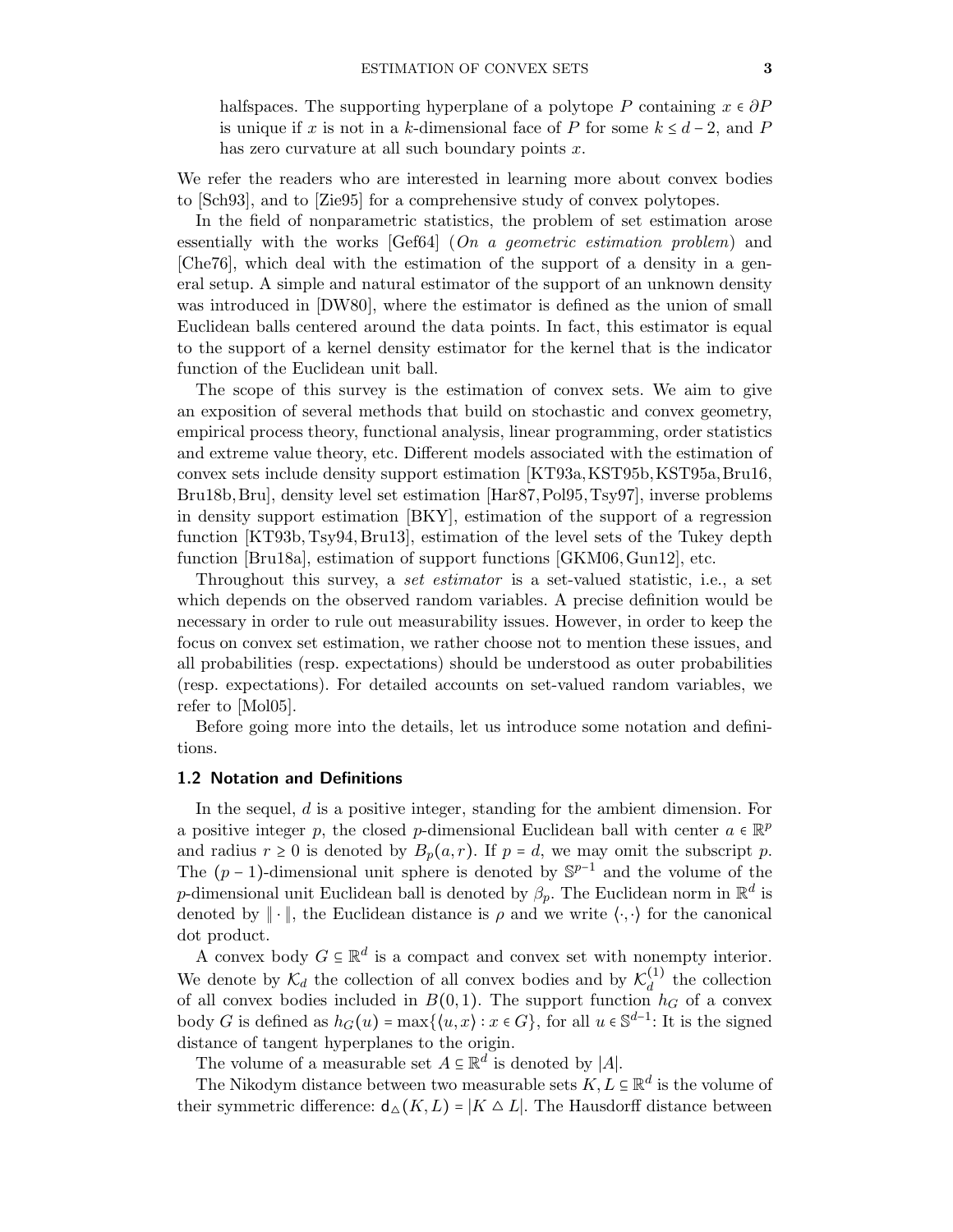halfspaces. The supporting hyperplane of a polytope P containing  $x \in \partial P$ is unique if x is not in a k-dimensional face of P for some  $k \leq d-2$ , and P has zero curvature at all such boundary points  $x$ .

We refer the readers who are interested in learning more about convex bodies to [\[Sch93\]](#page-27-5), and to [\[Zie95\]](#page-28-0) for a comprehensive study of convex polytopes.

In the field of nonparametric statistics, the problem of set estimation arose essentially with the works  $[Gef64]$  (On a geometric estimation problem) and [\[Che76\]](#page-24-4), which deal with the estimation of the support of a density in a general setup. A simple and natural estimator of the support of an unknown density was introduced in [\[DW80\]](#page-24-5), where the estimator is defined as the union of small Euclidean balls centered around the data points. In fact, this estimator is equal to the support of a kernel density estimator for the kernel that is the indicator function of the Euclidean unit ball.

The scope of this survey is the estimation of convex sets. We aim to give an exposition of several methods that build on stochastic and convex geometry, empirical process theory, functional analysis, linear programming, order statistics and extreme value theory, etc. Different models associated with the estimation of convex sets include density support estimation [\[KT93a,](#page-26-9)[KST95b,](#page-26-4)[KST95a,](#page-26-2)[Bru16,](#page-24-1) [Bru18b,](#page-24-6)[Bru\]](#page-23-0), density level set estimation [\[Har87,](#page-25-1)[Pol95,](#page-26-10)[Tsy97\]](#page-27-6), inverse problems in density support estimation [\[BKY\]](#page-23-1), estimation of the support of a regression function [\[KT93b,](#page-26-11) [Tsy94,](#page-27-1) [Bru13\]](#page-23-2), estimation of the level sets of the Tukey depth function [\[Bru18a\]](#page-24-7), estimation of support functions [\[GKM06,](#page-25-2)[Gun12\]](#page-25-3), etc.

Throughout this survey, a set estimator is a set-valued statistic, i.e., a set which depends on the observed random variables. A precise definition would be necessary in order to rule out measurability issues. However, in order to keep the focus on convex set estimation, we rather choose not to mention these issues, and all probabilities (resp. expectations) should be understood as outer probabilities (resp. expectations). For detailed accounts on set-valued random variables, we refer to [\[Mol05\]](#page-26-12).

Before going more into the details, let us introduce some notation and definitions.

#### 1.2 Notation and Definitions

In the sequel, d is a positive integer, standing for the ambient dimension. For a positive integer p, the closed p-dimensional Euclidean ball with center  $a \in \mathbb{R}^p$ and radius  $r \geq 0$  is denoted by  $B_p(a, r)$ . If  $p = d$ , we may omit the subscript p. The  $(p-1)$ -dimensional unit sphere is denoted by  $\mathbb{S}^{p-1}$  and the volume of the *p*-dimensional unit Euclidean ball is denoted by  $\beta_p$ . The Euclidean norm in  $\mathbb{R}^d$  is denoted by  $\|\cdot\|$ , the Euclidean distance is  $\rho$  and we write  $\langle\cdot,\cdot\rangle$  for the canonical dot product.

A convex body  $G \subseteq \mathbb{R}^d$  is a compact and convex set with nonempty interior. We denote by  $\mathcal{K}_d$  the collection of all convex bodies and by  $\mathcal{K}_d^{(1)}$  $\frac{d^{(1)}}{d}$  the collection of all convex bodies included in  $B(0,1)$ . The support function  $h_G$  of a convex body G is defined as  $h_G(u) = \max\{(u, x) : x \in G\}$ , for all  $u \in \mathbb{S}^{d-1}$ : It is the signed distance of tangent hyperplanes to the origin.

The volume of a measurable set  $A \subseteq \mathbb{R}^d$  is denoted by |A|.

The Nikodym distance between two measurable sets  $K, L \subseteq \mathbb{R}^d$  is the volume of their symmetric difference:  $d_{\Delta}(K, L) = |K \Delta L|$ . The Hausdorff distance between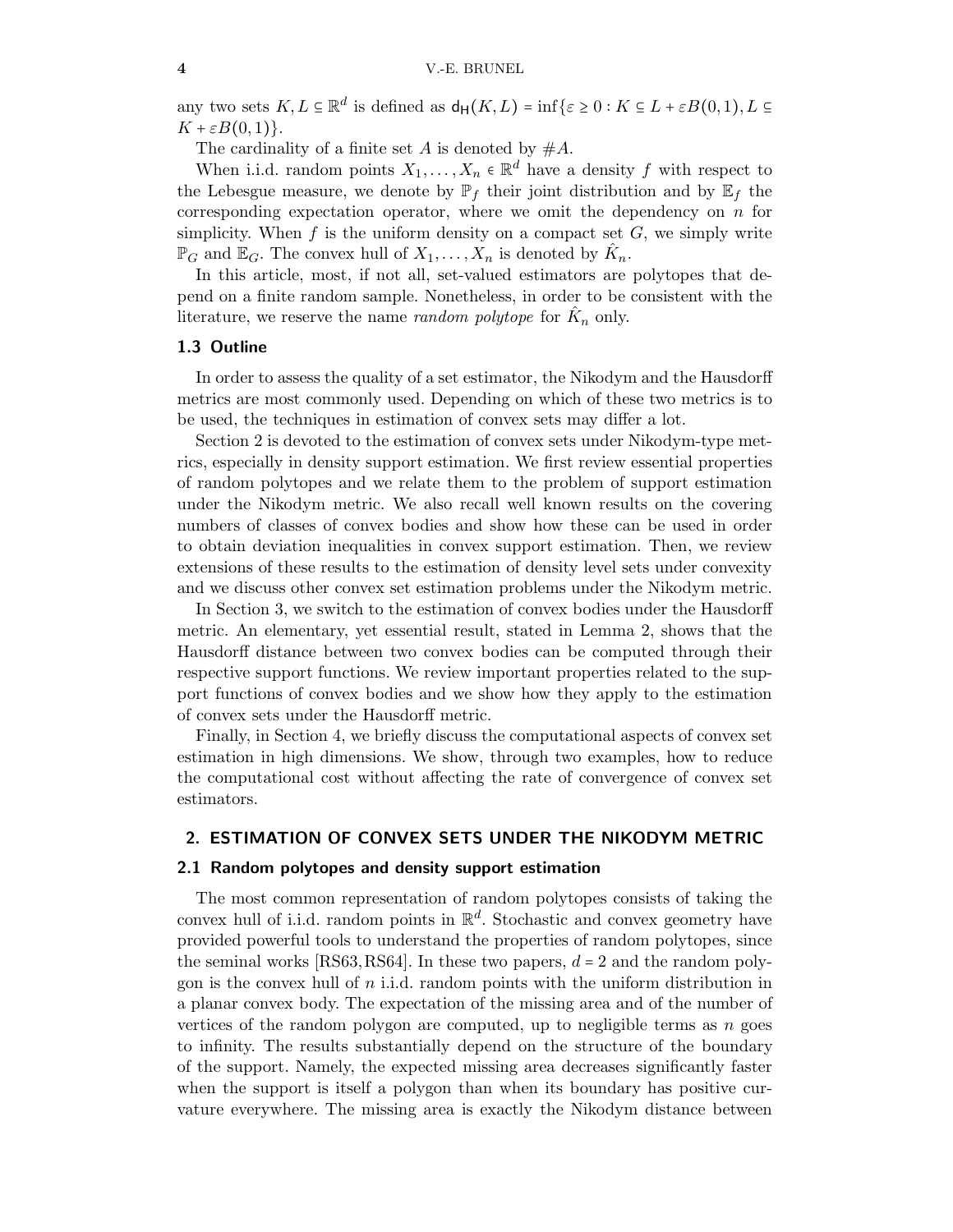any two sets  $K, L \subseteq \mathbb{R}^d$  is defined as  $d_H(K, L) = \inf \{ \varepsilon \geq 0 : K \subseteq L + \varepsilon B(0, 1), L \subseteq L \}$  $K + \varepsilon B(0,1)$ .

The cardinality of a finite set A is denoted by  $#A$ .

When i.i.d. random points  $X_1, \ldots, X_n \in \mathbb{R}^d$  have a density f with respect to the Lebesgue measure, we denote by  $\mathbb{P}_f$  their joint distribution and by  $\mathbb{E}_f$  the corresponding expectation operator, where we omit the dependency on  $n$  for simplicity. When  $f$  is the uniform density on a compact set  $G$ , we simply write  $\mathbb{P}_G$  and  $\mathbb{E}_G$ . The convex hull of  $X_1, \ldots, X_n$  is denoted by  $\hat{K}_n$ .

In this article, most, if not all, set-valued estimators are polytopes that depend on a finite random sample. Nonetheless, in order to be consistent with the literature, we reserve the name *random polytope* for  $\hat{K}_n$  only.

#### 1.3 Outline

In order to assess the quality of a set estimator, the Nikodym and the Hausdorff metrics are most commonly used. Depending on which of these two metrics is to be used, the techniques in estimation of convex sets may differ a lot.

Section [2](#page-3-0) is devoted to the estimation of convex sets under Nikodym-type metrics, especially in density support estimation. We first review essential properties of random polytopes and we relate them to the problem of support estimation under the Nikodym metric. We also recall well known results on the covering numbers of classes of convex bodies and show how these can be used in order to obtain deviation inequalities in convex support estimation. Then, we review extensions of these results to the estimation of density level sets under convexity and we discuss other convex set estimation problems under the Nikodym metric.

In Section [3,](#page-15-0) we switch to the estimation of convex bodies under the Hausdorff metric. An elementary, yet essential result, stated in Lemma [2,](#page-15-1) shows that the Hausdorff distance between two convex bodies can be computed through their respective support functions. We review important properties related to the support functions of convex bodies and we show how they apply to the estimation of convex sets under the Hausdorff metric.

Finally, in Section [4,](#page-21-0) we briefly discuss the computational aspects of convex set estimation in high dimensions. We show, through two examples, how to reduce the computational cost without affecting the rate of convergence of convex set estimators.

#### <span id="page-3-1"></span><span id="page-3-0"></span>2. ESTIMATION OF CONVEX SETS UNDER THE NIKODYM METRIC

#### 2.1 Random polytopes and density support estimation

The most common representation of random polytopes consists of taking the convex hull of i.i.d. random points in  $\mathbb{R}^d$ . Stochastic and convex geometry have provided powerful tools to understand the properties of random polytopes, since the seminal works [\[RS63,](#page-27-7) [RS64\]](#page-27-8). In these two papers,  $d = 2$  and the random polygon is the convex hull of  $n$  i.i.d. random points with the uniform distribution in a planar convex body. The expectation of the missing area and of the number of vertices of the random polygon are computed, up to negligible terms as  $n$  goes to infinity. The results substantially depend on the structure of the boundary of the support. Namely, the expected missing area decreases significantly faster when the support is itself a polygon than when its boundary has positive curvature everywhere. The missing area is exactly the Nikodym distance between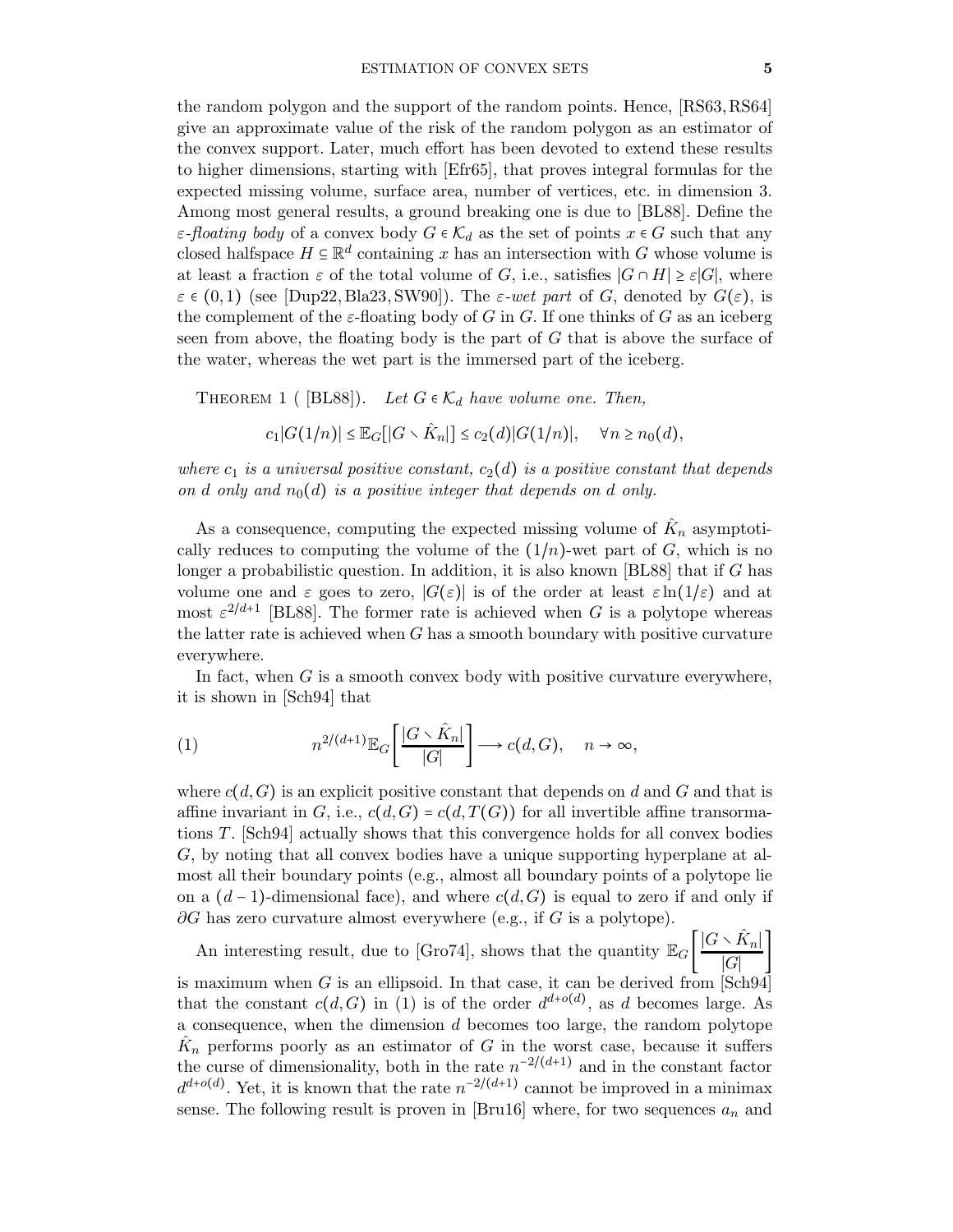the random polygon and the support of the random points. Hence, [\[RS63,](#page-27-7)[RS64\]](#page-27-8) give an approximate value of the risk of the random polygon as an estimator of the convex support. Later, much effort has been devoted to extend these results to higher dimensions, starting with [\[Efr65\]](#page-24-8), that proves integral formulas for the expected missing volume, surface area, number of vertices, etc. in dimension 3. Among most general results, a ground breaking one is due to [\[BL88\]](#page-23-3). Define the  $\varepsilon$ -floating body of a convex body  $G \in \mathcal{K}_d$  as the set of points  $x \in G$  such that any closed halfspace  $H \subseteq \mathbb{R}^d$  containing x has an intersection with G whose volume is at least a fraction  $\varepsilon$  of the total volume of G, i.e., satisfies  $|G \cap H| \geq \varepsilon |G|$ , where  $\varepsilon \in (0,1)$  (see [\[Dup22,](#page-24-9) [Bla23,](#page-23-4) [SW90\]](#page-27-9)). The  $\varepsilon$ -wet part of G, denoted by  $G(\varepsilon)$ , is the complement of the  $\varepsilon$ -floating body of G in G. If one thinks of G as an iceberg seen from above, the floating body is the part of  $G$  that is above the surface of the water, whereas the wet part is the immersed part of the iceberg.

<span id="page-4-1"></span>THEOREM 1 (  $[BL88]$ ). Let  $G \in \mathcal{K}_d$  have volume one. Then,

$$
c_1|G(1/n)| \leq \mathbb{E}_G[[G \setminus \hat{K}_n]] \leq c_2(d)|G(1/n)|, \quad \forall n \geq n_0(d),
$$

where  $c_1$  is a universal positive constant,  $c_2(d)$  is a positive constant that depends on d only and  $n_0(d)$  is a positive integer that depends on d only.

As a consequence, computing the expected missing volume of  $\hat{K}_n$  asymptotically reduces to computing the volume of the  $(1/n)$ -wet part of G, which is no longer a probabilistic question. In addition, it is also known [\[BL88\]](#page-23-3) that if G has volume one and  $\varepsilon$  goes to zero,  $|G(\varepsilon)|$  is of the order at least  $\varepsilon \ln(1/\varepsilon)$  and at most  $\varepsilon^{2/d+1}$  [\[BL88\]](#page-23-3). The former rate is achieved when G is a polytope whereas the latter rate is achieved when  $G$  has a smooth boundary with positive curvature everywhere.

In fact, when  $G$  is a smooth convex body with positive curvature everywhere, it is shown in [\[Sch94\]](#page-27-10) that

<span id="page-4-0"></span>(1) 
$$
n^{2/(d+1)} \mathbb{E}_G \left[ \frac{|G \setminus \hat{K}_n|}{|G|} \right] \longrightarrow c(d, G), \quad n \to \infty,
$$

where  $c(d, G)$  is an explicit positive constant that depends on d and G and that is affine invariant in G, i.e.,  $c(d, G) = c(d, T(G))$  for all invertible affine transormations T. [\[Sch94\]](#page-27-10) actually shows that this convergence holds for all convex bodies G, by noting that all convex bodies have a unique supporting hyperplane at almost all their boundary points (e.g., almost all boundary points of a polytope lie on a  $(d-1)$ -dimensional face), and where  $c(d, G)$  is equal to zero if and only if  $\partial G$  has zero curvature almost everywhere (e.g., if G is a polytope).

An interesting result, due to [\[Gro74\]](#page-25-4), shows that the quantity  $\mathbb{E}_G\left[\frac{|G \setminus \hat{K}_n|}{|G|}\right]$  $\frac{n_1}{|G|}$ is maximum when G is an ellipsoid. In that case, it can be derived from  $\lceil \text{Sch}94 \rceil$ that the constant  $c(d, G)$  in [\(1\)](#page-4-0) is of the order  $d^{d+o(d)}$ , as d becomes large. As a consequence, when the dimension d becomes too large, the random polytope  $\hat{K}_n$  performs poorly as an estimator of G in the worst case, because it suffers the curse of dimensionality, both in the rate  $n^{-2/(d+1)}$  and in the constant factor  $d^{d+o(d)}$ . Yet, it is known that the rate  $n^{-2/(d+1)}$  cannot be improved in a minimax sense. The following result is proven in [\[Bru16\]](#page-24-1) where, for two sequences  $a_n$  and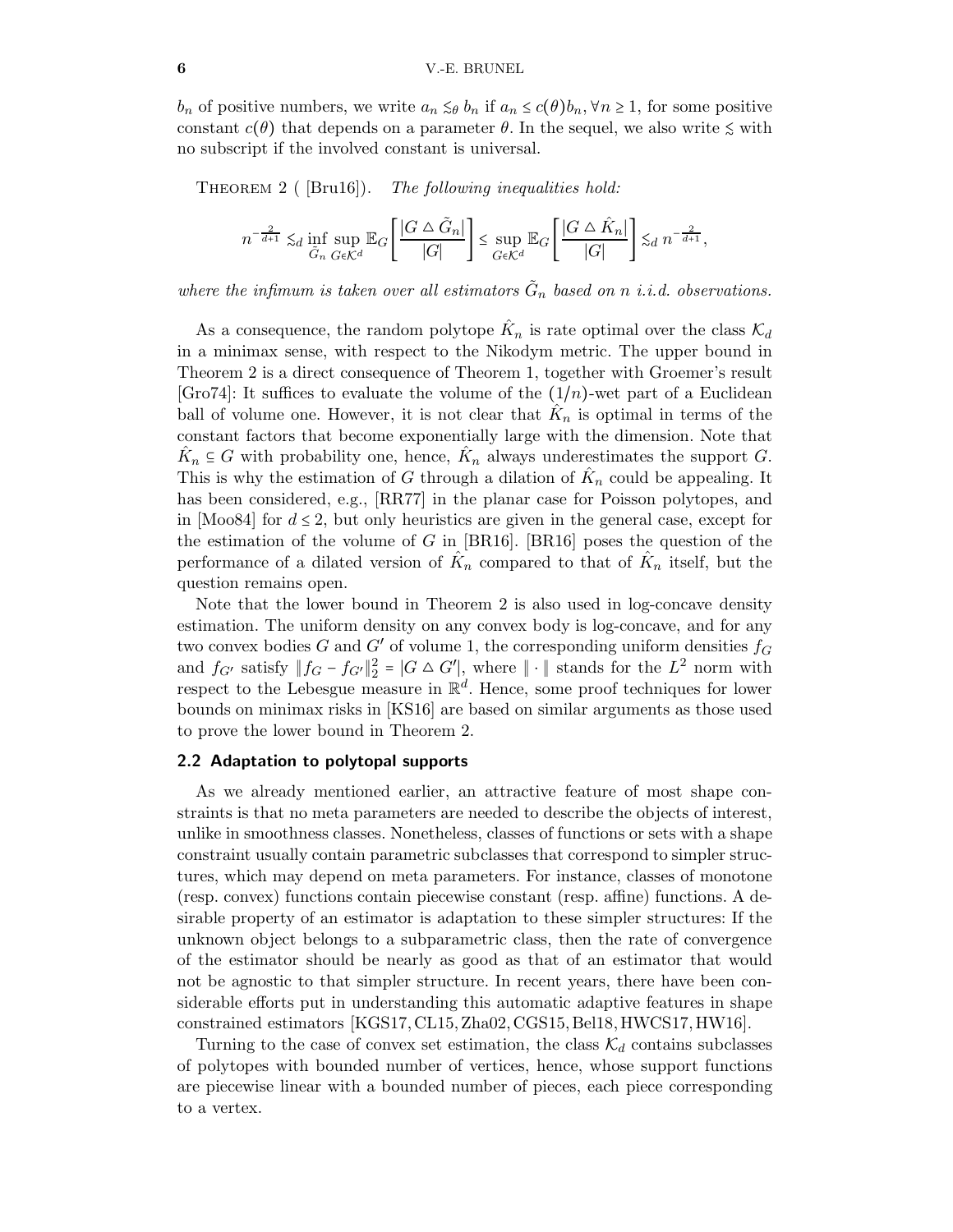<span id="page-5-0"></span> $b_n$  of positive numbers, we write  $a_n \leq \theta b_n$  if  $a_n \leq c(\theta)b_n$ ,  $\forall n \geq 1$ , for some positive constant  $c(\theta)$  that depends on a parameter  $\theta$ . In the sequel, we also write  $\leq$  with no subscript if the involved constant is universal.

THEOREM 2 ( $\text{[Bru16]}$ ). The following inequalities hold:

$$
n^{-\frac{2}{d+1}}\lesssim_d\inf_{\tilde{G}_n}\sup_{G\in\mathcal{K}^d}\mathbb{E}_G\Bigg[\frac{|G\mathbin{\triangle} \tilde{G}_n|}{|G|}\Bigg]\leq \sup_{G\in\mathcal{K}^d}\mathbb{E}_G\Bigg[\frac{|G\mathbin{\triangle} \hat{K}_n|}{|G|}\Bigg]\lesssim_d n^{-\frac{2}{d+1}},
$$

where the infimum is taken over all estimators  $\tilde{G}_n$  based on n i.i.d. observations.

As a consequence, the random polytope  $\hat{K}_n$  is rate optimal over the class  $\mathcal{K}_d$ in a minimax sense, with respect to the Nikodym metric. The upper bound in Theorem [2](#page-5-0) is a direct consequence of Theorem [1,](#page-4-1) together with Groemer's result [\[Gro74\]](#page-25-4): It suffices to evaluate the volume of the  $(1/n)$ -wet part of a Euclidean ball of volume one. However, it is not clear that  $\hat{K}_n$  is optimal in terms of the constant factors that become exponentially large with the dimension. Note that  $\hat{K}_n \subseteq G$  with probability one, hence,  $\hat{K}_n$  always underestimates the support G. This is why the estimation of G through a dilation of  $\hat{K}_n$  could be appealing. It has been considered, e.g., [\[RR77\]](#page-27-11) in the planar case for Poisson polytopes, and in [\[Moo84\]](#page-26-13) for  $d \leq 2$ , but only heuristics are given in the general case, except for the estimation of the volume of G in  $[BR16]$ .  $[BR16]$  poses the question of the performance of a dilated version of  $\hat{K}_n$  compared to that of  $\hat{K}_n$  itself, but the question remains open.

Note that the lower bound in Theorem [2](#page-5-0) is also used in log-concave density estimation. The uniform density on any convex body is log-concave, and for any two convex bodies G and G' of volume 1, the corresponding uniform densities  $f_G$ and  $f_{G'}$  satisfy  $||f_G - f_{G'}||_2^2 = |G \triangle G'||$ , where  $|| \cdot ||$  stands for the  $L^2$  norm with respect to the Lebesgue measure in  $\mathbb{R}^d$ . Hence, some proof techniques for lower bounds on minimax risks in [\[KS16\]](#page-26-1) are based on similar arguments as those used to prove the lower bound in Theorem [2.](#page-5-0)

### <span id="page-5-1"></span>2.2 Adaptation to polytopal supports

As we already mentioned earlier, an attractive feature of most shape constraints is that no meta parameters are needed to describe the objects of interest, unlike in smoothness classes. Nonetheless, classes of functions or sets with a shape constraint usually contain parametric subclasses that correspond to simpler structures, which may depend on meta parameters. For instance, classes of monotone (resp. convex) functions contain piecewise constant (resp. affine) functions. A desirable property of an estimator is adaptation to these simpler structures: If the unknown object belongs to a subparametric class, then the rate of convergence of the estimator should be nearly as good as that of an estimator that would not be agnostic to that simpler structure. In recent years, there have been considerable efforts put in understanding this automatic adaptive features in shape constrained estimators [\[KGS17,](#page-25-5) [CL15,](#page-24-10) [Zha02,](#page-28-1) [CGS15,](#page-24-0) [Bel18,](#page-23-6)[HWCS17,](#page-25-6) [HW16\]](#page-25-7).

Turning to the case of convex set estimation, the class  $\mathcal{K}_d$  contains subclasses of polytopes with bounded number of vertices, hence, whose support functions are piecewise linear with a bounded number of pieces, each piece corresponding to a vertex.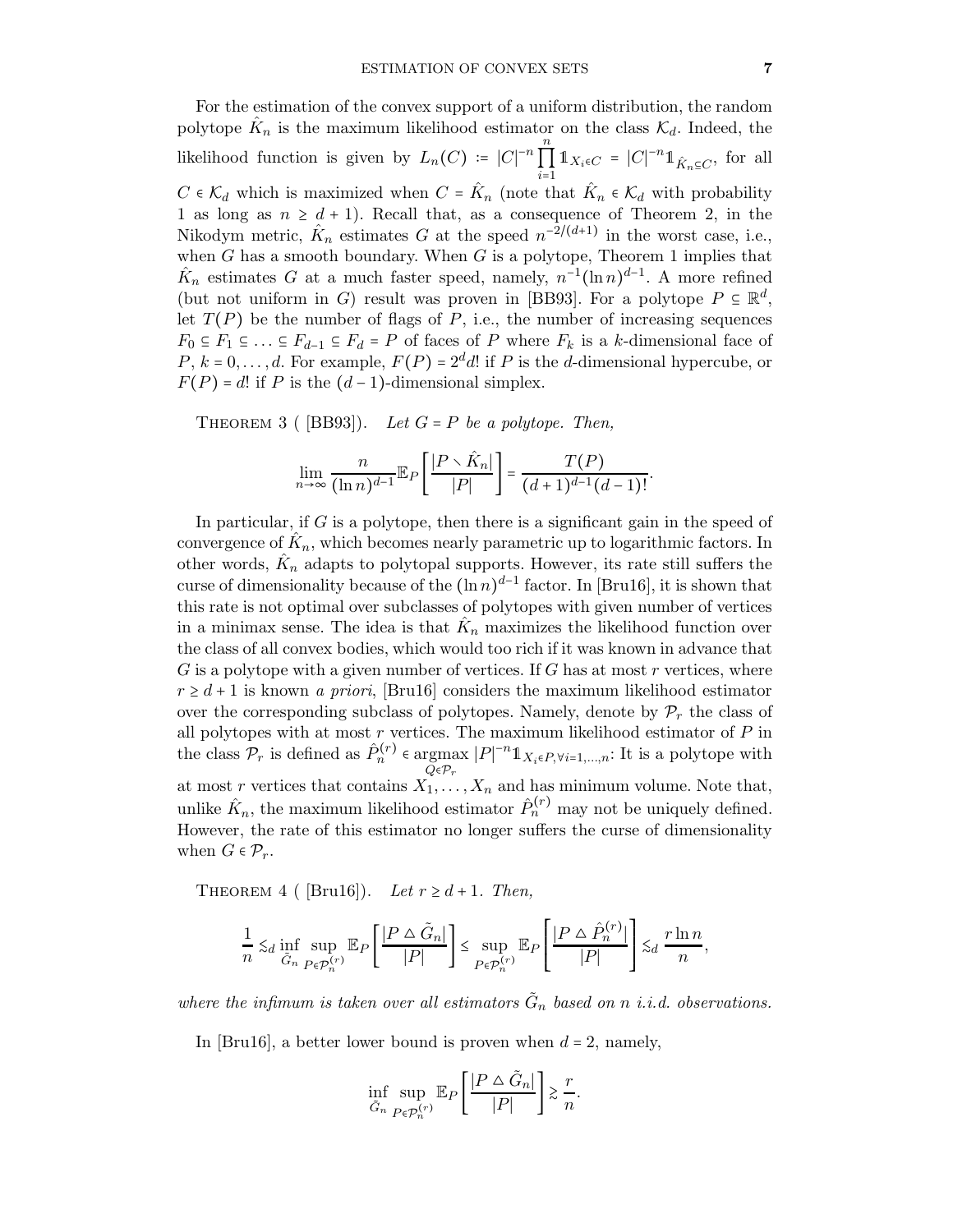For the estimation of the convex support of a uniform distribution, the random polytope  $\hat{K}_n$  is the maximum likelihood estimator on the class  $\mathcal{K}_d$ . Indeed, the likelihood function is given by  $L_n(C) = |C|^{-n} \prod_{i=1}^n$  $\prod_{i=1}$  $1_{X_i \in C} = |C|^{-n} 1_{\hat{K}_n \subseteq C}$ , for all  $C \in \mathcal{K}_d$  which is maximized when  $C = \hat{K}_n$  (note that  $\hat{K}_n \in \mathcal{K}_d$  with probability 1 as long as  $n \geq d + 1$ ). Recall that, as a consequence of Theorem [2,](#page-5-0) in the Nikodym metric,  $\hat{K}_n$  estimates G at the speed  $n^{-2/(d+1)}$  in the worst case, i.e., when  $G$  has a smooth boundary. When  $G$  is a polytope, Theorem [1](#page-4-1) implies that  $\hat{K}_n$  estimates G at a much faster speed, namely,  $n^{-1}(\ln n)^{d-1}$ . A more refined (but not uniform in G) result was proven in [\[BB93\]](#page-23-7). For a polytope  $P \subseteq \mathbb{R}^d$ , let  $T(P)$  be the number of flags of P, i.e., the number of increasing sequences  $F_0 \subseteq F_1 \subseteq \ldots \subseteq F_{d-1} \subseteq F_d = P$  of faces of P where  $F_k$  is a k-dimensional face of  $P, k = 0, \ldots, d$ . For example,  $F(P) = 2^d d!$  if P is the d-dimensional hypercube, or  $F(P) = d!$  if P is the  $(d-1)$ -dimensional simplex.

THEOREM 3 (  $[BB93]$ ). Let  $G = P$  be a polytope. Then,

$$
\lim_{n\to\infty}\frac{n}{(\ln n)^{d-1}}\mathbb{E}_P\left[\frac{|P\setminus\hat{K}_n|}{|P|}\right]=\frac{T(P)}{(d+1)^{d-1}(d-1)!}.
$$

In particular, if  $G$  is a polytope, then there is a significant gain in the speed of convergence of  $\hat{K}_n$ , which becomes nearly parametric up to logarithmic factors. In other words,  $\hat{K}_n$  adapts to polytopal supports. However, its rate still suffers the curse of dimensionality because of the  $(\ln n)^{d-1}$  factor. In [\[Bru16\]](#page-24-1), it is shown that this rate is not optimal over subclasses of polytopes with given number of vertices in a minimax sense. The idea is that  $\hat{K}_n$  maximizes the likelihood function over the class of all convex bodies, which would too rich if it was known in advance that  $G$  is a polytope with a given number of vertices. If  $G$  has at most  $r$  vertices, where  $r \geq d+1$  is known a priori, [\[Bru16\]](#page-24-1) considers the maximum likelihood estimator over the corresponding subclass of polytopes. Namely, denote by  $\mathcal{P}_r$  the class of all polytopes with at most  $r$  vertices. The maximum likelihood estimator of  $P$  in the class  $\mathcal{P}_r$  is defined as  $\hat{P}_n^{(r)} \in \operatorname{argmax} |P|^{-n} \mathbb{1}_{X_i \in P, \forall i=1,\dots,n}$ : It is a polytope with  $Q \epsilon \mathcal{P}_r$ at most r vertices that contains  $X_1, \ldots, X_n$  and has minimum volume. Note that, unlike  $\hat{K}_n$ , the maximum likelihood estimator  $\hat{P}_n^{(r)}$  may not be uniquely defined. However, the rate of this estimator no longer suffers the curse of dimensionality when  $G \in \mathcal{P}_r$ .

<span id="page-6-0"></span>THEOREM 4 ( [\[Bru16\]](#page-24-1)). Let  $r \geq d+1$ . Then,

$$
\frac{1}{n} \lesssim_d \inf_{\tilde{G}_n} \sup_{P \in \mathcal{P}_n^{(r)}} \mathbb{E}_P \left[ \frac{|P \wedge \tilde{G}_n|}{|P|} \right] \leq \sup_{P \in \mathcal{P}_n^{(r)}} \mathbb{E}_P \left[ \frac{|P \wedge \hat{P}_n^{(r)}|}{|P|} \right] \lesssim_d \frac{r \ln n}{n},
$$

where the infimum is taken over all estimators  $\tilde{G}_n$  based on n i.i.d. observations.

In [\[Bru16\]](#page-24-1), a better lower bound is proven when  $d = 2$ , namely,

$$
\inf_{\tilde{G}_n} \sup_{P \in \mathcal{P}_n^{(r)}} \mathbb{E}_P \left[ \frac{|P \bigtriangleup \tilde{G}_n|}{|P|} \right] \gtrsim \frac{r}{n}.
$$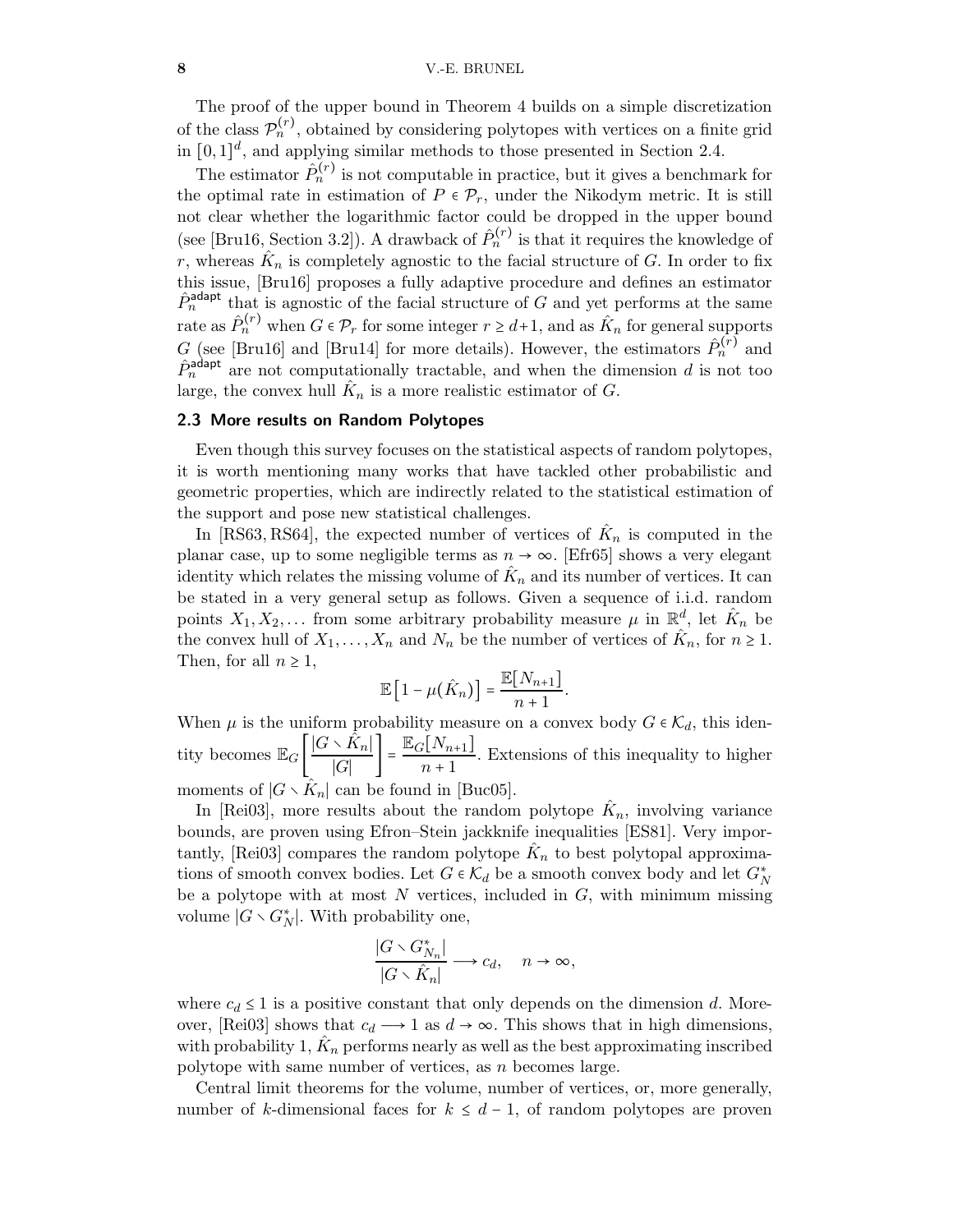The proof of the upper bound in Theorem [4](#page-6-0) builds on a simple discretization of the class  $\mathcal{P}_n^{(r)}$ , obtained by considering polytopes with vertices on a finite grid in  $[0,1]^d$ , and applying similar methods to those presented in Section [2.4.](#page-8-0)

The estimator  $\hat{P}_n^{(r)}$  is not computable in practice, but it gives a benchmark for the optimal rate in estimation of  $P \in \mathcal{P}_r$ , under the Nikodym metric. It is still not clear whether the logarithmic factor could be dropped in the upper bound (see [\[Bru16,](#page-24-1) Section 3.2]). A drawback of  $\hat{P}_n^{(r)}$  is that it requires the knowledge of r, whereas  $\hat{K}_n$  is completely agnostic to the facial structure of G. In order to fix this issue, [\[Bru16\]](#page-24-1) proposes a fully adaptive procedure and defines an estimator  $\hat{P}_n^{\text{adapt}}$  that is agnostic of the facial structure of G and yet performs at the same rate as  $\hat{P}_n^{(r)}$  when  $G \in \mathcal{P}_r$  for some integer  $r \geq d+1$ , and as  $\hat{K}_n$  for general supports G (see [\[Bru16\]](#page-24-1) and [\[Bru14\]](#page-23-8) for more details). However, the estimators  $\hat{P}_n^{(r)}$  and  $\hat{P}_n^{\text{adapt}}$  are not computationally tractable, and when the dimension d is not too large, the convex hull  $\hat{K}_n$  is a more realistic estimator of G.

## 2.3 More results on Random Polytopes

Even though this survey focuses on the statistical aspects of random polytopes, it is worth mentioning many works that have tackled other probabilistic and geometric properties, which are indirectly related to the statistical estimation of the support and pose new statistical challenges.

In [\[RS63,](#page-27-7) [RS64\]](#page-27-8), the expected number of vertices of  $\hat{K}_n$  is computed in the planar case, up to some negligible terms as  $n \to \infty$ . [\[Efr65\]](#page-24-8) shows a very elegant identity which relates the missing volume of  $\hat{K}_n$  and its number of vertices. It can be stated in a very general setup as follows. Given a sequence of i.i.d. random points  $X_1, X_2, \ldots$  from some arbitrary probability measure  $\mu$  in  $\mathbb{R}^d$ , let  $\hat{K}_n$  be the convex hull of  $X_1, \ldots, X_n$  and  $N_n$  be the number of vertices of  $\hat{K}_n$ , for  $n \geq 1$ . Then, for all  $n \geq 1$ ,

$$
\mathbb{E}\left[1-\mu(\hat{K}_n)\right]=\frac{\mathbb{E}[N_{n+1}]}{n+1}.
$$

When  $\mu$  is the uniform probability measure on a convex body  $G \in \mathcal{K}_d$ , this identity becomes  $\mathbb{E}_G\left[\frac{|G \setminus \hat{K}_n|}{|G|}\right]$  $\frac{\widehat{\mathcal{K}}_n}{|G|}$  =  $\frac{\mathbb{E}_G[N_{n+1}]}{n+1}$  $\frac{n_1 + n_2 + n_3}{n_1 + 1}$ . Extensions of this inequality to higher moments of  $|G \setminus \hat{K}_n|$  can be found in [\[Buc05\]](#page-24-11).

In [\[Rei03\]](#page-27-12), more results about the random polytope  $\hat{K}_n$ , involving variance bounds, are proven using Efron–Stein jackknife inequalities [\[ES81\]](#page-25-8). Very impor-tantly, [\[Rei03\]](#page-27-12) compares the random polytope  $\hat{K}_n$  to best polytopal approximations of smooth convex bodies. Let  $G \in \mathcal{K}_d$  be a smooth convex body and let  $G_N^*$ be a polytope with at most  $N$  vertices, included in  $G$ , with minimum missing volume  $|G \setminus G_N^*|$ . With probability one,

$$
\frac{|G \setminus G^*_{N_n}|}{|G \setminus \hat{K}_n|} \longrightarrow c_d, \quad n \to \infty,
$$

where  $c_d \leq 1$  is a positive constant that only depends on the dimension d. More-over, [\[Rei03\]](#page-27-12) shows that  $c_d \rightarrow 1$  as  $d \rightarrow \infty$ . This shows that in high dimensions, with probability 1,  $\hat{K}_n$  performs nearly as well as the best approximating inscribed polytope with same number of vertices, as n becomes large.

Central limit theorems for the volume, number of vertices, or, more generally, number of k-dimensional faces for  $k \leq d-1$ , of random polytopes are proven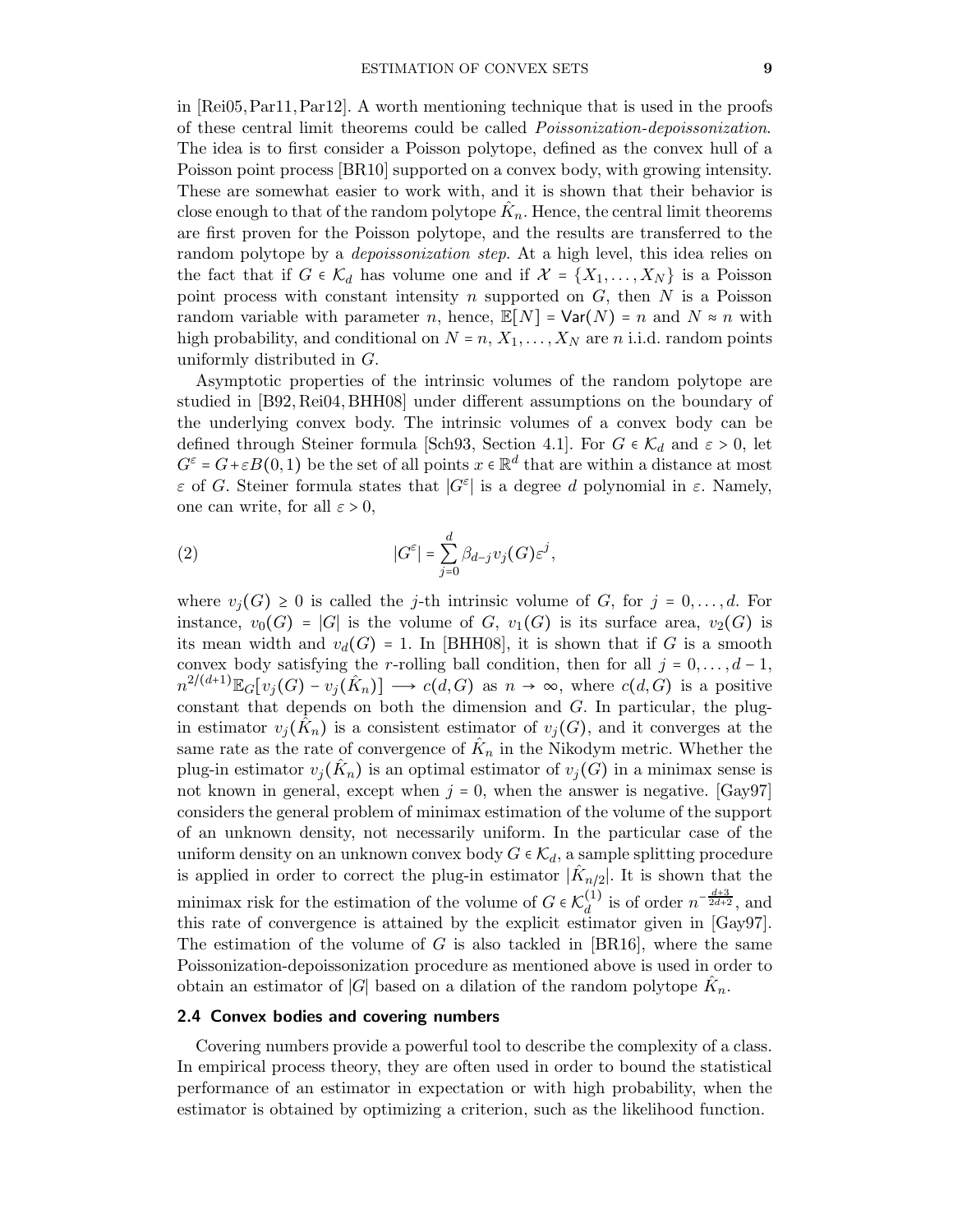in [\[Rei05,](#page-27-13)[Par11,](#page-26-14)[Par12\]](#page-26-15). A worth mentioning technique that is used in the proofs of these central limit theorems could be called Poissonization-depoissonization. The idea is to first consider a Poisson polytope, defined as the convex hull of a Poisson point process [\[BR10\]](#page-23-9) supported on a convex body, with growing intensity. These are somewhat easier to work with, and it is shown that their behavior is close enough to that of the random polytope  $\hat{K}_n.$  Hence, the central limit theorems are first proven for the Poisson polytope, and the results are transferred to the random polytope by a *depoissonization step*. At a high level, this idea relies on the fact that if  $G \in \mathcal{K}_d$  has volume one and if  $\mathcal{X} = \{X_1, \ldots, X_N\}$  is a Poisson point process with constant intensity n supported on  $G$ , then  $N$  is a Poisson random variable with parameter n, hence,  $\mathbb{E}[N] = \text{Var}(N) = n$  and  $N \approx n$  with high probability, and conditional on  $N = n$ ,  $X_1, \ldots, X_N$  are n i.i.d. random points uniformly distributed in G.

Asymptotic properties of the intrinsic volumes of the random polytope are studied in [\[B92,](#page-23-10) [Rei04,](#page-27-14) [BHH08\]](#page-23-11) under different assumptions on the boundary of the underlying convex body. The intrinsic volumes of a convex body can be defined through Steiner formula [\[Sch93,](#page-27-5) Section 4.1]. For  $G \in \mathcal{K}_d$  and  $\varepsilon > 0$ , let  $G^{\varepsilon} = G + \varepsilon B(0, 1)$  be the set of all points  $x \in \mathbb{R}^d$  that are within a distance at most  $\varepsilon$  of G. Steiner formula states that  $|G^{\varepsilon}|$  is a degree d polynomial in  $\varepsilon$ . Namely, one can write, for all  $\varepsilon > 0$ ,

<span id="page-8-1"></span>(2) 
$$
|G^{\varepsilon}| = \sum_{j=0}^{d} \beta_{d-j} v_j(G) \varepsilon^j,
$$

where  $v_i(G) \geq 0$  is called the *j*-th intrinsic volume of G, for  $j = 0, \ldots, d$ . For instance,  $v_0(G) = |G|$  is the volume of G,  $v_1(G)$  is its surface area,  $v_2(G)$  is its mean width and  $v_d(G) = 1$ . In [\[BHH08\]](#page-23-11), it is shown that if G is a smooth convex body satisfying the r-rolling ball condition, then for all  $j = 0, \ldots, d - 1$ ,  $n^{2/(d+1)} \mathbb{E}_G[v_j(G) - v_j(\hat{K}_n)] \longrightarrow c(d, G)$  as  $n \to \infty$ , where  $c(d, G)$  is a positive constant that depends on both the dimension and  $G$ . In particular, the plugin estimator  $v_j(\hat{K}_n)$  is a consistent estimator of  $v_j(G)$ , and it converges at the same rate as the rate of convergence of  $\hat{K}_n$  in the Nikodym metric. Whether the plug-in estimator  $v_j(\hat{K}_n)$  is an optimal estimator of  $v_j(G)$  in a minimax sense is not known in general, except when  $j = 0$ , when the answer is negative. [\[Gay97\]](#page-25-9) considers the general problem of minimax estimation of the volume of the support of an unknown density, not necessarily uniform. In the particular case of the uniform density on an unknown convex body  $G \in \mathcal{K}_d$ , a sample splitting procedure is applied in order to correct the plug-in estimator  $|\hat{K}_{n/2}|$ . It is shown that the minimax risk for the estimation of the volume of  $G \in \mathcal{K}_d^{(1)}$  $\frac{d^{(1)}}{d}$  is of order  $n^{-\frac{d+3}{2d+2}}$ , and this rate of convergence is attained by the explicit estimator given in [\[Gay97\]](#page-25-9). The estimation of the volume of G is also tackled in  $[BR16]$ , where the same Poissonization-depoissonization procedure as mentioned above is used in order to obtain an estimator of |G| based on a dilation of the random polytope  $\hat{K}_n$ .

#### <span id="page-8-0"></span>2.4 Convex bodies and covering numbers

Covering numbers provide a powerful tool to describe the complexity of a class. In empirical process theory, they are often used in order to bound the statistical performance of an estimator in expectation or with high probability, when the estimator is obtained by optimizing a criterion, such as the likelihood function.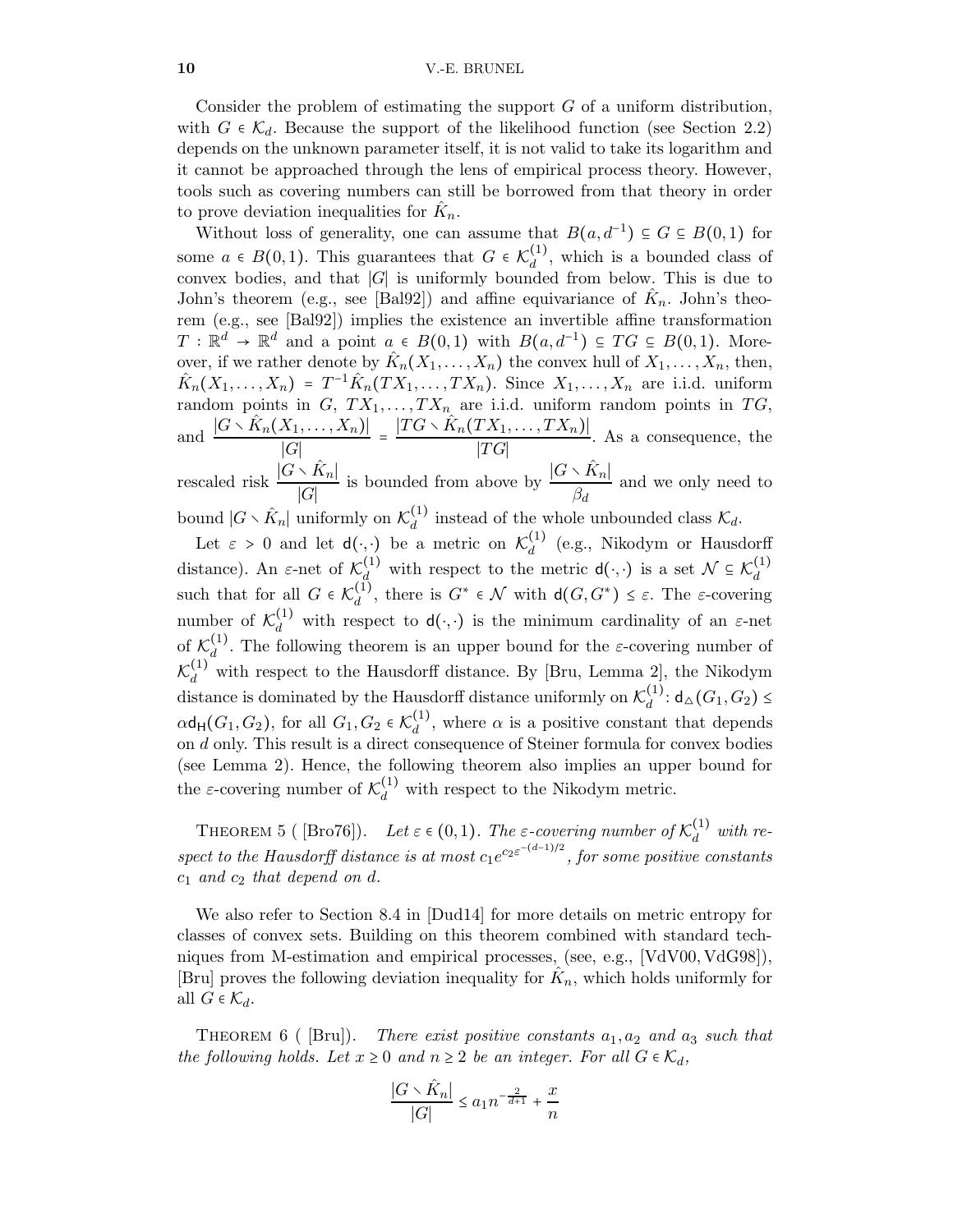Consider the problem of estimating the support  $G$  of a uniform distribution, with  $G \in \mathcal{K}_d$ . Because the support of the likelihood function (see Section [2.2\)](#page-5-1) depends on the unknown parameter itself, it is not valid to take its logarithm and it cannot be approached through the lens of empirical process theory. However, tools such as covering numbers can still be borrowed from that theory in order to prove deviation inequalities for  $\hat{K}_n$ .

Without loss of generality, one can assume that  $B(a, d^{-1}) \subseteq G \subseteq B(0, 1)$  for some  $a \in B(0,1)$ . This guarantees that  $G \in \mathcal{K}_d^{(1)}$  $\frac{d^{(1)}}{d}$ , which is a bounded class of convex bodies, and that ∣G∣ is uniformly bounded from below. This is due to John's theorem (e.g., see [\[Bal92\]](#page-23-12)) and affine equivariance of  $\hat{K}_n$ . John's theorem (e.g., see [\[Bal92\]](#page-23-12)) implies the existence an invertible affine transformation  $T: \mathbb{R}^d \to \mathbb{R}^d$  and a point  $a \in B(0,1)$  with  $B(a, d^{-1}) \subseteq TG \subseteq B(0,1)$ . Moreover, if we rather denote by  $\hat{K}_n(X_1,\ldots,X_n)$  the convex hull of  $X_1,\ldots,X_n$ , then,  $\hat{K}_n(X_1,\ldots,X_n) = T^{-1}\hat{K}_n(TX_1,\ldots,TX_n)$ . Since  $X_1,\ldots,X_n$  are i.i.d. uniform random points in  $G, TX_1, \ldots, TX_n$  are i.i.d. uniform random points in  $TG$ , and  $\frac{|G \setminus \hat{K}_n(X_1,\ldots,X_n)|}{|G|}$  $\frac{|X_1,\ldots,X_n)|}{|G|} = \frac{|TG \setminus \hat{K}_n(TX_1,\ldots,TX_n)|}{|TG|}$  $\frac{[TG]}{[TG]}$ . As a consequence, the rescaled risk  $\frac{|G \setminus \hat{K}_n|}{|G|}$ ∣G∣ is bounded from above by  $\frac{|G \setminus \hat{K}_n|}{\rho}$  $\frac{\partial^2 \mathbf{H}_l}{\partial d}$  and we only need to bound  $|G \times \hat{K}_n|$  uniformly on  $\mathcal{K}_d^{(1)}$  $\mathcal{L}_d^{(1)}$  instead of the whole unbounded class  $\mathcal{K}_d$ .

Let  $\varepsilon > 0$  and let  $d(\cdot, \cdot)$  be a metric on  $\mathcal{K}_d^{(1)}$  $d \choose d$  (e.g., Nikodym or Hausdorff distance). An  $\varepsilon$ -net of  $\mathcal{K}_d^{(1)}$  with respect to the metric  $d(\cdot, \cdot)$  is a set  $\mathcal{N} \subseteq \mathcal{K}_d^{(1)}$ d such that for all  $G \in \mathcal{K}_d^{(\tilde{1})}$ <sup>(1)</sup>, there is  $G^* \in \mathcal{N}$  with  $d(G, G^*) \leq \varepsilon$ . The  $\varepsilon$ -covering number of  $\mathcal{K}_d^{(1)}$  with respect to  $d(\cdot, \cdot)$  is the minimum cardinality of an  $\varepsilon$ -net of  $\mathcal{K}_d^{(1)}$  $\frac{d^{(1)}}{d}$ . The following theorem is an upper bound for the *ε*-covering number of  $\mathcal{K}_d^{(1)}$  with respect to the Hausdorff distance. By [\[Bru,](#page-23-0) Lemma 2], the Nikodym distance is dominated by the Hausdorff distance uniformly on  $\mathcal{K}_d^{(1)}$  $\frac{(1)}{d}$ : d $\Delta(G_1, G_2)$  ≤  $\alpha$ d<sub>H</sub> $(G_1, G_2)$ , for all  $G_1, G_2 \in \mathcal{K}_d^{(1)}$  $\alpha_d^{(1)}$ , where  $\alpha$  is a positive constant that depends on d only. This result is a direct consequence of Steiner formula for convex bodies (see Lemma [2\)](#page-8-1). Hence, the following theorem also implies an upper bound for the  $\varepsilon$ -covering number of  $\mathcal{K}_d^{(1)}$  with respect to the Nikodym metric.

THEOREM 5 (  $[\text{Bro76}]$ ). Let  $\varepsilon \in (0,1)$ . The  $\varepsilon$ -covering number of  $\mathcal{K}_d^{(1)}$  $\int_{d}^{(1)}$  with respect to the Hausdorff distance is at most  $c_1e^{c_2\varepsilon^{-(d-1)/2}}$ , for some positive constants  $c_1$  and  $c_2$  that depend on d.

We also refer to Section 8.4 in [\[Dud14\]](#page-24-12) for more details on metric entropy for classes of convex sets. Building on this theorem combined with standard techniques from M-estimation and empirical processes, (see, e.g., [\[VdV00,](#page-27-15) [VdG98\]](#page-27-16)), [\[Bru\]](#page-23-0) proves the following deviation inequality for  $\hat{K}_n$ , which holds uniformly for all  $G \in \mathcal{K}_d$ .

THEOREM 6 ( [\[Bru\]](#page-23-0)). There exist positive constants  $a_1, a_2$  and  $a_3$  such that the following holds. Let  $x \geq 0$  and  $n \geq 2$  be an integer. For all  $G \in \mathcal{K}_d$ ,

$$
\frac{|G\smallsetminus \hat{K}_n|}{|G|}\leq a_1 n^{-\frac{2}{d+1}}+\frac{x}{n}
$$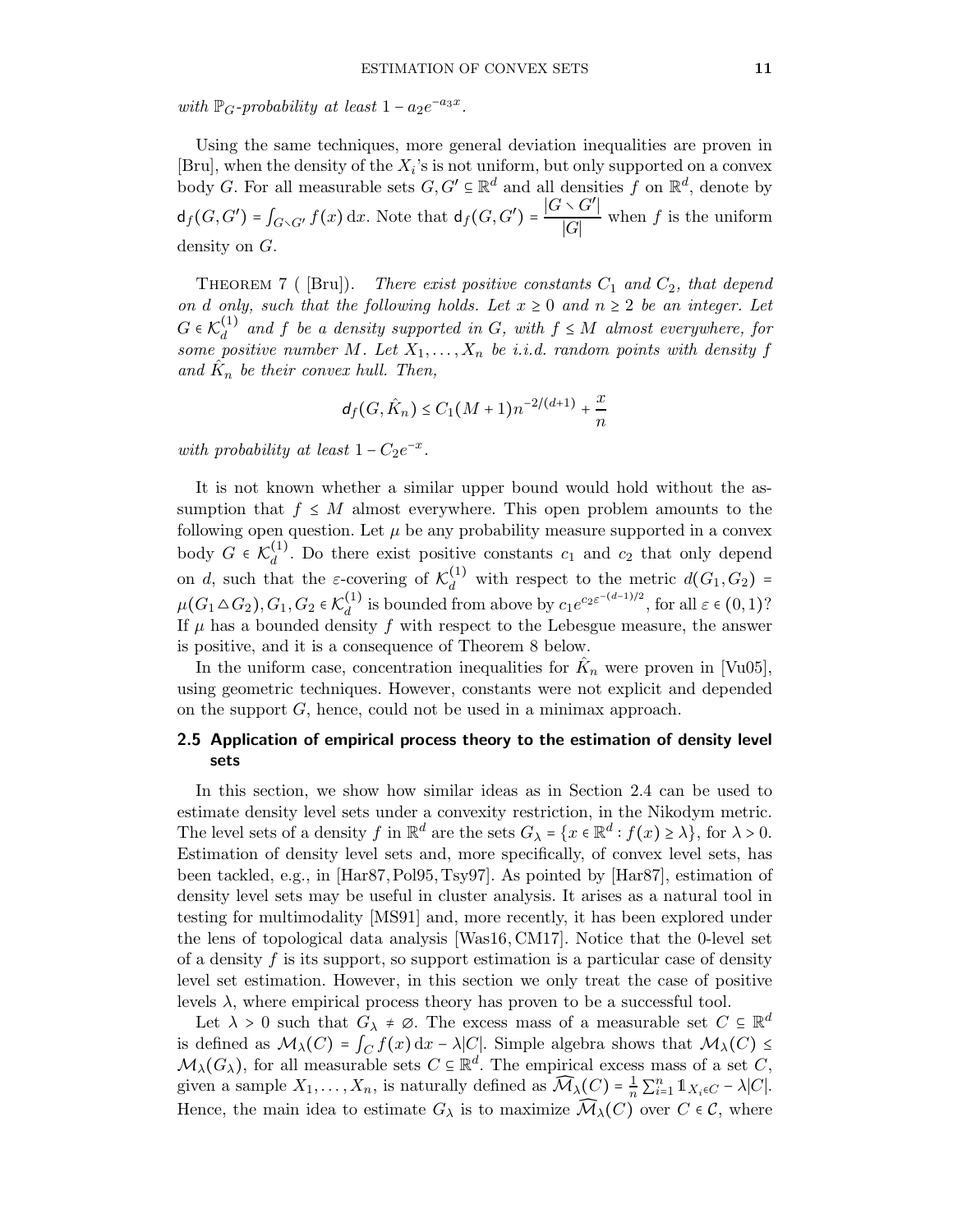with  $\mathbb{P}_G$ -probability at least  $1 - a_2e^{-a_3x}$ .

Using the same techniques, more general deviation inequalities are proven in [\[Bru\]](#page-23-0), when the density of the  $X_i$ 's is not uniform, but only supported on a convex body G. For all measurable sets  $G, G' \subseteq \mathbb{R}^d$  and all densities f on  $\mathbb{R}^d$ , denote by  $d_f(G, G') = \int_{G \setminus G'} f(x) dx$ . Note that  $d_f(G, G') = \frac{|G \setminus G'|}{|G|}$  $\frac{|G|}{|G|}$  when f is the uniform density on G.

THEOREM 7 (  $[Bru]$ ). There exist positive constants  $C_1$  and  $C_2$ , that depend on d only, such that the following holds. Let  $x \geq 0$  and  $n \geq 2$  be an integer. Let  $G \in \mathcal{K}_d^{(1)}$  and f be a density supported in G, with  $f \leq M$  almost everywhere, for  $G \in \mathcal{K}_d$  and f be a density supported in  $G$ , with  $f \leq M$  almost everywhere, for<br>some positive number M. Let  $X_1, \ldots, X_n$  be i.i.d. random points with density f and  $\hat{K}_n$  be their convex hull. Then,

$$
d_f(G,\hat{K}_n) \leq C_1 (M+1) n^{-2/(d+1)} + \frac{x}{n}
$$

with probability at least  $1 - C_2 e^{-x}$ .

It is not known whether a similar upper bound would hold without the assumption that  $f \leq M$  almost everywhere. This open problem amounts to the following open question. Let  $\mu$  be any probability measure supported in a convex body  $G \in \mathcal{K}_d^{(1)}$  $d<sub>d</sub>$ . Do there exist positive constants  $c_1$  and  $c_2$  that only depend on d, such that the  $\varepsilon$ -covering of  $\mathcal{K}_d^{(1)}$  with respect to the metric  $d(G_1, G_2)$  =  $\mu(G_1 \Delta G_2), G_1, G_2 \in \mathcal{K}_d^{(1)}$ <sup>(1)</sup> is bounded from above by  $c_1 e^{c_2 \varepsilon^{-(d-1)/2}}$ , for all  $\varepsilon \in (0,1)$ ? If  $\mu$  has a bounded density  $f$  with respect to the Lebesgue measure, the answer is positive, and it is a consequence of Theorem [8](#page-11-0) below.

In the uniform case, concentration inequalities for  $\hat{K}_n$  were proven in [\[Vu05\]](#page-27-17), using geometric techniques. However, constants were not explicit and depended on the support G, hence, could not be used in a minimax approach.

## 2.5 Application of empirical process theory to the estimation of density level sets

In this section, we show how similar ideas as in Section [2.4](#page-8-0) can be used to estimate density level sets under a convexity restriction, in the Nikodym metric. The level sets of a density f in  $\mathbb{R}^d$  are the sets  $G_\lambda = \{x \in \mathbb{R}^d : f(x) \ge \lambda\}$ , for  $\lambda > 0$ . Estimation of density level sets and, more specifically, of convex level sets, has been tackled, e.g., in [\[Har87,](#page-25-1)[Pol95,](#page-26-10) [Tsy97\]](#page-27-6). As pointed by [\[Har87\]](#page-25-1), estimation of density level sets may be useful in cluster analysis. It arises as a natural tool in testing for multimodality [\[MS91\]](#page-26-16) and, more recently, it has been explored under the lens of topological data analysis [\[Was16,](#page-28-2) [CM17\]](#page-24-13). Notice that the 0-level set of a density  $f$  is its support, so support estimation is a particular case of density level set estimation. However, in this section we only treat the case of positive levels  $\lambda$ , where empirical process theory has proven to be a successful tool.

Let  $\lambda > 0$  such that  $G_{\lambda} \neq \emptyset$ . The excess mass of a measurable set  $C \subseteq \mathbb{R}^d$ is defined as  $\mathcal{M}_{\lambda}(C) = \int_C f(x) dx - \lambda |C|$ . Simple algebra shows that  $\mathcal{M}_{\lambda}(C) \leq$  $\mathcal{M}_{\lambda}(G_{\lambda})$ , for all measurable sets  $C \subseteq \mathbb{R}^{d}$ . The empirical excess mass of a set C, given a sample  $X_1, \ldots, X_n$ , is naturally defined as  $\widehat{\mathcal{M}}_{\lambda}(C) = \frac{1}{n} \sum_{i=1}^n \mathbb{1}_{X_i \in C} - \lambda |C|$ . Hence, the main idea to estimate  $G_{\lambda}$  is to maximize  $\mathcal{M}_{\lambda}(C)$  over  $C \in \mathcal{C}$ , where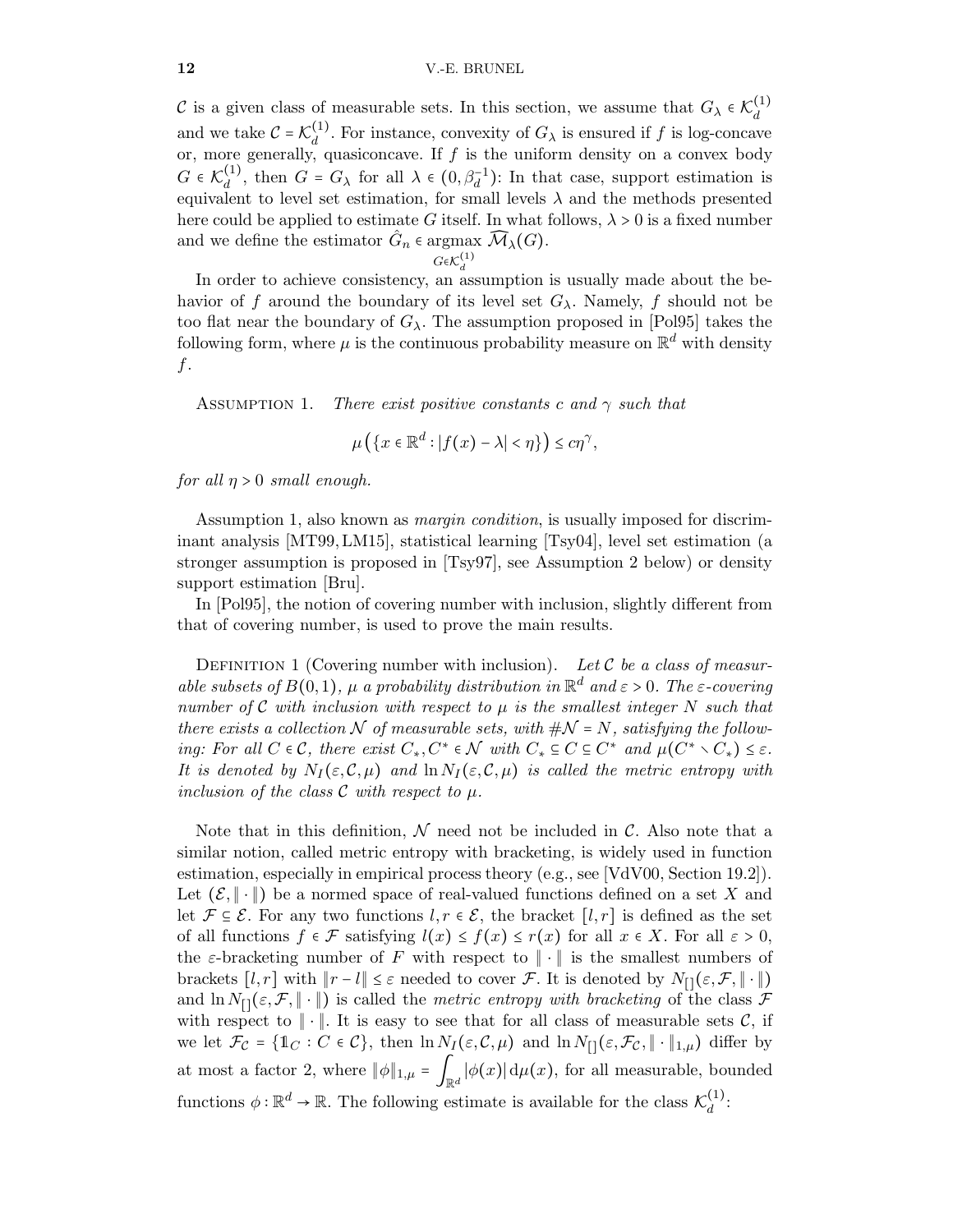#### 12 V.-E. BRUNEL

C is a given class of measurable sets. In this section, we assume that  $G_{\lambda} \in \mathcal{K}_d^{(1)}$ d and we take  $C = \mathcal{K}_d^{(1)}$  $\frac{d^{(1)}}{d}$ . For instance, convexity of  $G_{\lambda}$  is ensured if f is log-concave or, more generally, quasiconcave. If  $f$  is the uniform density on a convex body  $G \in \mathcal{K}_d^{(1)}$ <sup>(1)</sup>, then  $G = G_\lambda$  for all  $\lambda \in (0, \beta_d^{-1})$ : In that case, support estimation is equivalent to level set estimation, for small levels  $\lambda$  and the methods presented here could be applied to estimate G itself. In what follows,  $\lambda > 0$  is a fixed number and we define the estimator  $\hat{G}_n$   $\in$  argmax  $\widehat{\mathcal{M}}_{\lambda}(G)$ .

$$
G\!\!\in\!\! \mathcal{K}^{(1)}_d
$$

In order to achieve consistency, an assumption is usually made about the behavior of f around the boundary of its level set  $G_{\lambda}$ . Namely, f should not be too flat near the boundary of  $G_{\lambda}$ . The assumption proposed in [\[Pol95\]](#page-26-10) takes the following form, where  $\mu$  is the continuous probability measure on  $\mathbb{R}^d$  with density f.

<span id="page-11-1"></span>ASSUMPTION 1. There exist positive constants c and  $\gamma$  such that

$$
\mu\left(\left\{x\in\mathbb{R}^d:|f(x)-\lambda|<\eta\right\}\right)\leq c\eta^\gamma,
$$

for all  $\eta > 0$  small enough.

Assumption [1,](#page-11-1) also known as margin condition, is usually imposed for discriminant analysis [\[MT99,](#page-26-17) [LM15\]](#page-26-18), statistical learning [\[Tsy04\]](#page-27-18), level set estimation (a stronger assumption is proposed in [\[Tsy97\]](#page-27-6), see Assumption [2](#page-13-0) below) or density support estimation [\[Bru\]](#page-23-0).

In [\[Pol95\]](#page-26-10), the notion of covering number with inclusion, slightly different from that of covering number, is used to prove the main results.

DEFINITION 1 (Covering number with inclusion). Let  $\mathcal C$  be a class of measurable subsets of  $B(0,1)$ ,  $\mu$  a probability distribution in  $\mathbb{R}^d$  and  $\varepsilon > 0$ . The  $\varepsilon$ -covering number of C with inclusion with respect to  $\mu$  is the smallest integer N such that there exists a collection N of measurable sets, with  $\#\mathcal{N} = N$ , satisfying the following: For all  $C \in \mathcal{C}$ , there exist  $C_*, C^* \in \mathcal{N}$  with  $C_* \subseteq C \subseteq C^*$  and  $\mu(C^* \setminus C_*) \leq \varepsilon$ . It is denoted by  $N_I(\varepsilon,\mathcal{C},\mu)$  and  $\ln N_I(\varepsilon,\mathcal{C},\mu)$  is called the metric entropy with inclusion of the class  $\mathcal C$  with respect to  $\mu$ .

<span id="page-11-0"></span>Note that in this definition,  $\mathcal N$  need not be included in  $\mathcal C$ . Also note that a similar notion, called metric entropy with bracketing, is widely used in function estimation, especially in empirical process theory (e.g., see [\[VdV00,](#page-27-15) Section 19.2]). Let  $(\mathcal{E}, \|\cdot\|)$  be a normed space of real-valued functions defined on a set X and let  $\mathcal{F} \subseteq \mathcal{E}$ . For any two functions  $l, r \in \mathcal{E}$ , the bracket  $[l, r]$  is defined as the set of all functions  $f \in \mathcal{F}$  satisfying  $l(x) \leq f(x) \leq r(x)$  for all  $x \in X$ . For all  $\varepsilon > 0$ , the  $\varepsilon$ -bracketing number of F with respect to  $\|\cdot\|$  is the smallest numbers of brackets  $[l, r]$  with  $||r - l|| \leq \varepsilon$  needed to cover  $\mathcal{F}$ . It is denoted by  $N_{[]}(\varepsilon, \mathcal{F}, || \cdot ||)$ and  $\ln N_{\text{r}}(\varepsilon,\mathcal{F},\|\cdot\|)$  is called the *metric entropy with bracketing* of the class  $\mathcal F$ with respect to  $\|\cdot\|$ . It is easy to see that for all class of measurable sets  $\mathcal{C}$ , if we let  $\mathcal{F}_{\mathcal{C}} = \{\mathbb{1}_{C} : C \in \mathcal{C}\}\$ , then  $\ln N_I(\varepsilon, \mathcal{C}, \mu)$  and  $\ln N_{\Pi}(\varepsilon, \mathcal{F}_{\mathcal{C}}, \|\cdot\|_{1,\mu})$  differ by at most a factor 2, where  $\|\phi\|_{1,\mu} = \int_{\mathbb{R}^d} |\phi(x)| d\mu(x)$ , for all measurable, bounded functions  $\phi : \mathbb{R}^d \to \mathbb{R}$ . The following estimate is available for the class  $\mathcal{K}_d^{(1)}$  $\frac{1}{d}$ :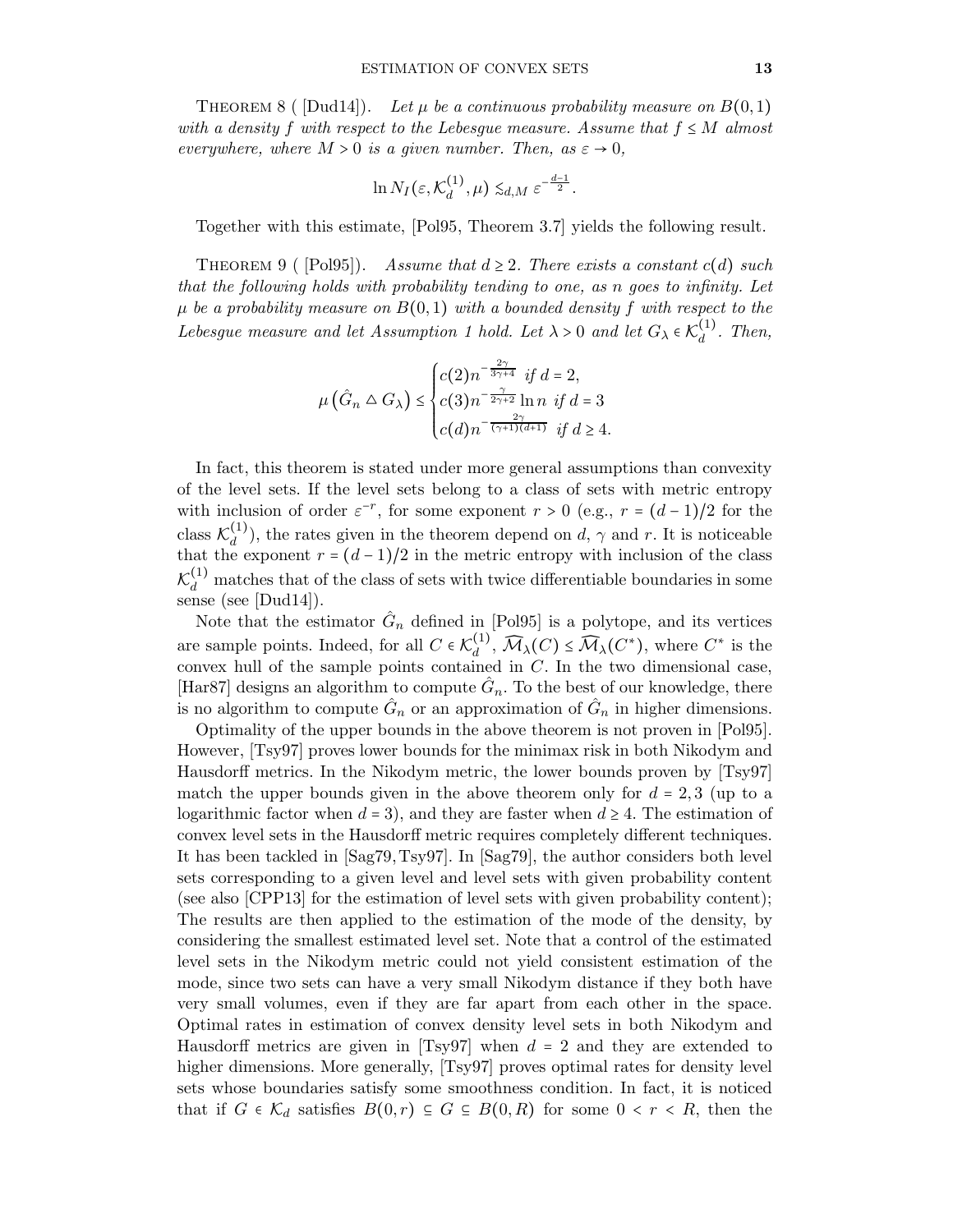THEOREM 8 ( $Dud14$ ). Let  $\mu$  be a continuous probability measure on  $B(0,1)$ with a density f with respect to the Lebesgue measure. Assume that  $f \leq M$  almost everywhere, where  $M > 0$  is a given number. Then, as  $\varepsilon \to 0$ ,

$$
\ln N_I(\varepsilon,\mathcal{K}_d^{(1)},\mu) \lesssim_{d,M} \varepsilon^{-\frac{d-1}{2}}.
$$

<span id="page-12-0"></span>Together with this estimate, [\[Pol95,](#page-26-10) Theorem 3.7] yields the following result.

THEOREM 9 (  $[Pol95]$ ). Assume that  $d \geq 2$ . There exists a constant c(d) such that the following holds with probability tending to one, as n goes to infinity. Let  $\mu$  be a probability measure on  $B(0,1)$  with a bounded density f with respect to the Lebesgue measure and let Assumption [1](#page-11-1) hold. Let  $\lambda > 0$  and let  $G_{\lambda} \in \mathcal{K}_d^{(1)}$  $\int_d^{(1)}$ . Then,

$$
\mu\left(\hat{G}_n \triangle G_\lambda\right) \le \begin{cases} c(2)n^{-\frac{2\gamma}{3\gamma+4}} & \text{if } d = 2, \\ c(3)n^{-\frac{\gamma}{2\gamma+2}} \ln n & \text{if } d = 3 \\ c(d)n^{-\frac{2\gamma}{(\gamma+1)(d+1)}} & \text{if } d \ge 4. \end{cases}
$$

In fact, this theorem is stated under more general assumptions than convexity of the level sets. If the level sets belong to a class of sets with metric entropy with inclusion of order  $\varepsilon^{-r}$ , for some exponent  $r > 0$  (e.g.,  $r = (d-1)/2$  for the class  $\mathcal{K}_d^{(1)}$  $\binom{1}{d}$ , the rates given in the theorem depend on d,  $\gamma$  and r. It is noticeable that the exponent  $r = (d-1)/2$  in the metric entropy with inclusion of the class  $\mathcal{K}_d^{(1)}$  matches that of the class of sets with twice differentiable boundaries in some sense (see [\[Dud14\]](#page-24-12)).

Note that the estimator  $\hat{G}_n$  defined in [\[Pol95\]](#page-26-10) is a polytope, and its vertices are sample points. Indeed, for all  $C \in \mathcal{K}_d^{(1)}$  $\bigotimes_d^{(1)}$ ,  $\widehat{\mathcal{M}}_{\lambda}(C) \leq \widehat{\mathcal{M}}_{\lambda}(C^*)$ , where  $C^*$  is the convex hull of the sample points contained in  $C$ . In the two dimensional case, [\[Har87\]](#page-25-1) designs an algorithm to compute  $\hat{G}_n$ . To the best of our knowledge, there is no algorithm to compute  $\hat{G}_n$  or an approximation of  $\hat{G}_n$  in higher dimensions.

Optimality of the upper bounds in the above theorem is not proven in [\[Pol95\]](#page-26-10). However, [\[Tsy97\]](#page-27-6) proves lower bounds for the minimax risk in both Nikodym and Hausdorff metrics. In the Nikodym metric, the lower bounds proven by [\[Tsy97\]](#page-27-6) match the upper bounds given in the above theorem only for  $d = 2, 3$  (up to a logarithmic factor when  $d = 3$ , and they are faster when  $d \geq 4$ . The estimation of convex level sets in the Hausdorff metric requires completely different techniques. It has been tackled in [\[Sag79,](#page-27-19)[Tsy97\]](#page-27-6). In [\[Sag79\]](#page-27-19), the author considers both level sets corresponding to a given level and level sets with given probability content (see also [\[CPP13\]](#page-24-14) for the estimation of level sets with given probability content); The results are then applied to the estimation of the mode of the density, by considering the smallest estimated level set. Note that a control of the estimated level sets in the Nikodym metric could not yield consistent estimation of the mode, since two sets can have a very small Nikodym distance if they both have very small volumes, even if they are far apart from each other in the space. Optimal rates in estimation of convex density level sets in both Nikodym and Hausdorff metrics are given in [\[Tsy97\]](#page-27-6) when  $d = 2$  and they are extended to higher dimensions. More generally, [\[Tsy97\]](#page-27-6) proves optimal rates for density level sets whose boundaries satisfy some smoothness condition. In fact, it is noticed that if  $G \in \mathcal{K}_d$  satisfies  $B(0,r) \subseteq G \subseteq B(0,R)$  for some  $0 \leq r \leq R$ , then the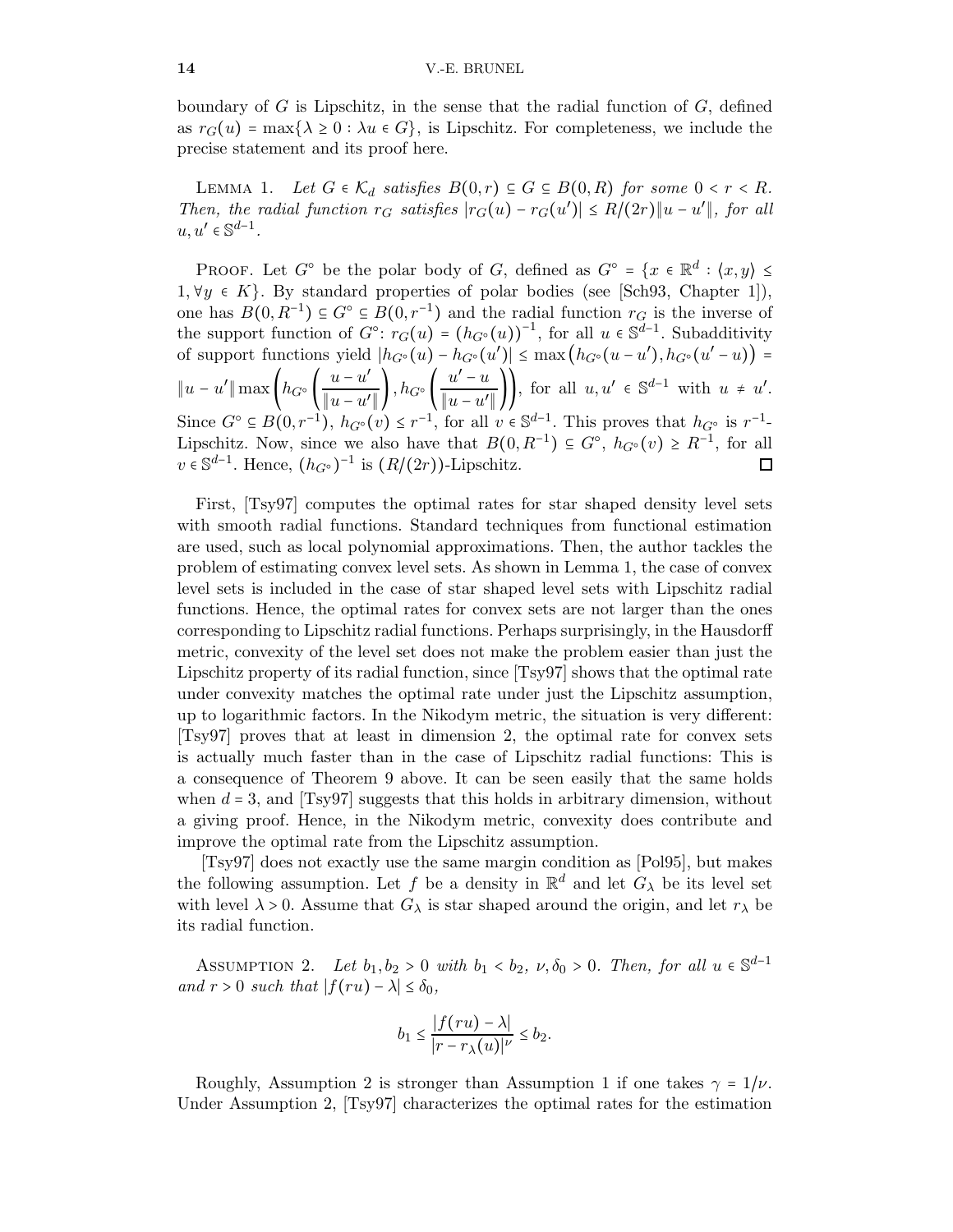<span id="page-13-1"></span>boundary of  $G$  is Lipschitz, in the sense that the radial function of  $G$ , defined as  $r_G(u) = \max\{\lambda \geq 0 : \lambda u \in G\}$ , is Lipschitz. For completeness, we include the precise statement and its proof here.

LEMMA 1. Let  $G \in \mathcal{K}_d$  satisfies  $B(0,r) \subseteq G \subseteq B(0,R)$  for some  $0 < r < R$ . Then, the radial function  $r_G$  satisfies  $|r_G(u) - r_G(u')| \leq R/(2r) ||u - u'||$ , for all  $u, u' \in \mathbb{S}^{d-1}$ .

PROOF. Let  $G^{\circ}$  be the polar body of  $G$ , defined as  $G^{\circ} = \{x \in \mathbb{R}^{d} : \langle x, y \rangle \leq \emptyset\}$  $1, \forall y \in K$ . By standard properties of polar bodies (see [\[Sch93,](#page-27-5) Chapter 1]), one has  $B(0, R^{-1}) \subseteq G^{\circ} \subseteq B(0, r^{-1})$  and the radial function  $r_G$  is the inverse of the support function of  $G^{\circ}$ :  $r_G(u) = (h_{G^{\circ}}(u))^{-1}$ , for all  $u \in \mathbb{S}^{d-1}$ . Subadditivity of support functions yield  $|h_{G^{\circ}}(u) - h_{G^{\circ}}(u')| \le \max(h_{G^{\circ}}(u-u'), h_{G^{\circ}}(u'-u)) =$  $||u - u'|| \max\left(h_{G^{\circ}}\left(\frac{u - u'}{\|u - u'\|}\right)\right)$  $\frac{u-u'}{\|u-u'\|}\bigg), h_{G^{\circ}}\bigg(\frac{u'-u}{\|u-u'\|}$  $\frac{u-u}{\|u-u'\|}\bigg)$ , for all  $u, u' \in \mathbb{S}^{d-1}$  with  $u \neq u'.$ Since  $G^{\circ} \subseteq B(0, r^{-1}), h_{G^{\circ}}(v) \leq r^{-1}$ , for all  $v \in \mathbb{S}^{d-1}$ . This proves that  $h_{G^{\circ}}$  is  $r^{-1}$ -Lipschitz. Now, since we also have that  $B(0, R^{-1}) \subseteq G^{\circ}$ ,  $h_{G^{\circ}}(v) \ge R^{-1}$ , for all  $v \in \mathbb{S}^{d-1}$ . Hence,  $(h_{G^{\circ}})^{-1}$  is  $(R/(2r))$ -Lipschitz.  $\Box$ 

First, [\[Tsy97\]](#page-27-6) computes the optimal rates for star shaped density level sets with smooth radial functions. Standard techniques from functional estimation are used, such as local polynomial approximations. Then, the author tackles the problem of estimating convex level sets. As shown in Lemma [1,](#page-13-1) the case of convex level sets is included in the case of star shaped level sets with Lipschitz radial functions. Hence, the optimal rates for convex sets are not larger than the ones corresponding to Lipschitz radial functions. Perhaps surprisingly, in the Hausdorff metric, convexity of the level set does not make the problem easier than just the Lipschitz property of its radial function, since [\[Tsy97\]](#page-27-6) shows that the optimal rate under convexity matches the optimal rate under just the Lipschitz assumption, up to logarithmic factors. In the Nikodym metric, the situation is very different: [\[Tsy97\]](#page-27-6) proves that at least in dimension 2, the optimal rate for convex sets is actually much faster than in the case of Lipschitz radial functions: This is a consequence of Theorem [9](#page-12-0) above. It can be seen easily that the same holds when  $d = 3$ , and  $[Tsy97]$  suggests that this holds in arbitrary dimension, without a giving proof. Hence, in the Nikodym metric, convexity does contribute and improve the optimal rate from the Lipschitz assumption.

[\[Tsy97\]](#page-27-6) does not exactly use the same margin condition as [\[Pol95\]](#page-26-10), but makes the following assumption. Let f be a density in  $\mathbb{R}^d$  and let  $G_\lambda$  be its level set with level  $\lambda > 0$ . Assume that  $G_{\lambda}$  is star shaped around the origin, and let  $r_{\lambda}$  be its radial function.

<span id="page-13-0"></span>ASSUMPTION 2. Let  $b_1, b_2 > 0$  with  $b_1 < b_2$ ,  $\nu, \delta_0 > 0$ . Then, for all  $u \in \mathbb{S}^{d-1}$ and  $r > 0$  such that  $|f(ru) - \lambda| \leq \delta_0$ ,

$$
b_1 \le \frac{|f(ru) - \lambda|}{|r - r_{\lambda}(u)|^{\nu}} \le b_2.
$$

Roughly, Assumption [2](#page-13-0) is stronger than Assumption [1](#page-11-1) if one takes  $\gamma = 1/\nu$ . Under Assumption [2,](#page-13-0) [\[Tsy97\]](#page-27-6) characterizes the optimal rates for the estimation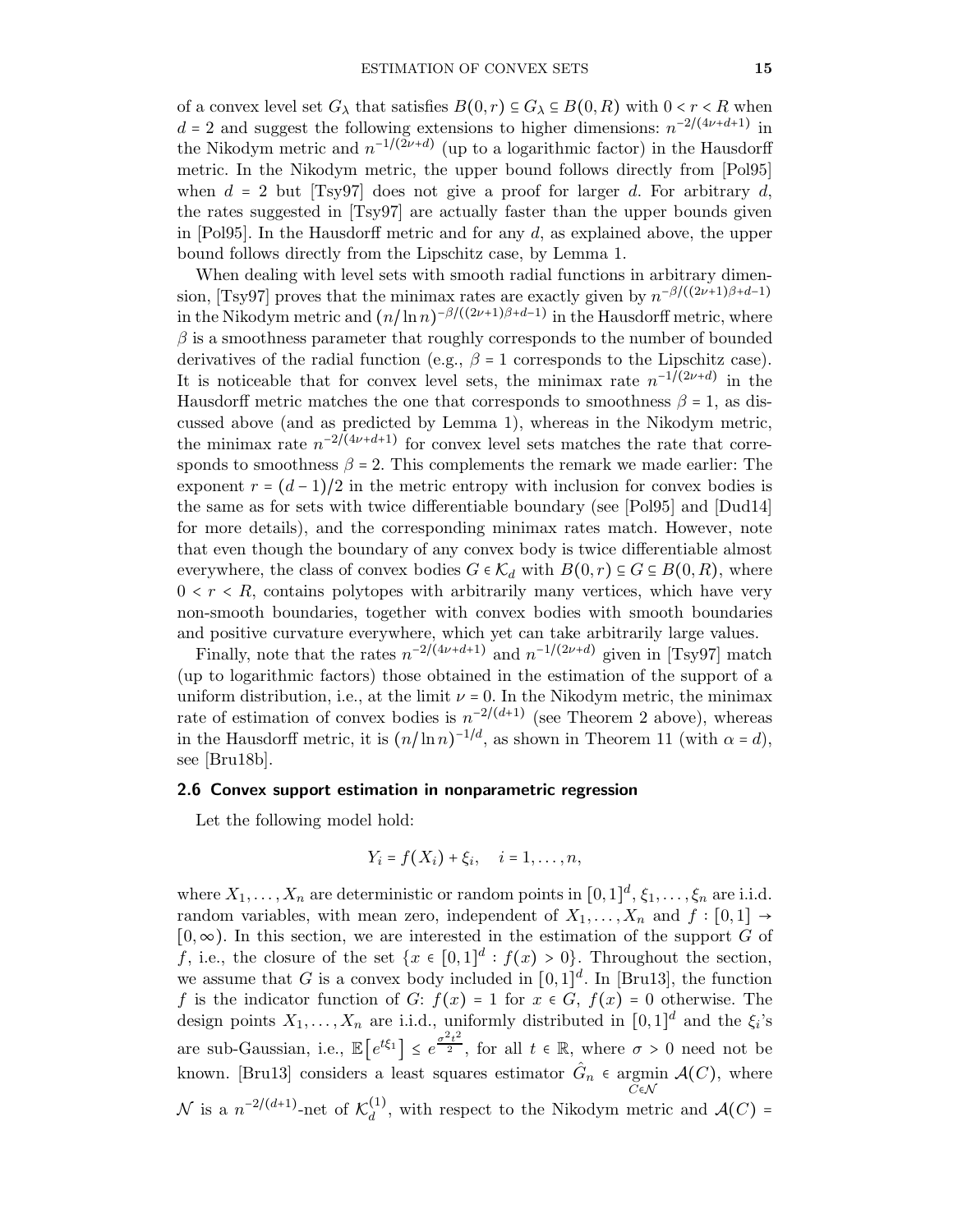of a convex level set  $G_{\lambda}$  that satisfies  $B(0, r) \subseteq G_{\lambda} \subseteq B(0, R)$  with  $0 < r < R$  when  $d = 2$  and suggest the following extensions to higher dimensions:  $n^{-2/(4\nu+d+1)}$  in the Nikodym metric and  $n^{-1/(2\nu+d)}$  (up to a logarithmic factor) in the Hausdorff metric. In the Nikodym metric, the upper bound follows directly from [\[Pol95\]](#page-26-10) when  $d = 2$  but [\[Tsy97\]](#page-27-6) does not give a proof for larger d. For arbitrary d, the rates suggested in [\[Tsy97\]](#page-27-6) are actually faster than the upper bounds given in [\[Pol95\]](#page-26-10). In the Hausdorff metric and for any  $d$ , as explained above, the upper bound follows directly from the Lipschitz case, by Lemma [1.](#page-13-1)

When dealing with level sets with smooth radial functions in arbitrary dimen-sion, [\[Tsy97\]](#page-27-6) proves that the minimax rates are exactly given by  $n^{-\beta/((2\nu+1)\beta+d-1)}$ in the Nikodym metric and  $(n/\ln n)^{-\beta/((2\nu+1)\beta+d-1)}$  in the Hausdorff metric, where  $\beta$  is a smoothness parameter that roughly corresponds to the number of bounded derivatives of the radial function (e.g.,  $\beta = 1$  corresponds to the Lipschitz case). It is noticeable that for convex level sets, the minimax rate  $n^{-1}$ ( $2\nu+d$ ) in the Hausdorff metric matches the one that corresponds to smoothness  $\beta = 1$ , as discussed above (and as predicted by Lemma [1\)](#page-13-1), whereas in the Nikodym metric, the minimax rate  $n^{-2}(\frac{4\nu+d+1}{\nu})$  for convex level sets matches the rate that corresponds to smoothness  $\beta = 2$ . This complements the remark we made earlier: The exponent  $r = (d-1)/2$  in the metric entropy with inclusion for convex bodies is the same as for sets with twice differentiable boundary (see [\[Pol95\]](#page-26-10) and [\[Dud14\]](#page-24-12) for more details), and the corresponding minimax rates match. However, note that even though the boundary of any convex body is twice differentiable almost everywhere, the class of convex bodies  $G \in \mathcal{K}_d$  with  $B(0,r) \subseteq G \subseteq B(0,R)$ , where  $0 \leq r \leq R$ , contains polytopes with arbitrarily many vertices, which have very non-smooth boundaries, together with convex bodies with smooth boundaries and positive curvature everywhere, which yet can take arbitrarily large values.

Finally, note that the rates  $n^{-2/(4\nu+d+1)}$  and  $n^{-1/(2\nu+d)}$  given in [\[Tsy97\]](#page-27-6) match (up to logarithmic factors) those obtained in the estimation of the support of a uniform distribution, i.e., at the limit  $\nu = 0$ . In the Nikodym metric, the minimax rate of estimation of convex bodies is  $n^{-2/(d+1)}$  (see Theorem [2](#page-5-0) above), whereas in the Hausdorff metric, it is  $(n/\ln n)^{-1/d}$ , as shown in Theorem [11](#page-18-0) (with  $\alpha = d$ ), see [\[Bru18b\]](#page-24-6).

#### 2.6 Convex support estimation in nonparametric regression

Let the following model hold:

$$
Y_i = f(X_i) + \xi_i, \quad i = 1, \ldots, n,
$$

where  $X_1, \ldots, X_n$  are deterministic or random points in  $[0,1]^d$ ,  $\xi_1, \ldots, \xi_n$  are i.i.d. random variables, with mean zero, independent of  $X_1, \ldots, X_n$  and  $f : [0,1] \rightarrow$  $[0, \infty)$ . In this section, we are interested in the estimation of the support G of f, i.e., the closure of the set  $\{x \in [0,1]^d : f(x) > 0\}$ . Throughout the section, we assume that G is a convex body included in  $[0,1]^d$ . In [\[Bru13\]](#page-23-2), the function f is the indicator function of G:  $f(x) = 1$  for  $x \in G$ ,  $f(x) = 0$  otherwise. The design points  $X_1, \ldots, X_n$  are i.i.d., uniformly distributed in  $[0,1]^d$  and the  $\xi_i$ 's are sub-Gaussian, i.e.,  $\mathbb{E}\left[e^{t\xi_1}\right] \leq e^{\frac{\sigma^2 t^2}{2}}$ , for all  $t \in \mathbb{R}$ , where  $\sigma > 0$  need not be known. [\[Bru13\]](#page-23-2) considers a least squares estimator  $\hat{G}_n$   $\in$  argmin  $\mathcal{A}(C)$ , where N is a  $n^{-2/(d+1)}$ -net of  $\mathcal{K}_d^{(1)}$  $\mathcal{A}(C)$  =  $\mathcal{A}(C)$  =  $\mathcal{A}(C)$  =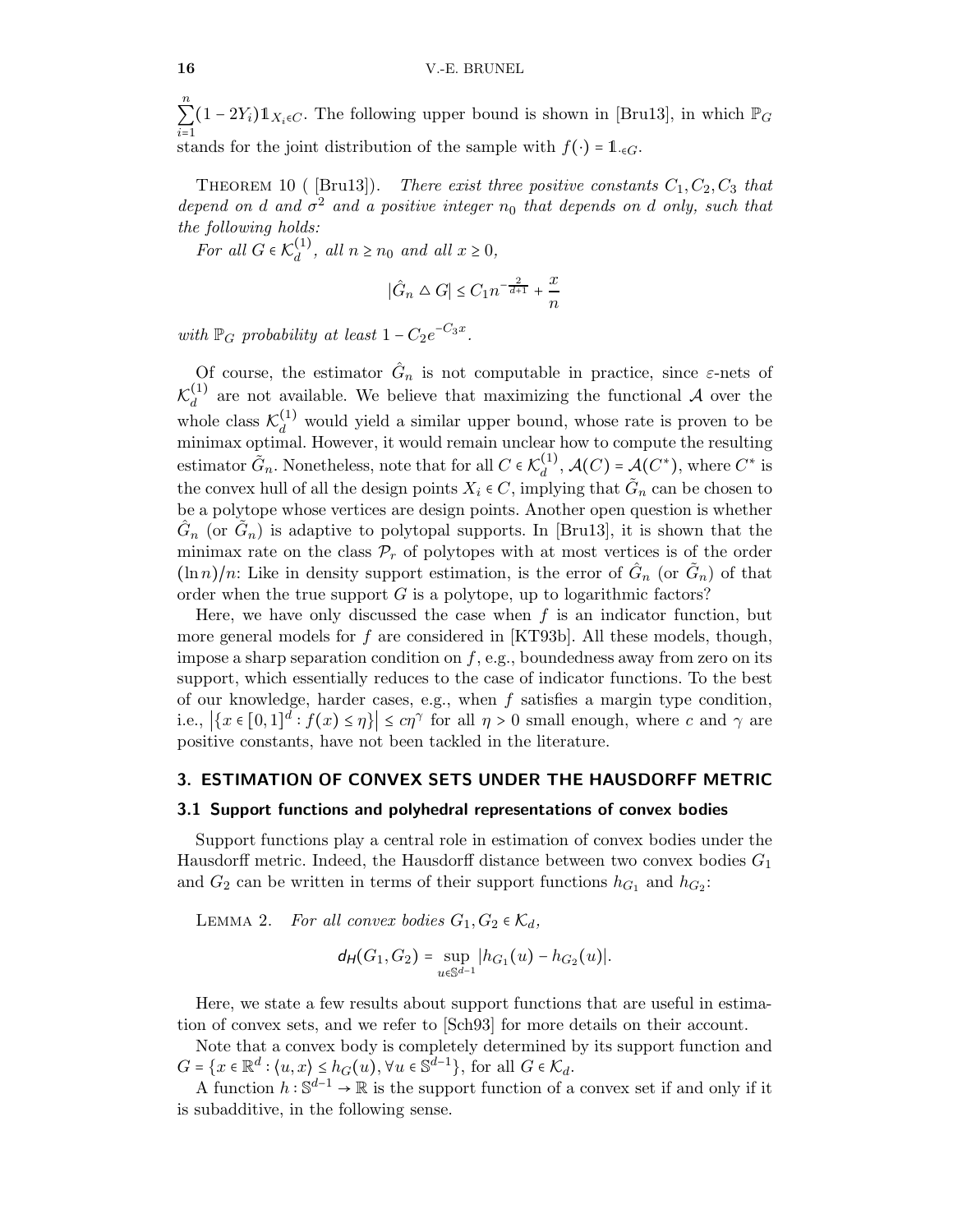n  $\sum_{i=1}$  $(1 - 2Y_i) \mathbb{1}_{X_i \in C}$ . The following upper bound is shown in [\[Bru13\]](#page-23-2), in which  $\mathbb{P}_G$ stands for the joint distribution of the sample with  $f(\cdot) = 1_{\cdot \in G}$ .

THEOREM 10 ([Bru13]). There exist three positive constants  $C_1, C_2, C_3$  that depend on d and  $\sigma^2$  and a positive integer  $n_0$  that depends on d only, such that the following holds:

For all  $G \in \mathcal{K}_d^{(1)}$  $\frac{d^{(1)}}{d}$ , all  $n \ge n_0$  and all  $x \ge 0$ ,

$$
|\hat{G}_n \triangle G| \le C_1 n^{-\frac{2}{d+1}} + \frac{x}{n}
$$

with  $\mathbb{P}_G$  probability at least  $1 - C_2 e^{-C_3 x}$ .

Of course, the estimator  $\hat{G}_n$  is not computable in practice, since  $\varepsilon$ -nets of  $\mathcal{K}_d^{(1)}$  $\frac{d}{d}$  are not available. We believe that maximizing the functional A over the whole class  $\mathcal{K}_d^{(1)}$  would yield a similar upper bound, whose rate is proven to be minimax optimal. However, it would remain unclear how to compute the resulting estimator  $\tilde{G}_n$ . Nonetheless, note that for all  $C \in \mathcal{K}_d^{(1)}$  $d_d^{(1)}$ ,  $\mathcal{A}(C)$  =  $\mathcal{A}(C^*)$ , where  $C^*$  is the convex hull of all the design points  $X_i \in C$ , implying that  $\tilde{G}_n$  can be chosen to be a polytope whose vertices are design points. Another open question is whether  $\hat{G}_n$  (or  $\tilde{G}_n$ ) is adaptive to polytopal supports. In [\[Bru13\]](#page-23-2), it is shown that the minimax rate on the class  $\mathcal{P}_r$  of polytopes with at most vertices is of the order  $(\ln n)/n$ : Like in density support estimation, is the error of  $\hat{G}_n$  (or  $\tilde{G}_n$ ) of that order when the true support  $G$  is a polytope, up to logarithmic factors?

Here, we have only discussed the case when  $f$  is an indicator function, but more general models for f are considered in  $[KT93b]$ . All these models, though, impose a sharp separation condition on  $f$ , e.g., boundedness away from zero on its support, which essentially reduces to the case of indicator functions. To the best of our knowledge, harder cases, e.g., when  $f$  satisfies a margin type condition, i.e.,  $|\{x \in [0,1]^d : f(x) \leq \eta\}| \leq c\eta^{\gamma}$  for all  $\eta > 0$  small enough, where c and  $\gamma$  are positive constants, have not been tackled in the literature.

#### <span id="page-15-0"></span>3. ESTIMATION OF CONVEX SETS UNDER THE HAUSDORFF METRIC

#### 3.1 Support functions and polyhedral representations of convex bodies

Support functions play a central role in estimation of convex bodies under the Hausdorff metric. Indeed, the Hausdorff distance between two convex bodies  $G_1$ and  $G_2$  can be written in terms of their support functions  $h_{G_1}$  and  $h_{G_2}$ :

<span id="page-15-1"></span>LEMMA 2. For all convex bodies  $G_1, G_2 \in \mathcal{K}_d$ ,

$$
d_H(G_1, G_2) = \sup_{u \in \mathbb{S}^{d-1}} |h_{G_1}(u) - h_{G_2}(u)|.
$$

Here, we state a few results about support functions that are useful in estimation of convex sets, and we refer to [\[Sch93\]](#page-27-5) for more details on their account.

Note that a convex body is completely determined by its support function and  $G = \{x \in \mathbb{R}^d : \langle u, x \rangle \leq h_G(u), \forall u \in \mathbb{S}^{d-1}\},\$ for all  $G \in \mathcal{K}_d$ .

A function  $h: \mathbb{S}^{d-1} \to \mathbb{R}$  is the support function of a convex set if and only if it is subadditive, in the following sense.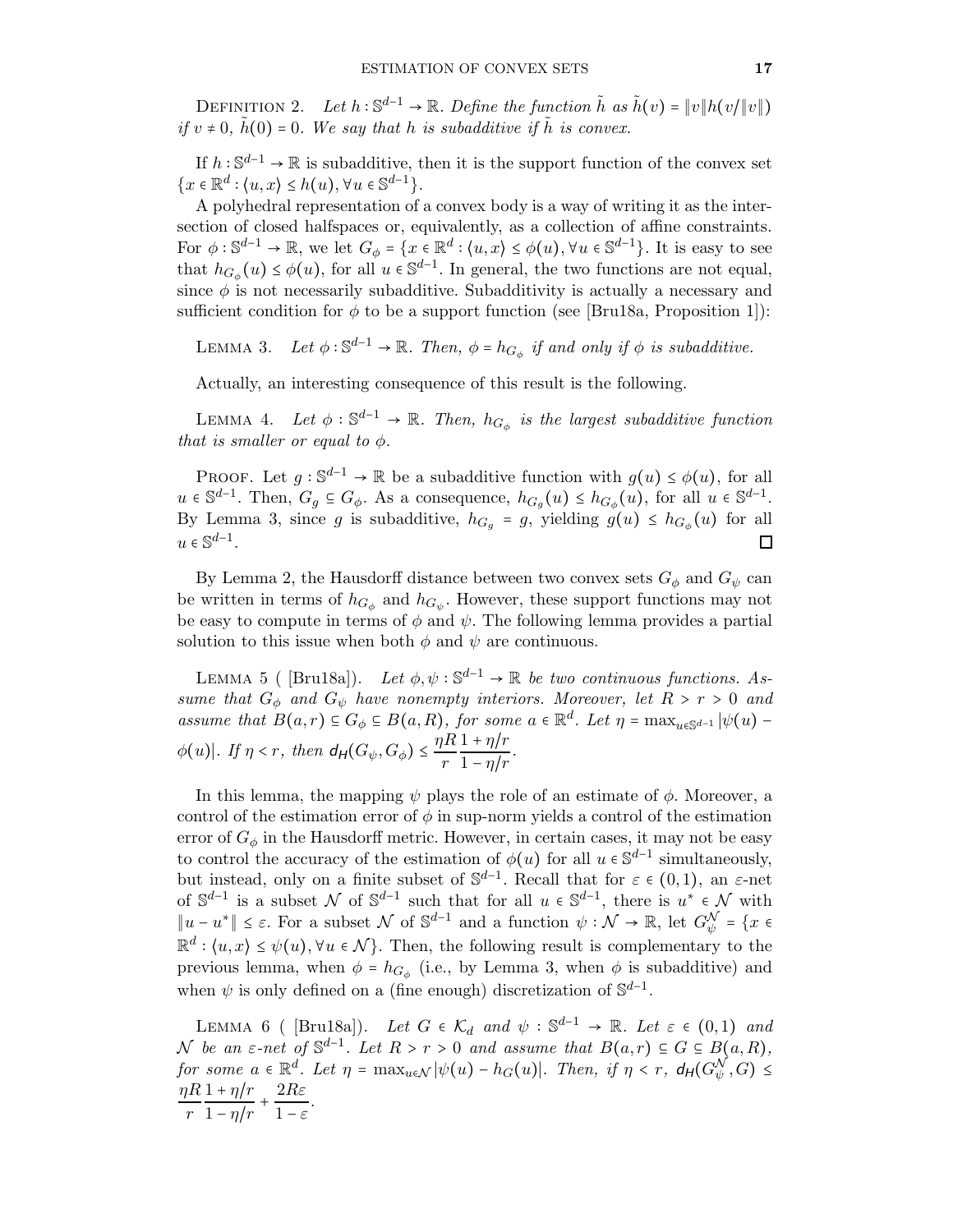DEFINITION 2. Let  $h : \mathbb{S}^{d-1} \to \mathbb{R}$ . Define the function  $\tilde{h}$  as  $\tilde{h}(v) = ||v|| h(v/||v||)$ if  $v \neq 0$ ,  $\tilde{h}(0) = 0$ . We say that h is subadditive if  $\tilde{h}$  is convex.

If  $h: \mathbb{S}^{d-1} \to \mathbb{R}$  is subadditive, then it is the support function of the convex set  ${x \in \mathbb{R}^d : (u, x) \leq h(u), \forall u \in \mathbb{S}^{d-1}}.$ 

A polyhedral representation of a convex body is a way of writing it as the intersection of closed halfspaces or, equivalently, as a collection of affine constraints. For  $\phi : \mathbb{S}^{d-1} \to \mathbb{R}$ , we let  $G_{\phi} = \{x \in \mathbb{R}^d : \langle u, x \rangle \leq \phi(u), \forall u \in \mathbb{S}^{d-1}\}$ . It is easy to see that  $h_{G_\phi}(u) \leq \phi(u)$ , for all  $u \in \mathbb{S}^{d-1}$ . In general, the two functions are not equal, since  $\phi$  is not necessarily subadditive. Subadditivity is actually a necessary and sufficient condition for  $\phi$  to be a support function (see [\[Bru18a,](#page-24-7) Proposition 1]):

<span id="page-16-0"></span>LEMMA 3. Let  $\phi : \mathbb{S}^{d-1} \to \mathbb{R}$ . Then,  $\phi = h_{G_{\phi}}$  if and only if  $\phi$  is subadditive.

Actually, an interesting consequence of this result is the following.

LEMMA 4. Let  $\phi : \mathbb{S}^{d-1} \to \mathbb{R}$ . Then,  $h_{G_{\phi}}$  is the largest subadditive function that is smaller or equal to  $\phi$ .

PROOF. Let  $g : \mathbb{S}^{d-1} \to \mathbb{R}$  be a subadditive function with  $g(u) \leq \phi(u)$ , for all  $u \in \mathbb{S}^{d-1}$ . Then,  $G_g \subseteq G_\phi$ . As a consequence,  $h_{G_g}(u) \leq h_{G_\phi}(u)$ , for all  $u \in \mathbb{S}^{d-1}$ . By Lemma [3,](#page-16-0) since g is subadditive,  $h_{G_g} = g$ , yielding  $g(u) \leq h_{G_\phi}(u)$  for all  $u \in \mathbb{S}^{d-1}$ .  $\Box$ 

By Lemma [2,](#page-15-1) the Hausdorff distance between two convex sets  $G_{\phi}$  and  $G_{\psi}$  can be written in terms of  $h_{G_{\phi}}$  and  $h_{G_{\psi}}$ . However, these support functions may not be easy to compute in terms of  $\phi$  and  $\psi$ . The following lemma provides a partial solution to this issue when both  $\phi$  and  $\psi$  are continuous.

<span id="page-16-1"></span>LEMMA 5 ([Bru18a]). Let  $\phi, \psi : \mathbb{S}^{d-1} \to \mathbb{R}$  be two continuous functions. Assume that  $G_{\phi}$  and  $G_{\psi}$  have nonempty interiors. Moreover, let  $R > r > 0$  and assume that  $B(a,r) \subseteq G_{\phi} \subseteq B(a,R)$ , for some  $a \in \mathbb{R}^d$ . Let  $\eta = \max_{u \in \mathbb{S}^{d-1}} |\psi(u) \phi(u)$ . If  $\eta < r$ , then  $d_H(G_\psi, G_\phi) \leq \frac{\eta R}{r}$ r  $1 + \eta/r$  $\frac{1 - \eta/r}{1 - \eta/r}$ .

In this lemma, the mapping  $\psi$  plays the role of an estimate of  $\phi$ . Moreover, a control of the estimation error of  $\phi$  in sup-norm yields a control of the estimation error of  $G_{\phi}$  in the Hausdorff metric. However, in certain cases, it may not be easy to control the accuracy of the estimation of  $\phi(u)$  for all  $u \in \mathbb{S}^{d-1}$  simultaneously, but instead, only on a finite subset of  $\mathbb{S}^{d-1}$ . Recall that for  $\varepsilon \in (0,1)$ , an  $\varepsilon$ -net of  $\mathbb{S}^{d-1}$  is a subset N of  $\mathbb{S}^{d-1}$  such that for all  $u \in \mathbb{S}^{d-1}$ , there is  $u^* \in \mathcal{N}$  with  $||u - u^*||$  ≤  $\varepsilon$ . For a subset  $\mathcal N$  of  $\mathbb S^{d-1}$  and a function  $\psi : \mathcal N \to \mathbb R$ , let  $G_{\psi}^{\mathcal N} = \{x \in$  $\mathbb{R}^d$ :  $\langle u, x \rangle \leq \psi(u)$ ,  $\forall u \in \mathcal{N}$ . Then, the following result is complementary to the previous lemma, when  $\phi = h_{G_{\phi}}$  (i.e., by Lemma [3,](#page-16-0) when  $\phi$  is subadditive) and when  $\psi$  is only defined on a (fine enough) discretization of  $\mathbb{S}^{d-1}$ .

<span id="page-16-2"></span>LEMMA 6 ( [\[Bru18a\]](#page-24-7)). Let  $G \in \mathcal{K}_d$  and  $\psi : \mathbb{S}^{d-1} \to \mathbb{R}$ . Let  $\varepsilon \in (0,1)$  and N be an  $\varepsilon$ -net of  $\mathbb{S}^{d-1}$ . Let  $R > r > 0$  and assume that  $B(a,r) \subseteq G \subseteq B(a,R)$ , for some  $a \in \mathbb{R}^d$ . Let  $\eta = \max_{u \in \mathcal{N}} |\psi(u) - h_G(u)|$ . Then, if  $\eta < r$ ,  $d_H(G_{\psi}^{\mathcal{N}}, G) \leq$ ηR r  $1 + \eta/r$  $\frac{1 + \eta/r}{1 - \eta/r} + \frac{2R\varepsilon}{1 - \varepsilon}$  $\frac{2100}{1-\varepsilon}$ .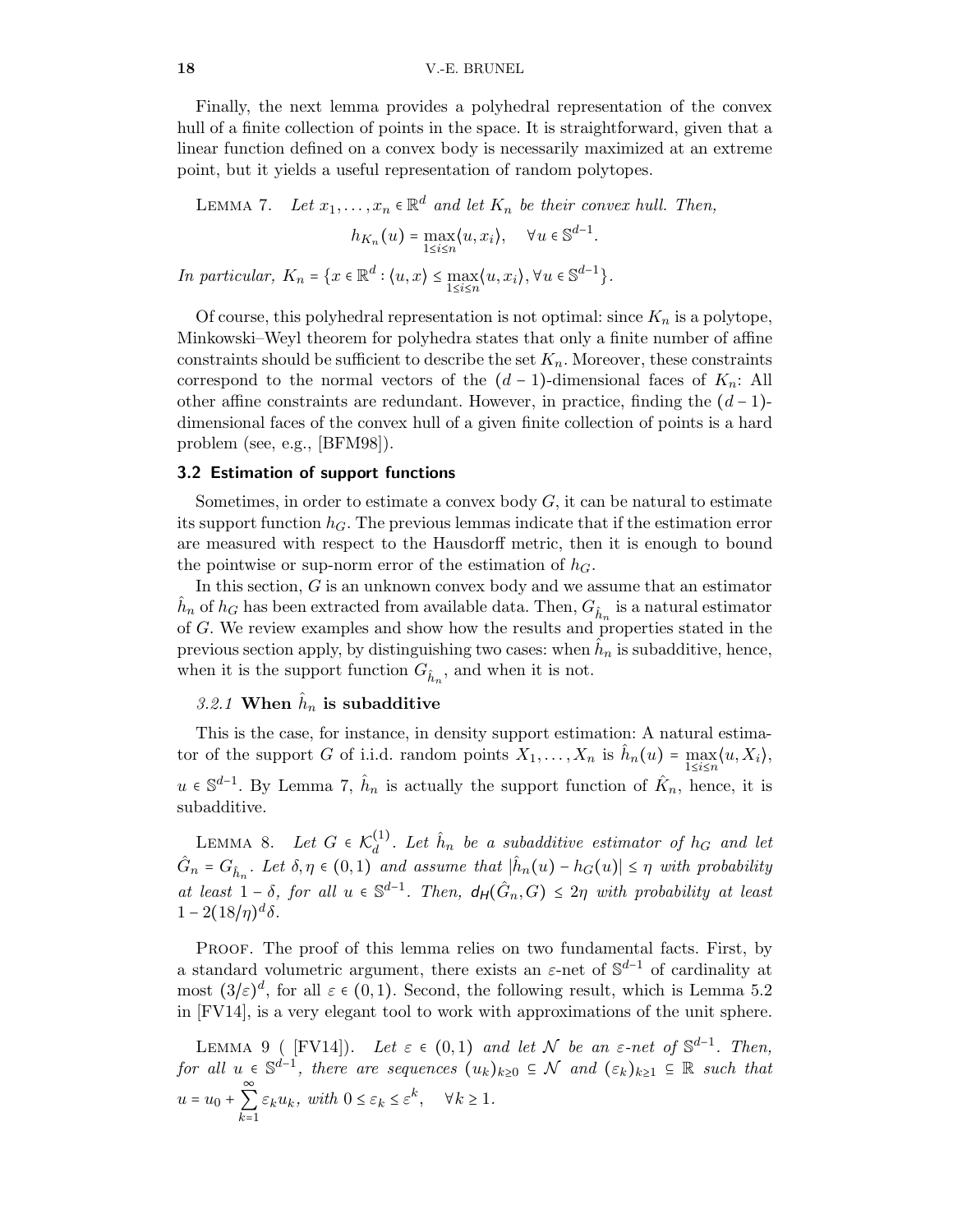Finally, the next lemma provides a polyhedral representation of the convex hull of a finite collection of points in the space. It is straightforward, given that a linear function defined on a convex body is necessarily maximized at an extreme point, but it yields a useful representation of random polytopes.

<span id="page-17-0"></span>LEMMA 7. Let  $x_1, \ldots, x_n \in \mathbb{R}^d$  and let  $K_n$  be their convex hull. Then,  $h_{K_n}(u) = \max_{1 \le i \le n} \langle u, x_i \rangle, \quad \forall u \in \mathbb{S}^{d-1}.$ In particular,  $K_n = \{x \in \mathbb{R}^d : \langle u, x \rangle \le \max_{1 \le i \le n} \langle u, x_i \rangle, \forall u \in \mathbb{S}^{d-1}\}.$ 

Of course, this polyhedral representation is not optimal: since  $K_n$  is a polytope, Minkowski–Weyl theorem for polyhedra states that only a finite number of affine constraints should be sufficient to describe the set  $K_n$ . Moreover, these constraints correspond to the normal vectors of the  $(d-1)$ -dimensional faces of  $K_n$ : All other affine constraints are redundant. However, in practice, finding the  $(d-1)$ dimensional faces of the convex hull of a given finite collection of points is a hard problem (see, e.g., [\[BFM98\]](#page-23-14)).

#### 3.2 Estimation of support functions

Sometimes, in order to estimate a convex body  $G$ , it can be natural to estimate its support function  $h_G$ . The previous lemmas indicate that if the estimation error are measured with respect to the Hausdorff metric, then it is enough to bound the pointwise or sup-norm error of the estimation of  $h<sub>G</sub>$ .

In this section, G is an unknown convex body and we assume that an estimator  $\hat{h}_n$  of  $h_G$  has been extracted from available data. Then,  $G_{\hat{h}_n}$  is a natural estimator of G. We review examples and show how the results and properties stated in the previous section apply, by distinguishing two cases: when  $\hat{h}_n$  is subadditive, hence, when it is the support function  $G_{\hat{h}_n}$ , and when it is not.

# 3.2.1 When  $\hat{h}_n$  is subadditive

This is the case, for instance, in density support estimation: A natural estimator of the support G of i.i.d. random points  $X_1, \ldots, X_n$  is  $\hat{h}_n(u) = \max_{1 \le i \le n} \langle u, X_i \rangle$ , u ∈  $\mathbb{S}^{d-1}$ . By Lemma [7,](#page-17-0)  $\hat{h}_n$  is actually the support function of  $\hat{K}_n$ , hence, it is subadditive.

<span id="page-17-2"></span>LEMMA 8. Let  $G \in \mathcal{K}_d^{(1)}$  $\hat{h}_d^{(1)}$ . Let  $\hat{h}_n$  be a subadditive estimator of  $h_G$  and let  $\hat{G}_n = G_{\hat{h}_n}$ . Let  $\delta, \eta \in (0,1)$  and assume that  $|\hat{h}_n(u) - h_G(u)| \leq \eta$  with probability at least  $1-\delta$ , for all  $u \in \mathbb{S}^{d-1}$ . Then,  $d_H(\hat{G}_n, G) \leq 2\eta$  with probability at least  $1 - 2(18/\eta)^d \delta$ .

PROOF. The proof of this lemma relies on two fundamental facts. First, by a standard volumetric argument, there exists an  $\varepsilon$ -net of  $\mathbb{S}^{d-1}$  of cardinality at most  $(3/\varepsilon)^d$ , for all  $\varepsilon \in (0,1)$ . Second, the following result, which is Lemma 5.2 in [\[FV14\]](#page-25-10), is a very elegant tool to work with approximations of the unit sphere.

<span id="page-17-1"></span>LEMMA 9 ([FV14]). Let  $\varepsilon \in (0,1)$  and let N be an  $\varepsilon$ -net of  $\mathbb{S}^{d-1}$ . Then, for all  $u \in \mathbb{S}^{\tilde{d}-1}$ , there are sequences  $(u_k)_{k\geq 0} \subseteq \mathcal{N}$  and  $(\varepsilon_k)_{k\geq 1} \subseteq \mathbb{R}$  such that  $u = u_0 + \sum_{k=1}^{n}$  $\varepsilon_k u_k$ , with  $0 \leq \varepsilon_k \leq \varepsilon^k$ ,  $\forall k \geq 1$ .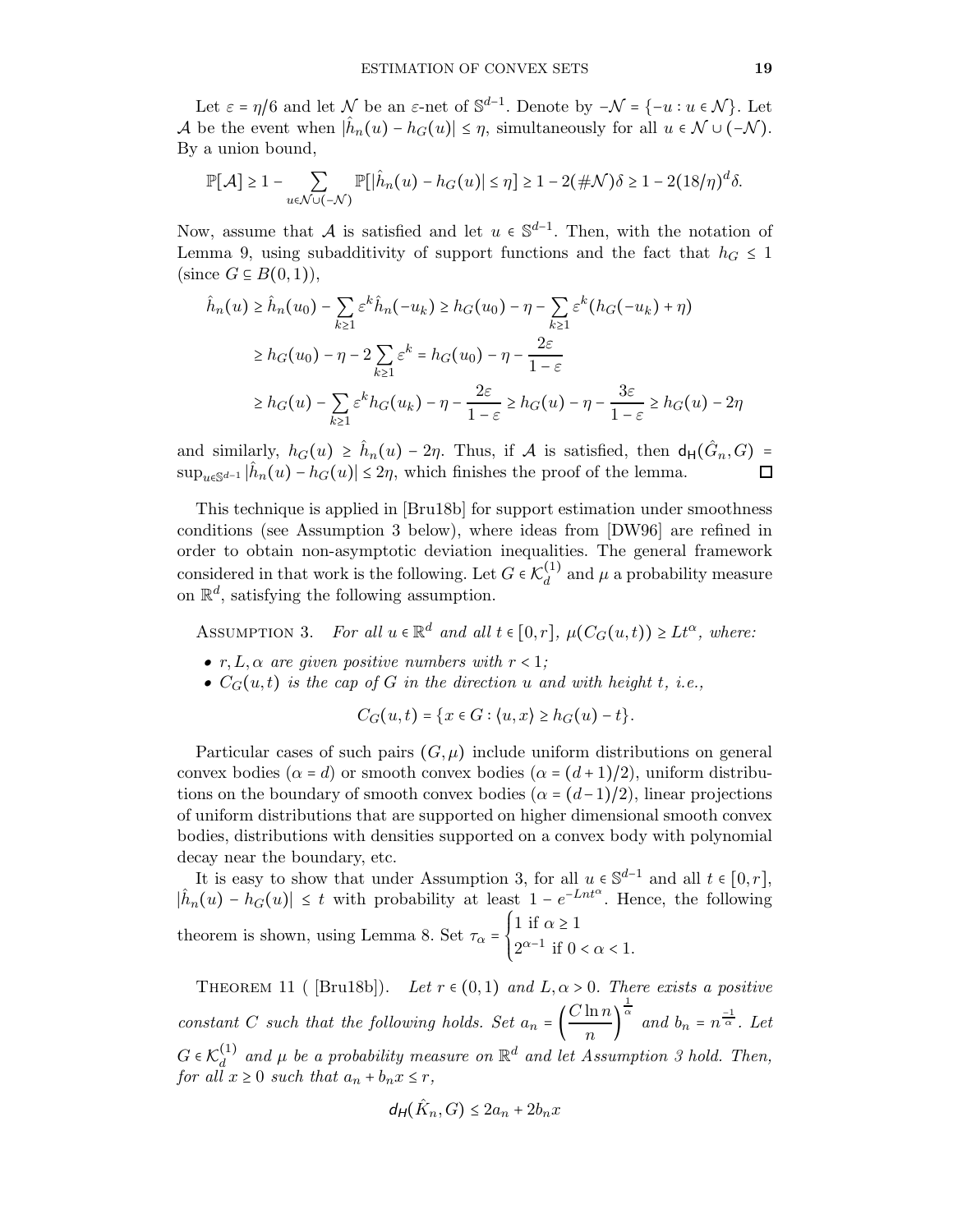Let  $\varepsilon = \eta/6$  and let  $\mathcal N$  be an  $\varepsilon$ -net of  $\mathbb S^{d-1}$ . Denote by  $-\mathcal N = \{-u : u \in \mathcal N\}$ . Let A be the event when  $|\hat{h}_n(u) - h_G(u)| \leq \eta$ , simultaneously for all  $u \in \mathcal{N} \cup (-\mathcal{N})$ . By a union bound,

$$
\mathbb{P}[\mathcal{A}] \geq 1 - \sum_{u \in \mathcal{N} \cup (-\mathcal{N})} \mathbb{P}[\left|\hat{h}_n(u) - h_G(u)\right| \leq \eta] \geq 1 - 2(\#\mathcal{N})\delta \geq 1 - 2(18/\eta)^d \delta.
$$

Now, assume that A is satisfied and let  $u \in \mathbb{S}^{d-1}$ . Then, with the notation of Lemma [9,](#page-17-1) using subadditivity of support functions and the fact that  $h_G \leq 1$ (since  $G \subseteq B(0,1)$ ),

$$
\hat{h}_n(u) \ge \hat{h}_n(u_0) - \sum_{k \ge 1} \varepsilon^k \hat{h}_n(-u_k) \ge h_G(u_0) - \eta - \sum_{k \ge 1} \varepsilon^k (h_G(-u_k) + \eta)
$$
\n
$$
\ge h_G(u_0) - \eta - 2 \sum_{k \ge 1} \varepsilon^k = h_G(u_0) - \eta - \frac{2\varepsilon}{1 - \varepsilon}
$$
\n
$$
\ge h_G(u) - \sum_{k \ge 1} \varepsilon^k h_G(u_k) - \eta - \frac{2\varepsilon}{1 - \varepsilon} \ge h_G(u) - \eta - \frac{3\varepsilon}{1 - \varepsilon} \ge h_G(u) - 2\eta
$$

and similarly,  $h_G(u) \ge \hat{h}_n(u) - 2\eta$ . Thus, if A is satisfied, then  $d_H(\hat{G}_n, G)$  =  $\sup_{u \in \mathbb{S}^{d-1}} |\hat{h}_n(u) - h_G(u)| \le 2\eta$ , which finishes the proof of the lemma. □

This technique is applied in [\[Bru18b\]](#page-24-6) for support estimation under smoothness conditions (see Assumption [3](#page-18-1) below), where ideas from [\[DW96\]](#page-24-15) are refined in order to obtain non-asymptotic deviation inequalities. The general framework considered in that work is the following. Let  $G \in \mathcal{K}_d^{(1)}$  $\mu_d^{(1)}$  and  $\mu$  a probability measure on  $\mathbb{R}^d$ , satisfying the following assumption.

<span id="page-18-1"></span>ASSUMPTION 3. For all  $u \in \mathbb{R}^d$  and all  $t \in [0, r]$ ,  $\mu(C_G(u,t)) \geq L t^{\alpha}$ , where:

- $r, L, \alpha$  are given positive numbers with  $r < 1$ ;
- $C_G(u, t)$  is the cap of G in the direction u and with height t, i.e.,

$$
C_G(u,t) = \{x \in G : \langle u, x \rangle \ge h_G(u) - t\}.
$$

Particular cases of such pairs  $(G, \mu)$  include uniform distributions on general convex bodies ( $\alpha = d$ ) or smooth convex bodies ( $\alpha = (d+1)/2$ ), uniform distributions on the boundary of smooth convex bodies ( $\alpha = (d-1)/2$ ), linear projections of uniform distributions that are supported on higher dimensional smooth convex bodies, distributions with densities supported on a convex body with polynomial decay near the boundary, etc.

It is easy to show that under Assumption [3,](#page-18-1) for all  $u \in \mathbb{S}^{d-1}$  and all  $t \in [0, r]$ ,  $|\hat{h}_n(u) - h_G(u)| \leq t$  with probability at least  $1 - e^{-Lnt^{\alpha}}$ . Hence, the following theorem is shown, using Lemma [8.](#page-17-2) Set  $\tau_{\alpha} = \begin{cases} \end{cases}$ 1 if  $\alpha \geq 1$  $2^{\alpha-1}$  if  $0 < \alpha < 1$ .

<span id="page-18-0"></span>THEOREM 11 ( [\[Bru18b\]](#page-24-6)). Let  $r \in (0,1)$  and  $L, \alpha > 0$ . There exists a positive constant C such that the following holds. Set  $a_n = \left(\frac{C \ln n}{n}\right)^n$  $\frac{1}{n}$  $\frac{1}{\alpha}$  and  $b_n = n^{\frac{-1}{\alpha}}$ . Let  $G \in \mathcal{K}_d^{(1)}$  $\mathbb{R}^{d}$  and  $\mu$  be a probability measure on  $\mathbb{R}^{d}$  and let Assumption [3](#page-18-1) hold. Then, for all  $x \geq 0$  such that  $a_n + b_n x \leq r$ ,

$$
d_H(\hat{K}_n, G) \le 2a_n + 2b_n x
$$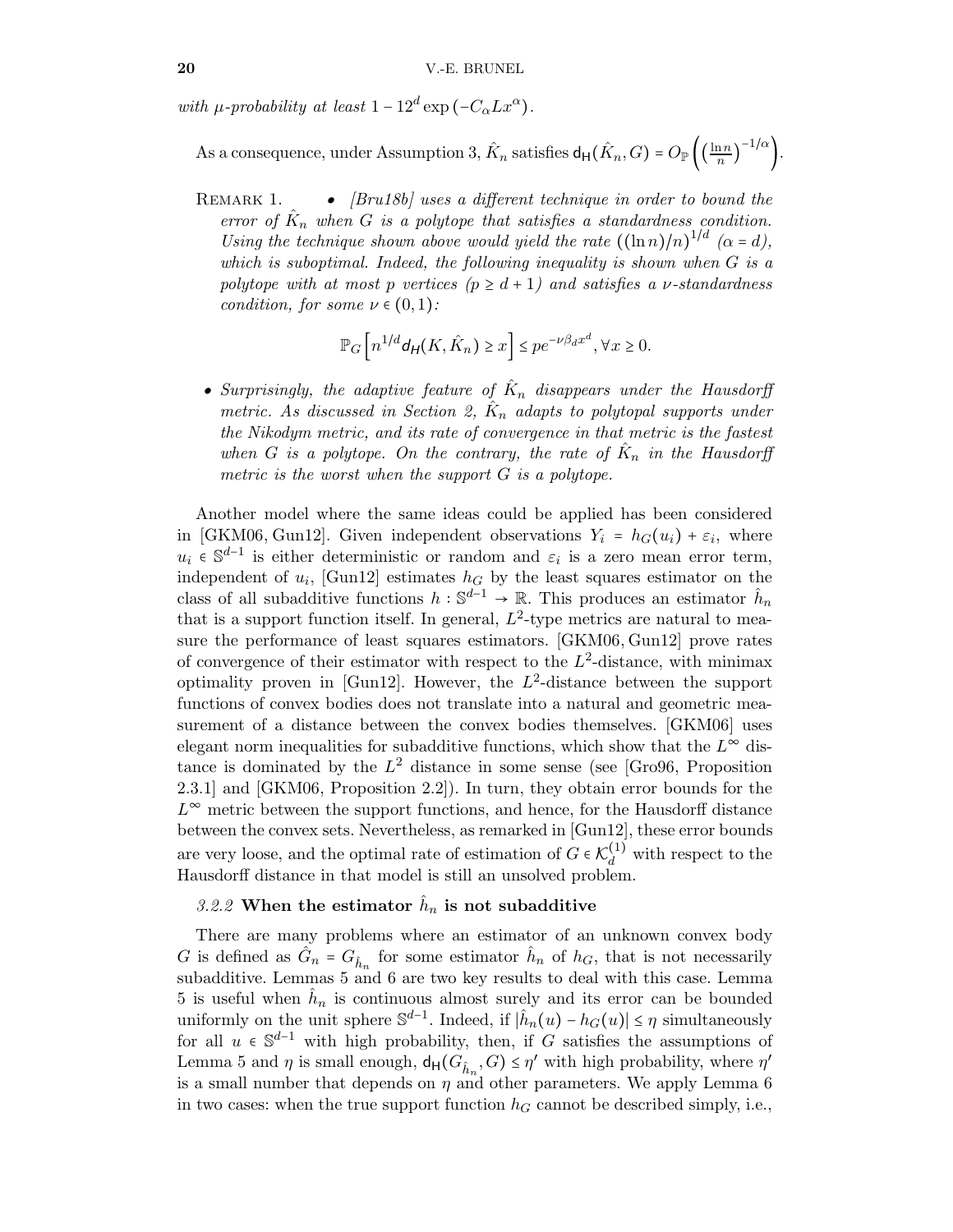with  $\mu$ -probability at least  $1 - 12^d \exp(-C_\alpha L x^\alpha)$ .

As a consequence, under Assumption [3,](#page-18-1)  $\hat{K}_n$  satisfies  $d_H(\hat{K}_n, G) = O_\mathbb{P}\left(\left(\frac{\ln n}{n}\right)^n\right)$  $\frac{1}{n}$  $\left( \frac{-1}{\alpha} \right)$ .

REMARK 1. •  $[Bru18b]$  uses a different technique in order to bound the error of  $\hat{K}_n$  when G is a polytope that satisfies a standardness condition. Using the technique shown above would yield the rate  $((\ln n)/n)^{1/d}$  ( $\alpha = d$ ), which is suboptimal. Indeed, the following inequality is shown when  $G$  is a polytope with at most p vertices  $(p \geq d+1)$  and satisfies a v-standardness condition, for some  $\nu \in (0,1)$ :

$$
\mathbb{P}_G\left[n^{1/d}\mathsf{d}_{\mathsf{H}}(K,\hat{K}_n)\geq x\right]\leq pe^{-\nu\beta_dx^d},\forall x\geq 0.
$$

• Surprisingly, the adaptive feature of  $\hat{K}_n$  disappears under the Hausdorff metric. As discussed in Section [2,](#page-3-0)  $\hat{K}_n$  adapts to polytopal supports under the Nikodym metric, and its rate of convergence in that metric is the fastest when G is a polytope. On the contrary, the rate of  $\hat{K}_n$  in the Hausdorff metric is the worst when the support G is a polytope.

Another model where the same ideas could be applied has been considered in [\[GKM06,](#page-25-2) [Gun12\]](#page-25-3). Given independent observations  $Y_i = h_G(u_i) + \varepsilon_i$ , where  $u_i \in \mathbb{S}^{d-1}$  is either deterministic or random and  $\varepsilon_i$  is a zero mean error term, independent of  $u_i$ , [\[Gun12\]](#page-25-3) estimates  $h_G$  by the least squares estimator on the class of all subadditive functions  $h: \mathbb{S}^{d-1} \to \mathbb{R}$ . This produces an estimator  $\hat{h}_n$ that is a support function itself. In general,  $L^2$ -type metrics are natural to measure the performance of least squares estimators. [\[GKM06,](#page-25-2) [Gun12\]](#page-25-3) prove rates of convergence of their estimator with respect to the  $L^2$ -distance, with minimax optimality proven in [\[Gun12\]](#page-25-3). However, the  $L^2$ -distance between the support functions of convex bodies does not translate into a natural and geometric measurement of a distance between the convex bodies themselves. [\[GKM06\]](#page-25-2) uses elegant norm inequalities for subadditive functions, which show that the  $L^{\infty}$  distance is dominated by the  $L^2$  distance in some sense (see [\[Gro96,](#page-25-11) Proposition 2.3.1] and [\[GKM06,](#page-25-2) Proposition 2.2]). In turn, they obtain error bounds for the  $L^{\infty}$  metric between the support functions, and hence, for the Hausdorff distance between the convex sets. Nevertheless, as remarked in [\[Gun12\]](#page-25-3), these error bounds are very loose, and the optimal rate of estimation of  $G \in \mathcal{K}_d^{(1)}$  with respect to the Hausdorff distance in that model is still an unsolved problem.

# <span id="page-19-0"></span>3.2.2 When the estimator  $\hat{h}_n$  is not subadditive

There are many problems where an estimator of an unknown convex body G is defined as  $\hat{G}_n = G_{\hat{h}_n}$  for some estimator  $\hat{h}_n$  of  $h_G$ , that is not necessarily subadditive. Lemmas [5](#page-16-1) and [6](#page-16-2) are two key results to deal with this case. Lemma [5](#page-16-1) is useful when  $\hat{h}_n$  is continuous almost surely and its error can be bounded uniformly on the unit sphere  $\mathbb{S}^{d-1}$ . Indeed, if  $|\hat{h}_n(u) - h_G(u)| \leq \eta$  simultaneously for all  $u \in \mathbb{S}^{d-1}$  with high probability, then, if G satisfies the assumptions of Lemma [5](#page-16-1) and  $\eta$  is small enough,  $d_H(G_{\hat{h}_n}, G) \leq \eta'$  with high probability, where  $\eta'$ is a small number that depends on  $\eta$  and other parameters. We apply Lemma [6](#page-16-2) in two cases: when the true support function  $h<sub>G</sub>$  cannot be described simply, i.e.,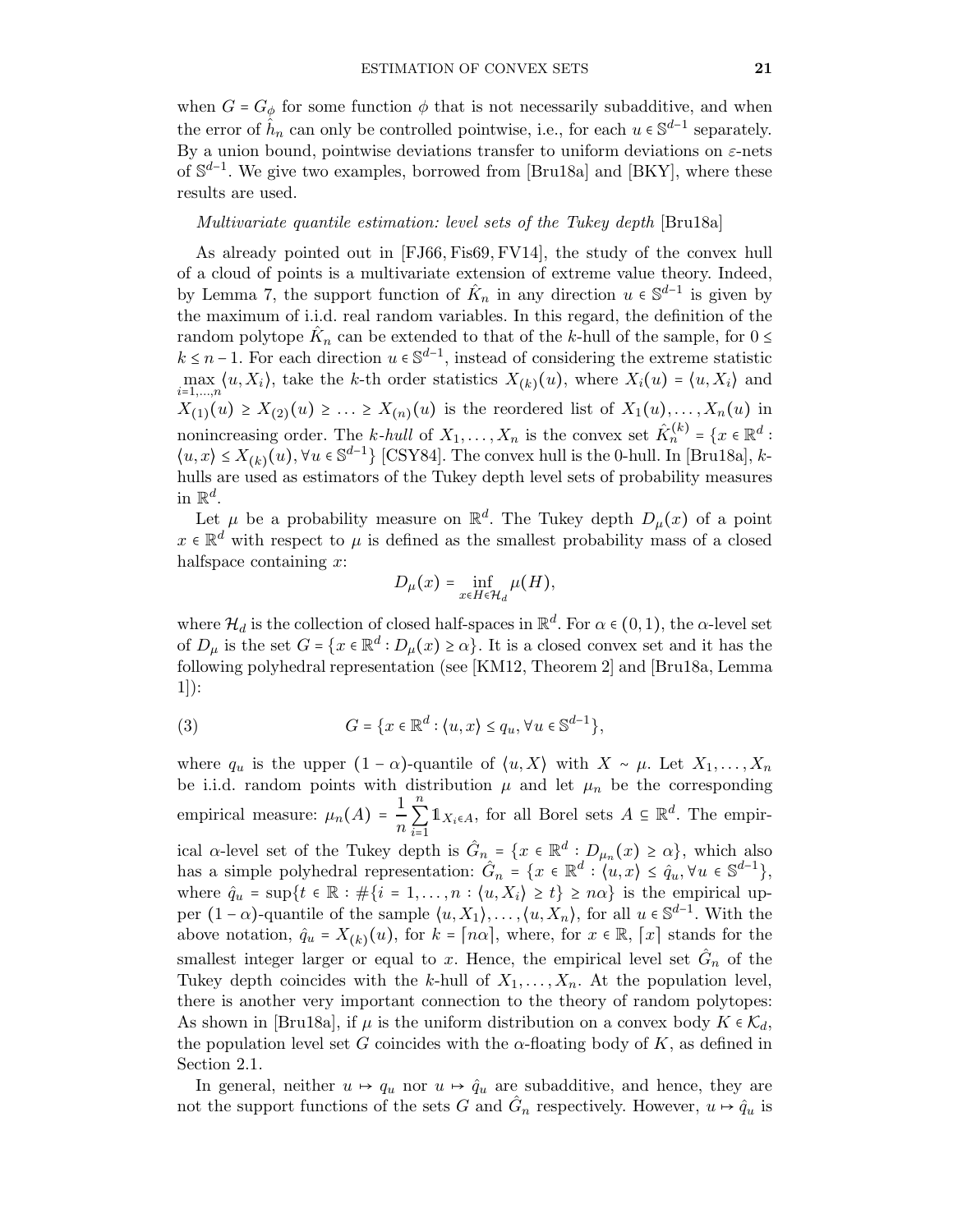when  $G = G_{\phi}$  for some function  $\phi$  that is not necessarily subadditive, and when the error of  $\hat{h}_n$  can only be controlled pointwise, i.e., for each  $u \in \mathbb{S}^{d-1}$  separately. By a union bound, pointwise deviations transfer to uniform deviations on  $\varepsilon$ -nets of  $\mathbb{S}^{d-1}$ . We give two examples, borrowed from [\[Bru18a\]](#page-24-7) and [\[BKY\]](#page-23-1), where these results are used.

#### Multivariate quantile estimation: level sets of the Tukey depth [\[Bru18a\]](#page-24-7)

As already pointed out in [\[FJ66,](#page-25-12) [Fis69,](#page-25-13) [FV14\]](#page-25-10), the study of the convex hull of a cloud of points is a multivariate extension of extreme value theory. Indeed, by Lemma [7,](#page-17-0) the support function of  $\hat{K}_n$  in any direction  $u \in \mathbb{S}^{d-1}$  is given by the maximum of i.i.d. real random variables. In this regard, the definition of the random polytope  $\hat{K}_n$  can be extended to that of the k-hull of the sample, for  $0 \le$  $k \leq n-1$ . For each direction  $u \in \mathbb{S}^{d-1}$ , instead of considering the extreme statistic  $\max_{i=1,\dots,n} \langle u, X_i \rangle$ , take the k-th order statistics  $X_{(k)}(u)$ , where  $X_i(u) = \langle u, X_i \rangle$  and  $X_{(1)}(u) \geq X_{(2)}(u) \geq \ldots \geq X_{(n)}(u)$  is the reordered list of  $X_1(u), \ldots, X_n(u)$  in nonincreasing order. The k-hull of  $X_1, \ldots, X_n$  is the convex set  $\hat{K}_n^{(k)} = \{x \in \mathbb{R}^d :$  $\langle u, x \rangle \leq X_{(k)}(u), \forall u \in \mathbb{S}^{d-1}$  [\[CSY84\]](#page-24-16). The convex hull is the 0-hull. In [\[Bru18a\]](#page-24-7), khulls are used as estimators of the Tukey depth level sets of probability measures in  $\mathbb{R}^d$ .

Let  $\mu$  be a probability measure on  $\mathbb{R}^d$ . The Tukey depth  $D_{\mu}(x)$  of a point  $x \in \mathbb{R}^d$  with respect to  $\mu$  is defined as the smallest probability mass of a closed halfspace containing  $x$ :

<span id="page-20-0"></span>
$$
D_\mu(x)=\inf_{x\in H\in\mathcal H_d}\mu(H),
$$

where  $\mathcal{H}_d$  is the collection of closed half-spaces in  $\mathbb{R}^d$ . For  $\alpha \in (0,1)$ , the  $\alpha$ -level set of  $D_{\mu}$  is the set  $G = \{x \in \mathbb{R}^d : D_{\mu}(x) \ge \alpha\}$ . It is a closed convex set and it has the following polyhedral representation (see [\[KM12,](#page-25-14) Theorem 2] and [\[Bru18a,](#page-24-7) Lemma 1]):

(3) 
$$
G = \{x \in \mathbb{R}^d : \langle u, x \rangle \le q_u, \forall u \in \mathbb{S}^{d-1}\},
$$

where  $q_u$  is the upper  $(1 - \alpha)$ -quantile of  $\langle u, X \rangle$  with  $X \sim \mu$ . Let  $X_1, \ldots, X_n$ be i.i.d. random points with distribution  $\mu$  and let  $\mu_n$  be the corresponding empirical measure:  $\mu_n(A) = \frac{1}{n}$ n n  $\sum_{i=1}$  $\mathbb{1}_{X_i \in A}$ , for all Borel sets  $A \subseteq \mathbb{R}^d$ . The empirical  $\alpha$ -level set of the Tukey depth is  $\hat{G}_{n_{\alpha}} = \{x \in \mathbb{R}^d : D_{\mu_n}(x) \geq \alpha\}$ , which also has a simple polyhedral representation:  $\hat{G}_n = \{x \in \mathbb{R}^d : \langle u, x \rangle \leq \hat{q}_u, \forall u \in \mathbb{S}^{d-1}\},$ where  $\hat{q}_u = \sup\{t \in \mathbb{R} : \#\{i = 1, \ldots, n : \langle u, X_i \rangle \ge t\} \ge n\alpha\}$  is the empirical upper  $(1-\alpha)$ -quantile of the sample  $\langle u, X_1 \rangle, \ldots, \langle u, X_n \rangle$ , for all  $u \in \mathbb{S}^{d-1}$ . With the above notation,  $\hat{q}_u = X_{(k)}(u)$ , for  $k = \lceil n\alpha \rceil$ , where, for  $x \in \mathbb{R}$ ,  $\lceil x \rceil$  stands for the smallest integer larger or equal to x. Hence, the empirical level set  $\hat{G}_n$  of the Tukey depth coincides with the k-hull of  $X_1, \ldots, X_n$ . At the population level, there is another very important connection to the theory of random polytopes: As shown in [\[Bru18a\]](#page-24-7), if  $\mu$  is the uniform distribution on a convex body  $K \in \mathcal{K}_d$ , the population level set G coincides with the  $\alpha$ -floating body of K, as defined in Section [2.1.](#page-3-1)

In general, neither  $u \mapsto q_u$  nor  $u \mapsto \hat{q}_u$  are subadditive, and hence, they are not the support functions of the sets G and  $\hat{G}_n$  respectively. However,  $u \mapsto \hat{q}_u$  is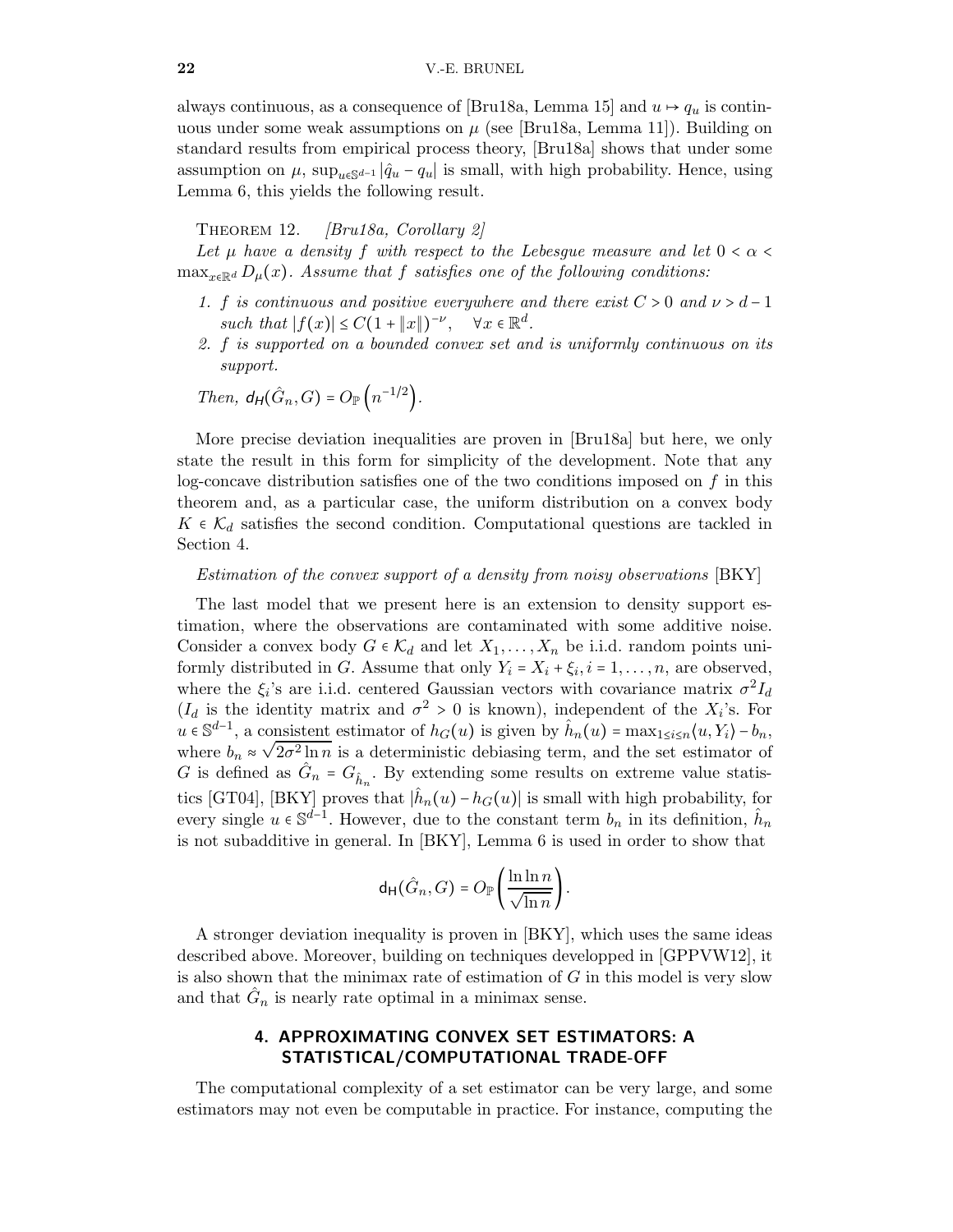always continuous, as a consequence of [\[Bru18a,](#page-24-7) Lemma 15] and  $u \mapsto q_u$  is continuous under some weak assumptions on  $\mu$  (see [\[Bru18a,](#page-24-7) Lemma 11]). Building on standard results from empirical process theory, [\[Bru18a\]](#page-24-7) shows that under some assumption on  $\mu$ , sup<sub>u $\epsilon s^{d-1}$ </sub> | $\hat{q}_u - q_u$  | is small, with high probability. Hence, using Lemma [6,](#page-16-2) this yields the following result.

THEOREM 12.  $\left|$ Bru18a, Corollary 2 $\right|$ 

Let  $\mu$  have a density f with respect to the Lebesgue measure and let  $0 < \alpha <$  $\max_{x \in \mathbb{R}^d} D_\mu(x)$ . Assume that f satisfies one of the following conditions:

- 1. f is continuous and positive everywhere and there exist  $C > 0$  and  $\nu > d 1$ such that  $|f(x)| \leq C(1 + ||x||)^{-\nu}$ ,  $\forall x \in \mathbb{R}^d$ .
- 2. f is supported on a bounded convex set and is uniformly continuous on its support.

Then, 
$$
d_H(\hat{G}_n, G) = O_{\mathbb{P}}\left(n^{-1/2}\right)
$$
.

More precise deviation inequalities are proven in [\[Bru18a\]](#page-24-7) but here, we only state the result in this form for simplicity of the development. Note that any log-concave distribution satisfies one of the two conditions imposed on  $f$  in this theorem and, as a particular case, the uniform distribution on a convex body  $K \in \mathcal{K}_d$  satisfies the second condition. Computational questions are tackled in Section [4.](#page-21-0)

#### Estimation of the convex support of a density from noisy observations [\[BKY\]](#page-23-1)

The last model that we present here is an extension to density support estimation, where the observations are contaminated with some additive noise. Consider a convex body  $G \in \mathcal{K}_d$  and let  $X_1, \ldots, X_n$  be i.i.d. random points uniformly distributed in G. Assume that only  $Y_i = X_i + \xi_i, i = 1, \ldots, n$ , are observed, where the  $\xi_i$ 's are i.i.d. centered Gaussian vectors with covariance matrix  $\sigma^2 I_d$  $(I_d$  is the identity matrix and  $\sigma^2 > 0$  is known), independent of the  $X_i$ 's. For  $u \in \mathbb{S}^{d-1}$ , a consistent estimator of  $h_G(u)$  is given by  $\hat{h}_n(u) = \max_{1 \le i \le n} \langle u, Y_i \rangle - b_n$ where  $b_n \approx \sqrt{2\sigma^2 \ln n}$  is a deterministic debiasing term, and the set estimator of G is defined as  $\hat{G}_n = G_{\hat{h}_n}$ . By extending some results on extreme value statis-tics [\[GT04\]](#page-25-15), [\[BKY\]](#page-23-1) proves that  $|\hat{h}_n(u) - h_G(u)|$  is small with high probability, for every single  $u \in \mathbb{S}^{d-1}$ . However, due to the constant term  $b_n$  in its definition,  $\hat{h}_n$ is not subadditive in general. In [\[BKY\]](#page-23-1), Lemma [6](#page-16-2) is used in order to show that

$$
\mathsf{d}_{\mathsf{H}}(\hat{G}_n,G)=O_{\mathbb{P}}\left(\frac{\ln\ln n}{\sqrt{\ln n}}\right).
$$

A stronger deviation inequality is proven in [\[BKY\]](#page-23-1), which uses the same ideas described above. Moreover, building on techniques developped in [\[GPPVW12\]](#page-25-16), it is also shown that the minimax rate of estimation of  $G$  in this model is very slow and that  $\hat{G}_n$  is nearly rate optimal in a minimax sense.

# 4. APPROXIMATING CONVEX SET ESTIMATORS: A STATISTICAL/COMPUTATIONAL TRADE-OFF

<span id="page-21-0"></span>The computational complexity of a set estimator can be very large, and some estimators may not even be computable in practice. For instance, computing the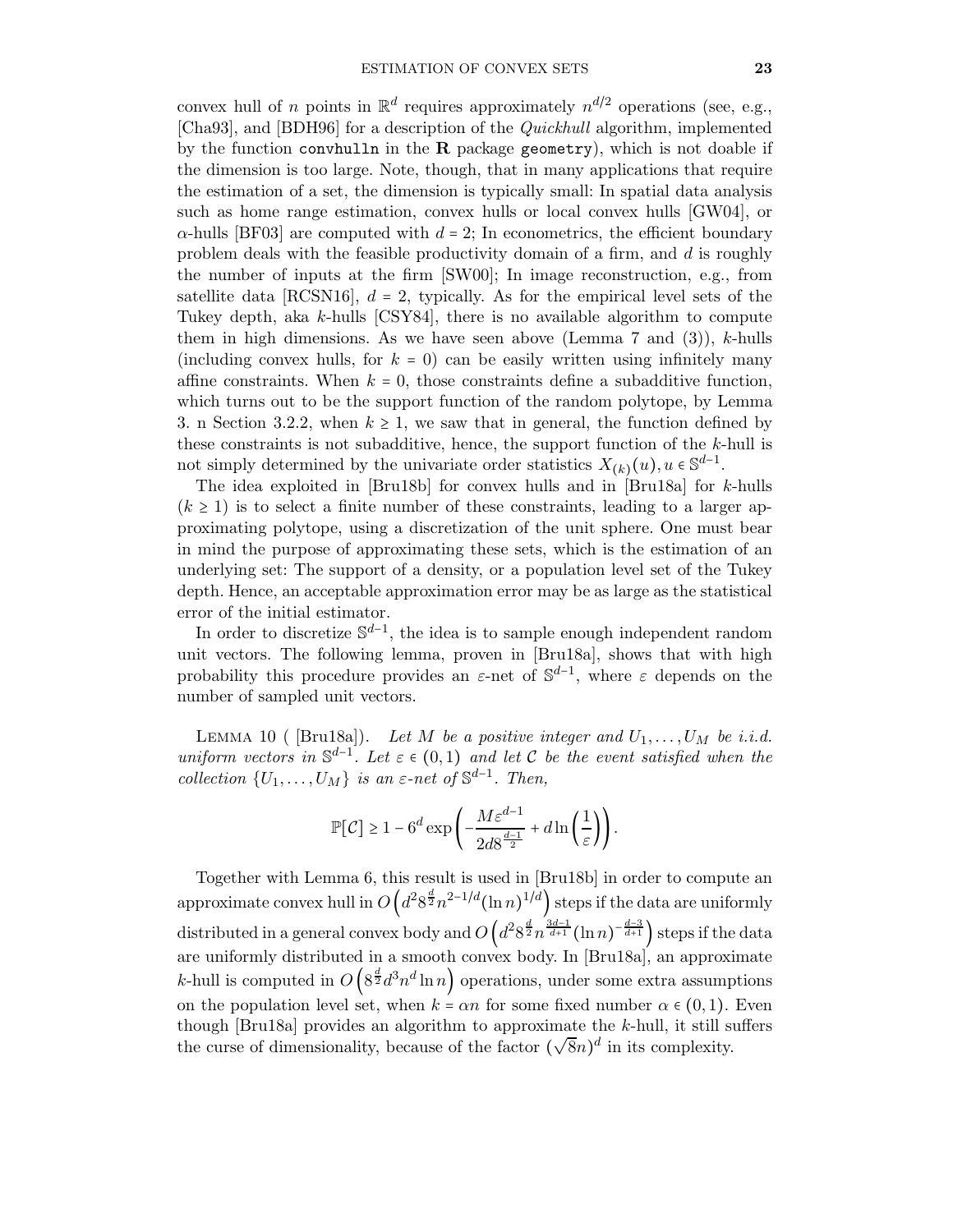convex hull of *n* points in  $\mathbb{R}^d$  requires approximately  $n^{d/2}$  operations (see, e.g., [\[Cha93\]](#page-24-17), and [\[BDH96\]](#page-23-15) for a description of the Quickhull algorithm, implemented by the function convhulln in the  $R$  package geometry), which is not doable if the dimension is too large. Note, though, that in many applications that require the estimation of a set, the dimension is typically small: In spatial data analysis such as home range estimation, convex hulls or local convex hulls [\[GW04\]](#page-25-17), or  $\alpha$ -hulls [\[BF03\]](#page-23-16) are computed with  $d = 2$ ; In econometrics, the efficient boundary problem deals with the feasible productivity domain of a firm, and  $d$  is roughly the number of inputs at the firm [\[SW00\]](#page-27-20); In image reconstruction, e.g., from satellite data  $[RCSN16]$ ,  $d = 2$ , typically. As for the empirical level sets of the Tukey depth, aka k-hulls [\[CSY84\]](#page-24-16), there is no available algorithm to compute them in high dimensions. As we have seen above (Lemma [7](#page-17-0) and  $(3)$ ), k-hulls (including convex hulls, for  $k = 0$ ) can be easily written using infinitely many affine constraints. When  $k = 0$ , those constraints define a subadditive function, which turns out to be the support function of the random polytope, by Lemma [3.](#page-16-0) n Section [3.2.2,](#page-19-0) when  $k \geq 1$ , we saw that in general, the function defined by these constraints is not subadditive, hence, the support function of the  $k$ -hull is not simply determined by the univariate order statistics  $X_{(k)}(u), u \in \mathbb{S}^{d-1}$ .

The idea exploited in [\[Bru18b\]](#page-24-6) for convex hulls and in [\[Bru18a\]](#page-24-7) for k-hulls  $(k \geq 1)$  is to select a finite number of these constraints, leading to a larger approximating polytope, using a discretization of the unit sphere. One must bear in mind the purpose of approximating these sets, which is the estimation of an underlying set: The support of a density, or a population level set of the Tukey depth. Hence, an acceptable approximation error may be as large as the statistical error of the initial estimator.

In order to discretize  $\mathbb{S}^{d-1}$ , the idea is to sample enough independent random unit vectors. The following lemma, proven in [\[Bru18a\]](#page-24-7), shows that with high probability this procedure provides an  $\varepsilon$ -net of  $\mathbb{S}^{d-1}$ , where  $\varepsilon$  depends on the number of sampled unit vectors.

LEMMA 10 ( [\[Bru18a\]](#page-24-7)). Let M be a positive integer and  $U_1, \ldots, U_M$  be i.i.d. uniform vectors in  $\mathbb{S}^{d-1}$ . Let  $\varepsilon \in (0,1)$  and let C be the event satisfied when the collection  $\{U_1, \ldots, U_M\}$  is an  $\varepsilon$ -net of  $\mathbb{S}^{d-1}$ . Then,

$$
\mathbb{P}[\mathcal{C}]\geq 1-6^d\exp\left(-\frac{M\varepsilon^{d-1}}{2d8^{\frac{d-1}{2}}}+d\ln\left(\frac{1}{\varepsilon}\right)\right).
$$

Together with Lemma [6,](#page-16-2) this result is used in [\[Bru18b\]](#page-24-6) in order to compute an approximate convex hull in  $O\left(d^28^{\frac{d}{2}}n^{2-1/d}(\ln n)^{1/d}\right)$  steps if the data are uniformly distributed in a general convex body and  $O\left(d^28^{\frac{d}{2}}n^{\frac{3d-1}{d+1}}(\ln n)^{-\frac{d-3}{d+1}}\right)$  steps if the data are uniformly distributed in a smooth convex body. In [\[Bru18a\]](#page-24-7), an approximate *k*-hull is computed in  $O\left(8^{\frac{d}{2}}d^3n^d\ln n\right)$  operations, under some extra assumptions on the population level set, when  $k = \alpha n$  for some fixed number  $\alpha \in (0, 1)$ . Even though [\[Bru18a\]](#page-24-7) provides an algorithm to approximate the  $k$ -hull, it still suffers the curse of dimensionality, because of the factor  $(\sqrt{8}n)^d$  in its complexity.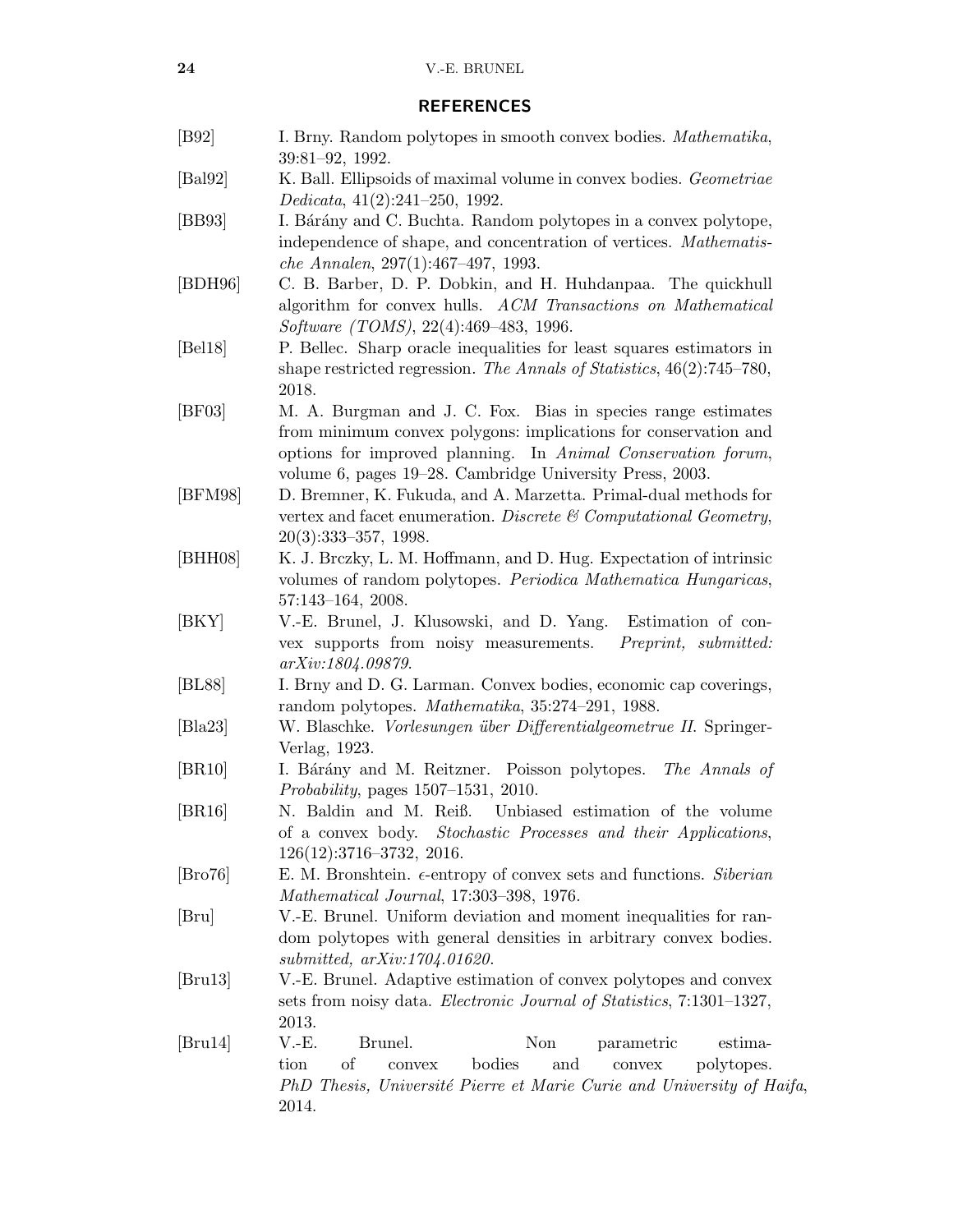#### REFERENCES

- <span id="page-23-10"></span>[B92] I. Brny. Random polytopes in smooth convex bodies. *Mathematika*, 39:81–92, 1992.
- <span id="page-23-12"></span>[Bal92] K. Ball. Ellipsoids of maximal volume in convex bodies. Geometriae Dedicata, 41(2):241–250, 1992.
- <span id="page-23-7"></span>[BB93] I. Bárány and C. Buchta. Random polytopes in a convex polytope, independence of shape, and concentration of vertices. Mathematische Annalen, 297(1):467–497, 1993.
- <span id="page-23-15"></span>[BDH96] C. B. Barber, D. P. Dobkin, and H. Huhdanpaa. The quickhull algorithm for convex hulls. ACM Transactions on Mathematical Software (TOMS), 22(4):469–483, 1996.
- <span id="page-23-6"></span>[Bel18] P. Bellec. Sharp oracle inequalities for least squares estimators in shape restricted regression. The Annals of Statistics, 46(2):745–780, 2018.
- <span id="page-23-16"></span>[BF03] M. A. Burgman and J. C. Fox. Bias in species range estimates from minimum convex polygons: implications for conservation and options for improved planning. In Animal Conservation forum, volume 6, pages 19–28. Cambridge University Press, 2003.
- <span id="page-23-14"></span>[BFM98] D. Bremner, K. Fukuda, and A. Marzetta. Primal-dual methods for vertex and facet enumeration. Discrete  $\mathcal C$  Computational Geometry, 20(3):333–357, 1998.
- <span id="page-23-11"></span>[BHH08] K. J. Brczky, L. M. Hoffmann, and D. Hug. Expectation of intrinsic volumes of random polytopes. Periodica Mathematica Hungaricas, 57:143–164, 2008.
- <span id="page-23-1"></span>[BKY] V.-E. Brunel, J. Klusowski, and D. Yang. Estimation of convex supports from noisy measurements. Preprint, submitted: arXiv:1804.09879.
- <span id="page-23-3"></span>[BL88] I. Brny and D. G. Larman. Convex bodies, economic cap coverings, random polytopes. Mathematika, 35:274–291, 1988.
- <span id="page-23-4"></span>[Bla23] W. Blaschke. *Vorlesungen über Differentialgeometrue II*. Springer-Verlag, 1923.
- <span id="page-23-9"></span>[BR10] I. Bárány and M. Reitzner. Poisson polytopes. The Annals of Probability, pages 1507–1531, 2010.
- <span id="page-23-5"></span>[BR16] N. Baldin and M. Reiß. Unbiased estimation of the volume of a convex body. Stochastic Processes and their Applications, 126(12):3716–3732, 2016.
- <span id="page-23-13"></span>[Bro76] E. M. Bronshtein.  $\epsilon$ -entropy of convex sets and functions. Siberian Mathematical Journal, 17:303–398, 1976.
- <span id="page-23-0"></span>[Bru] V.-E. Brunel. Uniform deviation and moment inequalities for random polytopes with general densities in arbitrary convex bodies. submitted, [arXiv:1704.01620](https://arxiv.org/abs/1704.01620).
- <span id="page-23-2"></span>[Bru13] V.-E. Brunel. Adaptive estimation of convex polytopes and convex sets from noisy data. *Electronic Journal of Statistics*, 7:1301–1327, 2013.
- <span id="page-23-8"></span>[Bru14] V.-E. Brunel. Non parametric estimation of convex bodies and convex polytopes. PhD Thesis, Université Pierre et Marie Curie and University of Haifa, 2014.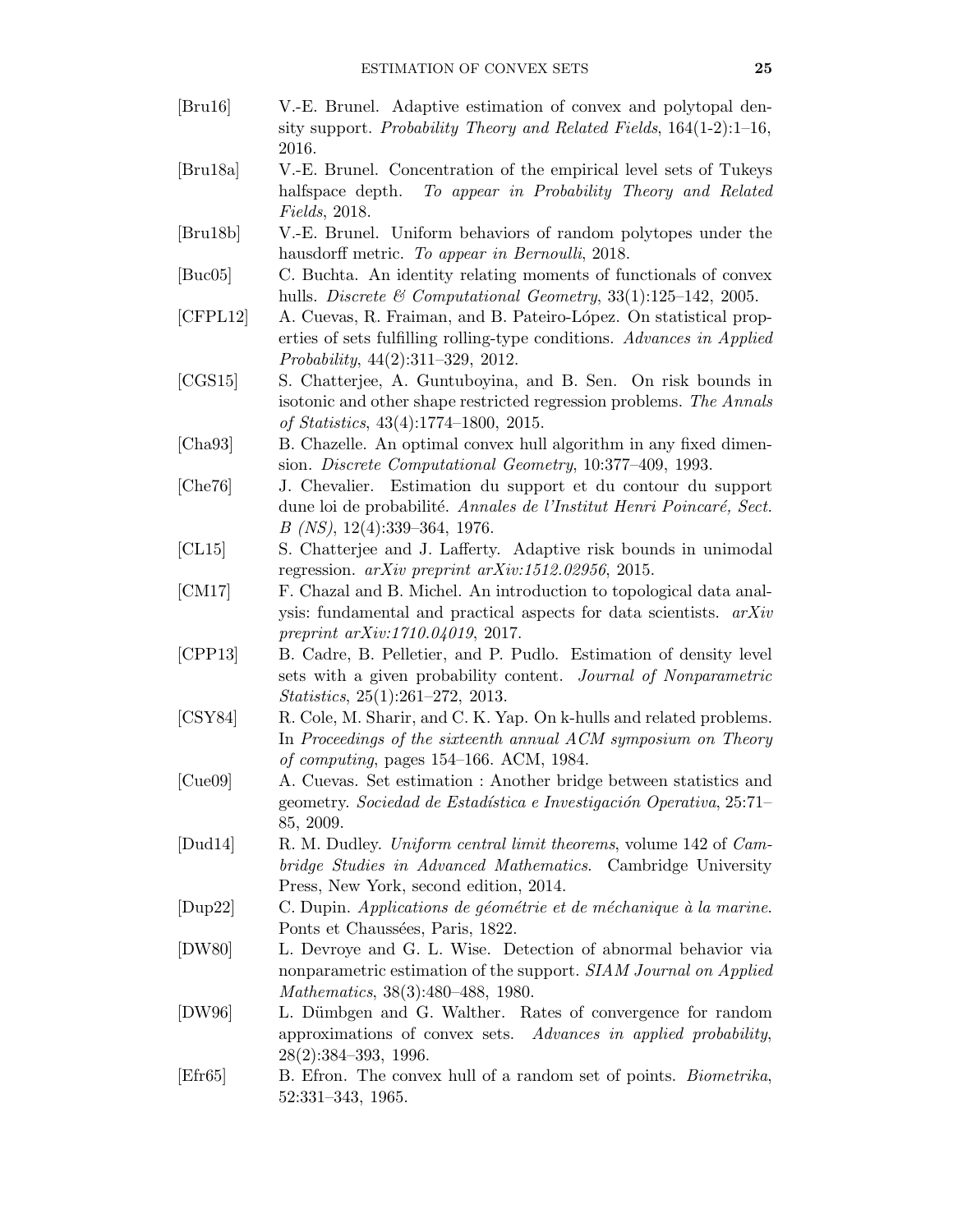- <span id="page-24-1"></span>[Bru16] V.-E. Brunel. Adaptive estimation of convex and polytopal density support. Probability Theory and Related Fields, 164(1-2):1–16, 2016.
- <span id="page-24-7"></span>[Bru18a] V.-E. Brunel. Concentration of the empirical level sets of Tukeys halfspace depth. To appear in Probability Theory and Related Fields, 2018.
- <span id="page-24-6"></span>[Bru18b] V.-E. Brunel. Uniform behaviors of random polytopes under the hausdorff metric. To appear in Bernoulli, 2018.
- <span id="page-24-11"></span>[Buc05] C. Buchta. An identity relating moments of functionals of convex hulls. Discrete & Computational Geometry,  $33(1):125-142$ , 2005.
- <span id="page-24-3"></span>[CFPL12] A. Cuevas, R. Fraiman, and B. Pateiro-L´opez. On statistical properties of sets fulfilling rolling-type conditions. Advances in Applied Probability, 44(2):311–329, 2012.
- <span id="page-24-0"></span>[CGS15] S. Chatterjee, A. Guntuboyina, and B. Sen. On risk bounds in isotonic and other shape restricted regression problems. The Annals of Statistics, 43(4):1774–1800, 2015.
- <span id="page-24-17"></span>[Cha93] B. Chazelle. An optimal convex hull algorithm in any fixed dimension. Discrete Computational Geometry, 10:377–409, 1993.
- <span id="page-24-4"></span>[Che76] J. Chevalier. Estimation du support et du contour du support dune loi de probabilité. Annales de l'Institut Henri Poincaré, Sect. B (NS), 12(4):339–364, 1976.
- <span id="page-24-10"></span>[CL15] S. Chatterjee and J. Lafferty. Adaptive risk bounds in unimodal regression.  $arXiv$  preprint  $arXiv:1512.02956$ , 2015.
- <span id="page-24-13"></span>[CM17] F. Chazal and B. Michel. An introduction to topological data analysis: fundamental and practical aspects for data scientists. arXiv preprint arXiv:1710.04019, 2017.
- <span id="page-24-14"></span>[CPP13] B. Cadre, B. Pelletier, and P. Pudlo. Estimation of density level sets with a given probability content. Journal of Nonparametric Statistics, 25(1):261–272, 2013.
- <span id="page-24-16"></span>[CSY84] R. Cole, M. Sharir, and C. K. Yap. On k-hulls and related problems. In Proceedings of the sixteenth annual ACM symposium on Theory of computing, pages 154–166. ACM, 1984.
- <span id="page-24-2"></span>[Cue09] A. Cuevas. Set estimation : Another bridge between statistics and geometry. Sociedad de Estadística e Investigación Operativa, 25:71– 85, 2009.
- <span id="page-24-12"></span>[Dud14] R. M. Dudley. Uniform central limit theorems, volume 142 of Cambridge Studies in Advanced Mathematics. Cambridge University Press, New York, second edition, 2014.
- <span id="page-24-9"></span> $[Dup22]$  C. Dupin. Applications de géométrie et de méchanique à la marine. Ponts et Chaussées, Paris, 1822.
- <span id="page-24-5"></span>[DW80] L. Devroye and G. L. Wise. Detection of abnormal behavior via nonparametric estimation of the support. SIAM Journal on Applied Mathematics, 38(3):480–488, 1980.
- <span id="page-24-15"></span>[DW96] L. Dümbgen and G. Walther. Rates of convergence for random approximations of convex sets. Advances in applied probability, 28(2):384–393, 1996.
- <span id="page-24-8"></span>[Efr65] B. Efron. The convex hull of a random set of points. Biometrika, 52:331–343, 1965.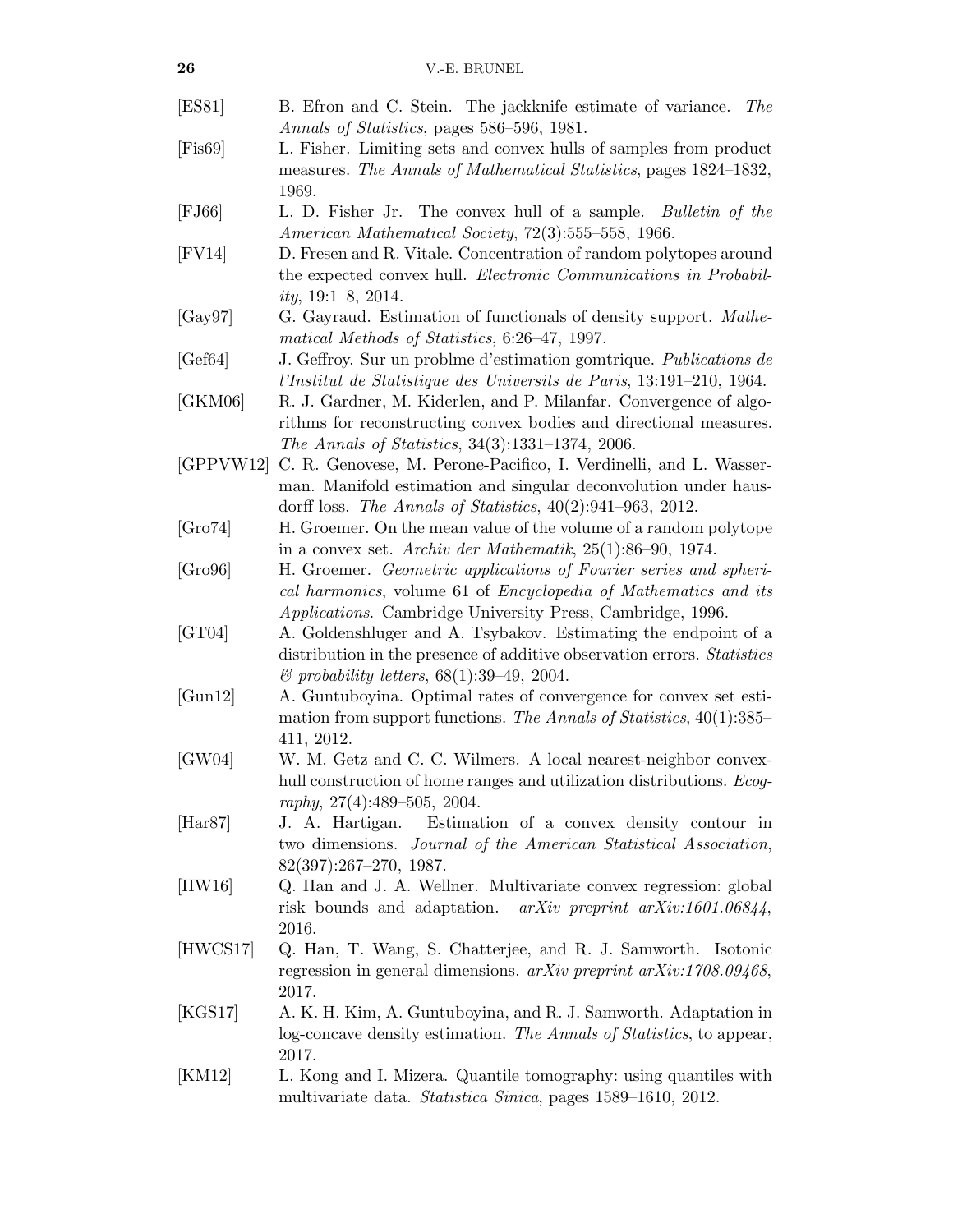<span id="page-25-17"></span><span id="page-25-16"></span><span id="page-25-15"></span><span id="page-25-14"></span><span id="page-25-13"></span><span id="page-25-12"></span><span id="page-25-11"></span><span id="page-25-10"></span><span id="page-25-9"></span><span id="page-25-8"></span><span id="page-25-7"></span><span id="page-25-6"></span><span id="page-25-5"></span><span id="page-25-4"></span><span id="page-25-3"></span><span id="page-25-2"></span><span id="page-25-1"></span><span id="page-25-0"></span>

| 26               | V.-E. BRUNEL                                                                                                                                                                                             |
|------------------|----------------------------------------------------------------------------------------------------------------------------------------------------------------------------------------------------------|
| [ES81]           | B. Efron and C. Stein. The jackknife estimate of variance.<br><i>The</i><br>Annals of Statistics, pages 586-596, 1981.                                                                                   |
| $[{\rm Fis69}]$  | L. Fisher. Limiting sets and convex hulls of samples from product<br>measures. The Annals of Mathematical Statistics, pages 1824–1832,<br>1969.                                                          |
| $[$ FJ66 $]$     | L. D. Fisher Jr. The convex hull of a sample. Bulletin of the<br>American Mathematical Society, 72(3):555-558, 1966.                                                                                     |
| $[$ FV14 $]$     | D. Fresen and R. Vitale. Concentration of random polytopes around<br>the expected convex hull. <i>Electronic Communications in Probabil-</i><br><i>ity</i> , $19:1-8$ , $2014$ .                         |
| [Gay97]          | G. Gayraud. Estimation of functionals of density support. Mathe-<br>matical Methods of Statistics, 6:26-47, 1997.                                                                                        |
| [Gef64]          | J. Geffroy. Sur un problme d'estimation gomtrique. Publications de<br>l'Institut de Statistique des Universits de Paris, 13:191-210, 1964.                                                               |
| [GKM06]          | R. J. Gardner, M. Kiderlen, and P. Milanfar. Convergence of algo-<br>rithms for reconstructing convex bodies and directional measures.<br>The Annals of Statistics, 34(3):1331-1374, 2006.               |
| [GPPVW12]        | C. R. Genovese, M. Perone-Pacifico, I. Verdinelli, and L. Wasser-<br>man. Manifold estimation and singular deconvolution under haus-<br>dorff loss. The Annals of Statistics, $40(2):941-963$ , 2012.    |
| [Gro74]          | H. Groemer. On the mean value of the volume of a random polytope<br>in a convex set. Archiv der Mathematik, $25(1)$ :86-90, 1974.                                                                        |
| [Gro96]          | H. Groemer. Geometric applications of Fourier series and spheri-<br>cal harmonics, volume 61 of Encyclopedia of Mathematics and its<br><i>Applications.</i> Cambridge University Press, Cambridge, 1996. |
| [GT04]           | A. Goldenshluger and A. Tsybakov. Estimating the endpoint of a<br>distribution in the presence of additive observation errors. Statistics<br>$\mathcal{C}$ probability letters, 68(1):39–49, 2004.       |
| [Gun12]          | A. Guntuboyina. Optimal rates of convergence for convex set esti-<br>mation from support functions. The Annals of Statistics, $40(1)$ :385–<br>411, 2012.                                                |
| [GW04]           | W. M. Getz and C. C. Wilmers. A local nearest-neighbor convex-<br>hull construction of home ranges and utilization distributions. <i>Ecog-</i><br>raphy, $27(4):489-505$ , $2004$ .                      |
| $[\text{Har87}]$ | J. A. Hartigan.<br>Estimation of a convex density contour in<br>two dimensions. Journal of the American Statistical Association,<br>$82(397):267-270, 1987.$                                             |
| [HW16]           | Q. Han and J. A. Wellner. Multivariate convex regression: global<br>$arXiv$ preprint $arXiv:1601.06844,$<br>risk bounds and adaptation.<br>2016.                                                         |
| [HWCS17]         | Q. Han, T. Wang, S. Chatterjee, and R. J. Samworth. Isotonic<br>regression in general dimensions. $arXiv$ preprint $arXiv:1708.09468$ ,<br>2017.                                                         |
| [KGS17]          | A. K. H. Kim, A. Guntuboyina, and R. J. Samworth. Adaptation in<br>log-concave density estimation. The Annals of Statistics, to appear,<br>2017.                                                         |
| [KM12]           | L. Kong and I. Mizera. Quantile tomography: using quantiles with<br>multivariate data. Statistica Sinica, pages 1589-1610, 2012.                                                                         |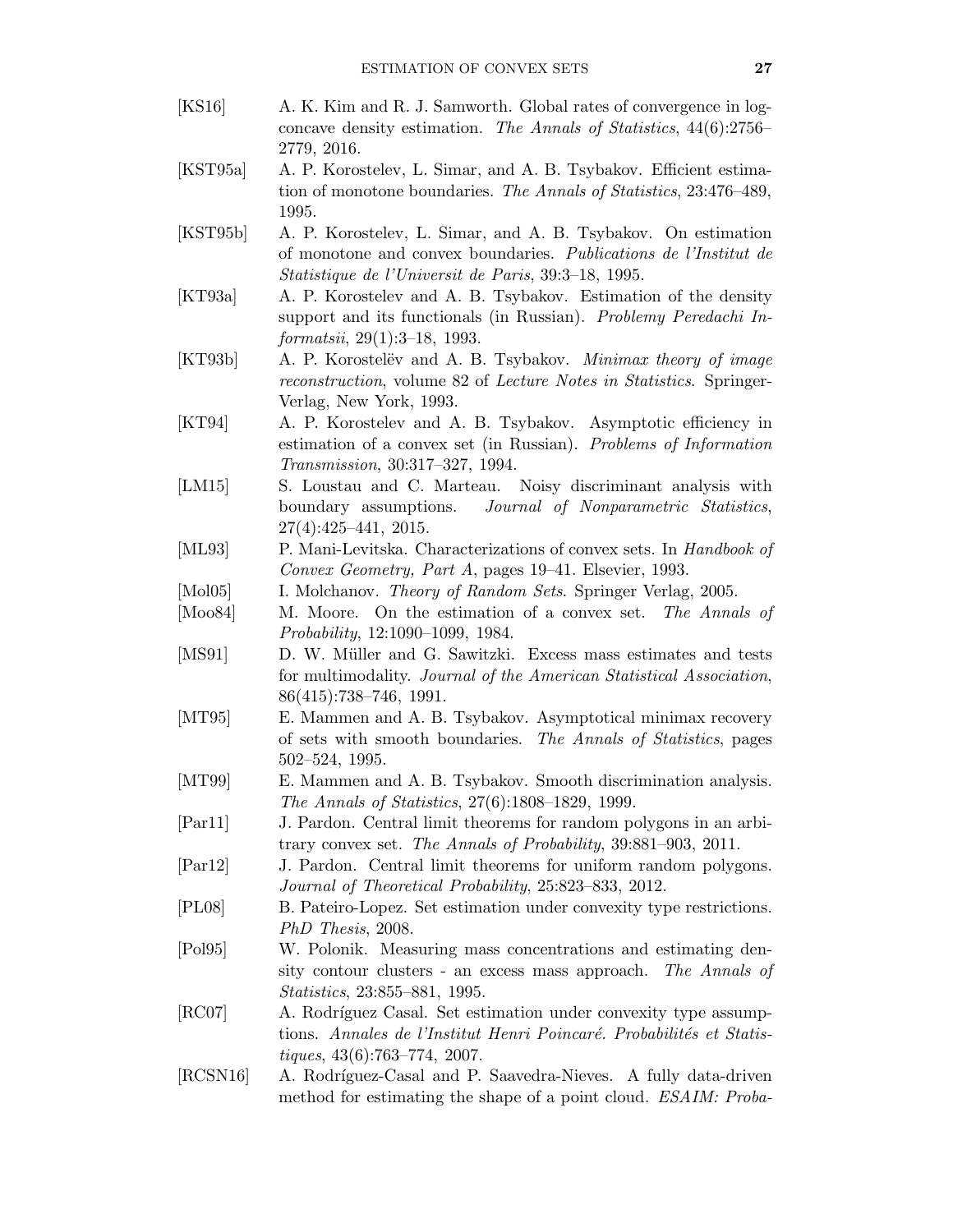- <span id="page-26-1"></span>[KS16] A. K. Kim and R. J. Samworth. Global rates of convergence in logconcave density estimation. The Annals of Statistics, 44(6):2756– 2779, 2016.
- <span id="page-26-2"></span>[KST95a] A. P. Korostelev, L. Simar, and A. B. Tsybakov. Efficient estimation of monotone boundaries. The Annals of Statistics, 23:476–489, 1995.
- <span id="page-26-4"></span>[KST95b] A. P. Korostelev, L. Simar, and A. B. Tsybakov. On estimation of monotone and convex boundaries. Publications de l'Institut de Statistique de l'Universit de Paris, 39:3–18, 1995.
- <span id="page-26-9"></span>[KT93a] A. P. Korostelev and A. B. Tsybakov. Estimation of the density support and its functionals (in Russian). Problemy Peredachi Informatsii, 29(1):3–18, 1993.
- <span id="page-26-11"></span>[KT93b] A. P. Korostelëv and A. B. Tsybakov. *Minimax theory of image* reconstruction, volume 82 of Lecture Notes in Statistics. Springer-Verlag, New York, 1993.
- <span id="page-26-3"></span>[KT94] A. P. Korostelev and A. B. Tsybakov. Asymptotic efficiency in estimation of a convex set (in Russian). Problems of Information Transmission, 30:317–327, 1994.
- <span id="page-26-18"></span>[LM15] S. Loustau and C. Marteau. Noisy discriminant analysis with boundary assumptions. Journal of Nonparametric Statistics, 27(4):425–441, 2015.
- <span id="page-26-5"></span>[ML93] P. Mani-Levitska. Characterizations of convex sets. In Handbook of Convex Geometry, Part A, pages 19–41. Elsevier, 1993.
- <span id="page-26-12"></span>[Mol05] I. Molchanov. Theory of Random Sets. Springer Verlag, 2005.
- <span id="page-26-13"></span>[Moo84] M. Moore. On the estimation of a convex set. The Annals of Probability, 12:1090–1099, 1984.
- <span id="page-26-16"></span>[MS91] D. W. Müller and G. Sawitzki. Excess mass estimates and tests for multimodality. Journal of the American Statistical Association, 86(415):738–746, 1991.
- <span id="page-26-0"></span>[MT95] E. Mammen and A. B. Tsybakov. Asymptotical minimax recovery of sets with smooth boundaries. The Annals of Statistics, pages 502–524, 1995.
- <span id="page-26-17"></span>[MT99] E. Mammen and A. B. Tsybakov. Smooth discrimination analysis. The Annals of Statistics, 27(6):1808–1829, 1999.
- <span id="page-26-14"></span>[Par11] J. Pardon. Central limit theorems for random polygons in an arbitrary convex set. The Annals of Probability, 39:881–903, 2011.
- <span id="page-26-15"></span>[Par12] J. Pardon. Central limit theorems for uniform random polygons. Journal of Theoretical Probability, 25:823–833, 2012.
- <span id="page-26-7"></span>[PL08] B. Pateiro-Lopez. Set estimation under convexity type restrictions. [PhD Thesis](http://eio.usc.es/pub/pateiro/files/THESIS_BeatrizPateiroLopez.pdf), 2008.
- <span id="page-26-10"></span>[Pol95] W. Polonik. Measuring mass concentrations and estimating density contour clusters - an excess mass approach. The Annals of Statistics, 23:855–881, 1995.
- <span id="page-26-6"></span>[RC07] A. Rodríguez Casal. Set estimation under convexity type assumptions. Annales de l'Institut Henri Poincaré. Probabilités et Statistiques, 43(6):763–774, 2007.
- <span id="page-26-8"></span>[RCSN16] A. Rodríguez-Casal and P. Saavedra-Nieves. A fully data-driven method for estimating the shape of a point cloud. *ESAIM: Proba-*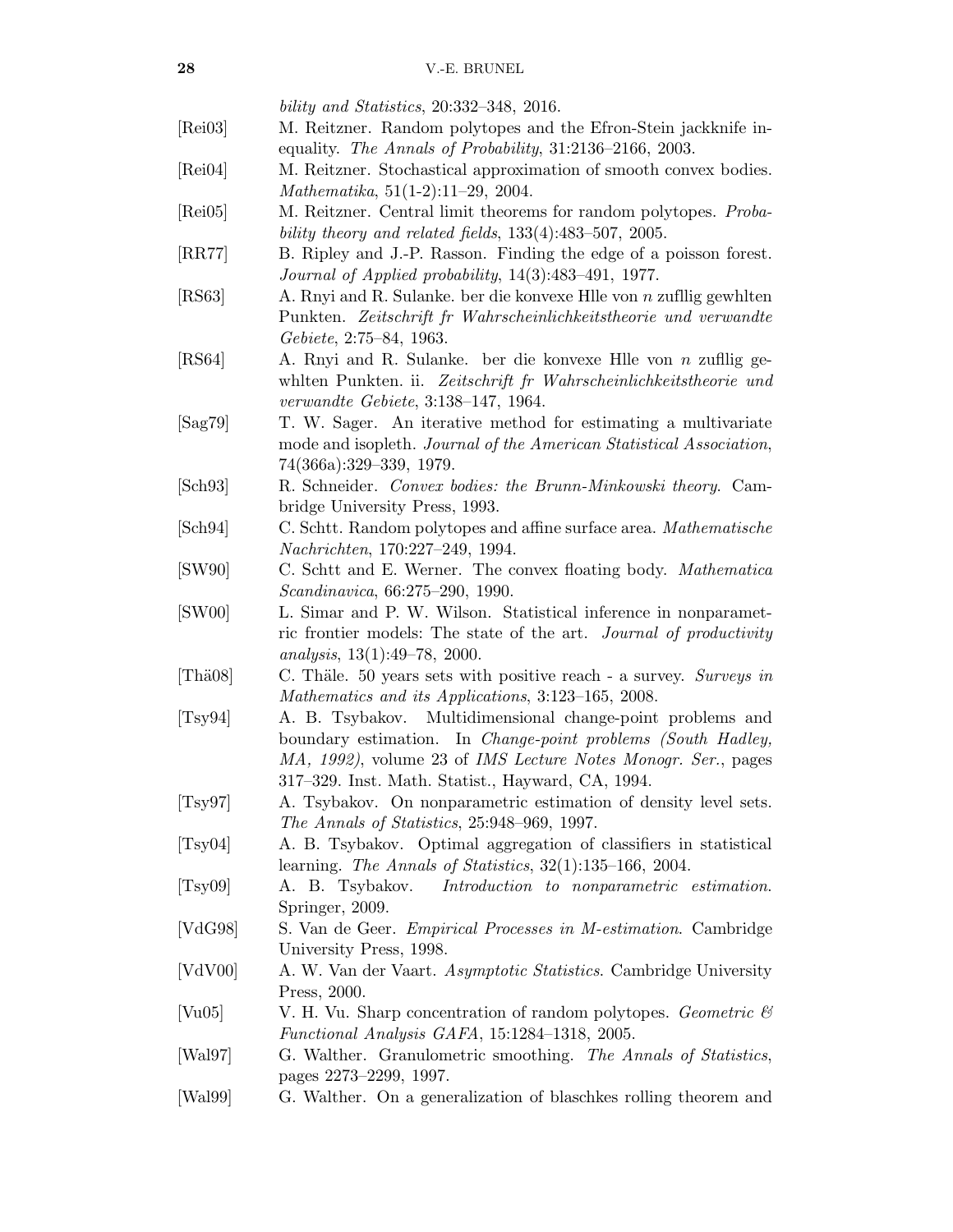bility and Statistics, 20:332–348, 2016.

- <span id="page-27-12"></span>[Rei03] M. Reitzner. Random polytopes and the Efron-Stein jackknife inequality. The Annals of Probability, 31:2136–2166, 2003.
- <span id="page-27-14"></span>[Rei04] M. Reitzner. Stochastical approximation of smooth convex bodies. Mathematika, 51(1-2):11–29, 2004.
- <span id="page-27-13"></span>[Rei05] M. Reitzner. Central limit theorems for random polytopes. Probability theory and related fields, 133(4):483–507, 2005.
- <span id="page-27-11"></span>[RR77] B. Ripley and J.-P. Rasson. Finding the edge of a poisson forest. Journal of Applied probability, 14(3):483–491, 1977.
- <span id="page-27-7"></span>[RS63] A. Rnyi and R. Sulanke. ber die konvexe Hlle von n zufllig gewhlten Punkten. Zeitschrift fr Wahrscheinlichkeitstheorie und verwandte Gebiete, 2:75–84, 1963.
- <span id="page-27-8"></span>[RS64] A. Rnyi and R. Sulanke. ber die konvexe Hlle von n zufllig gewhlten Punkten. ii. Zeitschrift fr Wahrscheinlichkeitstheorie und verwandte Gebiete, 3:138–147, 1964.
- <span id="page-27-19"></span>[Sag79] T. W. Sager. An iterative method for estimating a multivariate mode and isopleth. Journal of the American Statistical Association, 74(366a):329–339, 1979.
- <span id="page-27-5"></span>[Sch93] R. Schneider. Convex bodies: the Brunn-Minkowski theory. Cambridge University Press, 1993.
- <span id="page-27-10"></span>[Sch94] C. Schtt. Random polytopes and affine surface area. Mathematische Nachrichten, 170:227–249, 1994.
- <span id="page-27-9"></span>[SW90] C. Schtt and E. Werner. The convex floating body. Mathematica Scandinavica, 66:275–290, 1990.
- <span id="page-27-20"></span>[SW00] L. Simar and P. W. Wilson. Statistical inference in nonparametric frontier models: The state of the art. Journal of productivity analysis, 13(1):49–78, 2000.
- <span id="page-27-4"></span>[Thä08] C. Thäle. 50 years sets with positive reach - a survey. Surveys in Mathematics and its Applications, 3:123–165, 2008.
- <span id="page-27-1"></span>[Tsy94] A. B. Tsybakov. Multidimensional change-point problems and boundary estimation. In Change-point problems (South Hadley, MA, 1992), volume 23 of IMS Lecture Notes Monogr. Ser., pages 317–329. Inst. Math. Statist., Hayward, CA, 1994.
- <span id="page-27-6"></span>[Tsy97] A. Tsybakov. On nonparametric estimation of density level sets. The Annals of Statistics, 25:948–969, 1997.
- <span id="page-27-18"></span>[Tsy04] A. B. Tsybakov. Optimal aggregation of classifiers in statistical learning. The Annals of Statistics, 32(1):135–166, 2004.
- <span id="page-27-0"></span>[Tsy09] A. B. Tsybakov. Introduction to nonparametric estimation. Springer, 2009.
- <span id="page-27-16"></span>[VdG98] S. Van de Geer. Empirical Processes in M-estimation. Cambridge University Press, 1998.
- <span id="page-27-15"></span>[VdV00] A. W. Van der Vaart. Asymptotic Statistics. Cambridge University Press, 2000.
- <span id="page-27-17"></span>[Vu05] V. H. Vu. Sharp concentration of random polytopes. Geometric  $\mathcal{C}$ Functional Analysis GAFA, 15:1284–1318, 2005.
- <span id="page-27-2"></span>[Wal97] G. Walther. Granulometric smoothing. The Annals of Statistics, pages 2273–2299, 1997.
- <span id="page-27-3"></span>[Wal99] G. Walther. On a generalization of blaschkes rolling theorem and